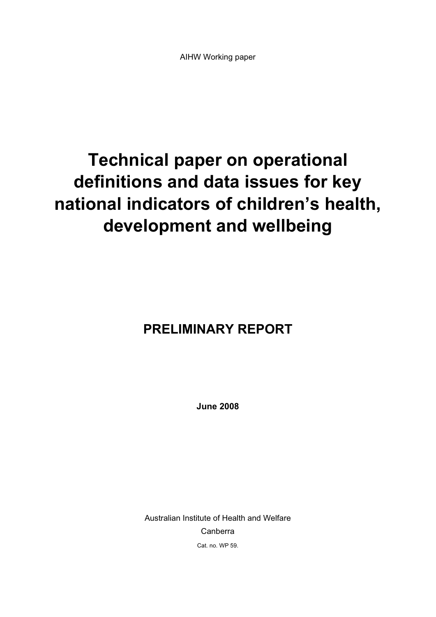# **Technical paper on operational definitions and data issues for key national indicators of children's health, development and wellbeing**

# **PRELIMINARY REPORT**

**June 2008** 

Australian Institute of Health and Welfare Canberra Cat. no. WP 59.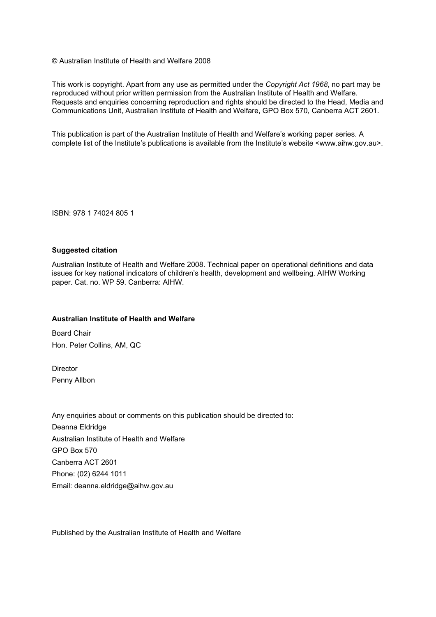© Australian Institute of Health and Welfare 2008

This work is copyright. Apart from any use as permitted under the *Copyright Act 1968*, no part may be reproduced without prior written permission from the Australian Institute of Health and Welfare. Requests and enquiries concerning reproduction and rights should be directed to the Head, Media and Communications Unit, Australian Institute of Health and Welfare, GPO Box 570, Canberra ACT 2601.

This publication is part of the Australian Institute of Health and Welfare's working paper series. A complete list of the Institute's publications is available from the Institute's website <www.aihw.gov.au>.

ISBN: 978 1 74024 805 1

#### **Suggested citation**

Australian Institute of Health and Welfare 2008. Technical paper on operational definitions and data issues for key national indicators of children's health, development and wellbeing. AIHW Working paper. Cat. no. WP 59. Canberra: AIHW.

#### **Australian Institute of Health and Welfare**

Board Chair Hon. Peter Collins, AM, QC

**Director** Penny Allbon

Any enquiries about or comments on this publication should be directed to: Deanna Eldridge Australian Institute of Health and Welfare GPO Box 570 Canberra ACT 2601 Phone: (02) 6244 1011 Email: deanna.eldridge@aihw.gov.au

Published by the Australian Institute of Health and Welfare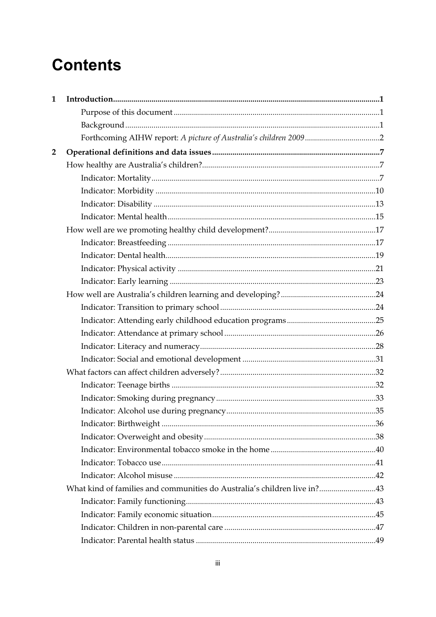# **Contents**

| 1              |                                                                          |  |
|----------------|--------------------------------------------------------------------------|--|
|                |                                                                          |  |
|                |                                                                          |  |
|                |                                                                          |  |
| $\overline{2}$ |                                                                          |  |
|                |                                                                          |  |
|                |                                                                          |  |
|                |                                                                          |  |
|                |                                                                          |  |
|                |                                                                          |  |
|                |                                                                          |  |
|                |                                                                          |  |
|                |                                                                          |  |
|                |                                                                          |  |
|                |                                                                          |  |
|                |                                                                          |  |
|                |                                                                          |  |
|                |                                                                          |  |
|                |                                                                          |  |
|                |                                                                          |  |
|                |                                                                          |  |
|                |                                                                          |  |
|                |                                                                          |  |
|                |                                                                          |  |
|                |                                                                          |  |
|                |                                                                          |  |
|                |                                                                          |  |
|                |                                                                          |  |
|                |                                                                          |  |
|                |                                                                          |  |
|                | What kind of families and communities do Australia's children live in?43 |  |
|                |                                                                          |  |
|                |                                                                          |  |
|                |                                                                          |  |
|                |                                                                          |  |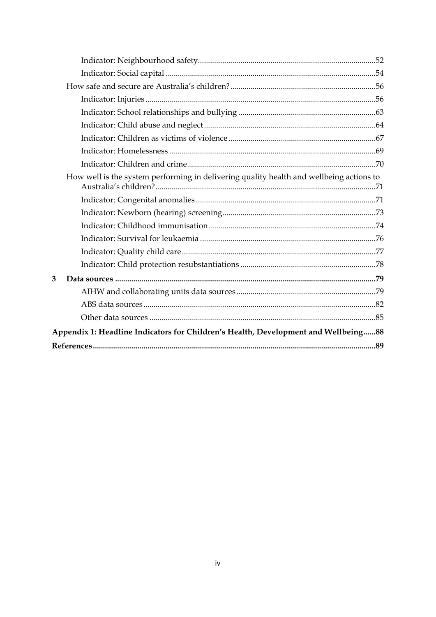|   | How well is the system performing in delivering quality health and wellbeing actions to |  |
|---|-----------------------------------------------------------------------------------------|--|
|   |                                                                                         |  |
|   |                                                                                         |  |
|   |                                                                                         |  |
|   |                                                                                         |  |
|   |                                                                                         |  |
|   |                                                                                         |  |
| 3 |                                                                                         |  |
|   |                                                                                         |  |
|   |                                                                                         |  |
|   |                                                                                         |  |
|   | Appendix 1: Headline Indicators for Children's Health, Development and Wellbeing88      |  |
|   |                                                                                         |  |
|   |                                                                                         |  |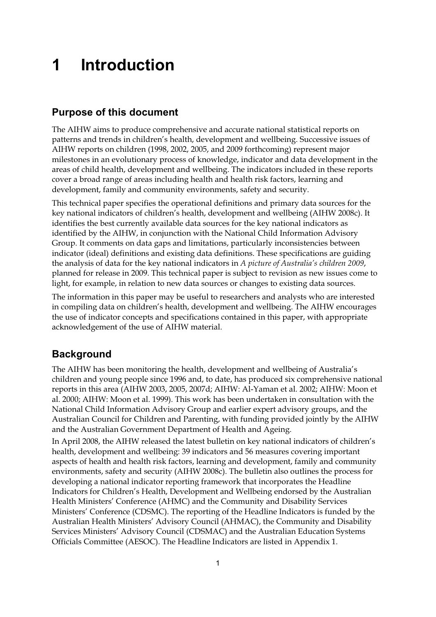# **1 Introduction**

## **Purpose of this document**

The AIHW aims to produce comprehensive and accurate national statistical reports on patterns and trends in children's health, development and wellbeing. Successive issues of AIHW reports on children (1998, 2002, 2005, and 2009 forthcoming) represent major milestones in an evolutionary process of knowledge, indicator and data development in the areas of child health, development and wellbeing. The indicators included in these reports cover a broad range of areas including health and health risk factors, learning and development, family and community environments, safety and security.

This technical paper specifies the operational definitions and primary data sources for the key national indicators of children's health, development and wellbeing (AIHW 2008c). It identifies the best currently available data sources for the key national indicators as identified by the AIHW, in conjunction with the National Child Information Advisory Group. It comments on data gaps and limitations, particularly inconsistencies between indicator (ideal) definitions and existing data definitions. These specifications are guiding the analysis of data for the key national indicators in *A picture of Australia's children 2009*, planned for release in 2009. This technical paper is subject to revision as new issues come to light, for example, in relation to new data sources or changes to existing data sources.

The information in this paper may be useful to researchers and analysts who are interested in compiling data on children's health, development and wellbeing. The AIHW encourages the use of indicator concepts and specifications contained in this paper, with appropriate acknowledgement of the use of AIHW material.

## **Background**

The AIHW has been monitoring the health, development and wellbeing of Australia's children and young people since 1996 and, to date, has produced six comprehensive national reports in this area (AIHW 2003, 2005, 2007d; AIHW: Al-Yaman et al. 2002; AIHW: Moon et al. 2000; AIHW: Moon et al. 1999). This work has been undertaken in consultation with the National Child Information Advisory Group and earlier expert advisory groups, and the Australian Council for Children and Parenting, with funding provided jointly by the AIHW and the Australian Government Department of Health and Ageing.

In April 2008, the AIHW released the latest bulletin on key national indicators of children's health, development and wellbeing: 39 indicators and 56 measures covering important aspects of health and health risk factors, learning and development, family and community environments, safety and security (AIHW 2008c). The bulletin also outlines the process for developing a national indicator reporting framework that incorporates the Headline Indicators for Children's Health, Development and Wellbeing endorsed by the Australian Health Ministers' Conference (AHMC) and the Community and Disability Services Ministers' Conference (CDSMC). The reporting of the Headline Indicators is funded by the Australian Health Ministers' Advisory Council (AHMAC), the Community and Disability Services Ministers' Advisory Council (CDSMAC) and the Australian Education Systems Officials Committee (AESOC). The Headline Indicators are listed in Appendix 1.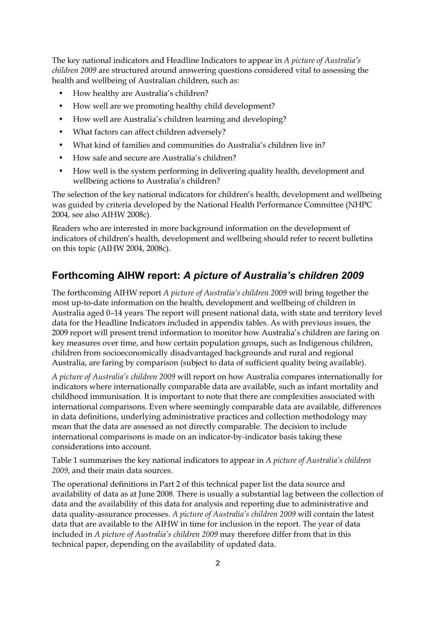The key national indicators and Headline Indicators to appear in *A picture of Australia's children 2009* are structured around answering questions considered vital to assessing the health and wellbeing of Australian children, such as:

- How healthy are Australia's children?
- How well are we promoting healthy child development?
- How well are Australia's children learning and developing?
- What factors can affect children adversely?
- What kind of families and communities do Australia's children live in?
- How safe and secure are Australia's children?
- How well is the system performing in delivering quality health, development and wellbeing actions to Australia's children?

The selection of the key national indicators for children's health, development and wellbeing was guided by criteria developed by the National Health Performance Committee (NHPC 2004, see also AIHW 2008c).

Readers who are interested in more background information on the development of indicators of children's health, development and wellbeing should refer to recent bulletins on this topic (AIHW 2004, 2008c).

## **Forthcoming AIHW report:** *A picture of Australia's children 2009*

The forthcoming AIHW report *A picture of Australia's children 2009* will bring together the most up-to-date information on the health, development and wellbeing of children in Australia aged 0–14 years. The report will present national data, with state and territory level data for the Headline Indicators included in appendix tables. As with previous issues, the 2009 report will present trend information to monitor how Australia's children are faring on key measures over time, and how certain population groups, such as Indigenous children, children from socioeconomically disadvantaged backgrounds and rural and regional Australia, are faring by comparison (subject to data of sufficient quality being available).

*A picture of Australia's children 2009* will report on how Australia compares internationally for indicators where internationally comparable data are available, such as infant mortality and childhood immunisation. It is important to note that there are complexities associated with international comparisons. Even where seemingly comparable data are available, differences in data definitions, underlying administrative practices and collection methodology may mean that the data are assessed as not directly comparable. The decision to include international comparisons is made on an indicator-by-indicator basis taking these considerations into account.

Table 1 summarises the key national indicators to appear in *A picture of Australia's children 2009*, and their main data sources.

The operational definitions in Part 2 of this technical paper list the data source and availability of data as at June 2008. There is usually a substantial lag between the collection of data and the availability of this data for analysis and reporting due to administrative and data quality-assurance processes. *A picture of Australia's children 2009* will contain the latest data that are available to the AIHW in time for inclusion in the report. The year of data included in *A picture of Australia's children 2009* may therefore differ from that in this technical paper, depending on the availability of updated data.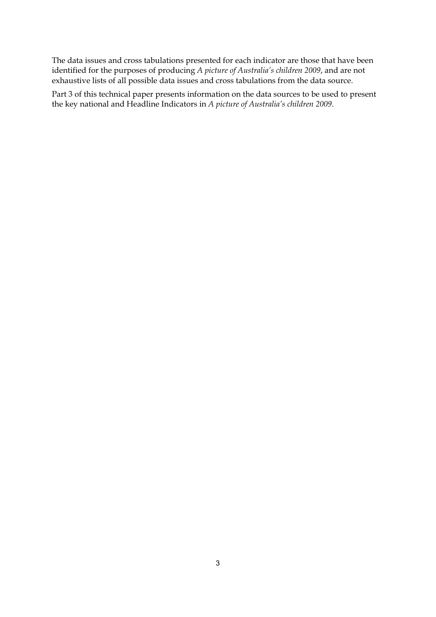The data issues and cross tabulations presented for each indicator are those that have been identified for the purposes of producing *A picture of Australia's children 2009*, and are not exhaustive lists of all possible data issues and cross tabulations from the data source.

Part 3 of this technical paper presents information on the data sources to be used to present the key national and Headline Indicators in *A picture of Australia's children 2009*.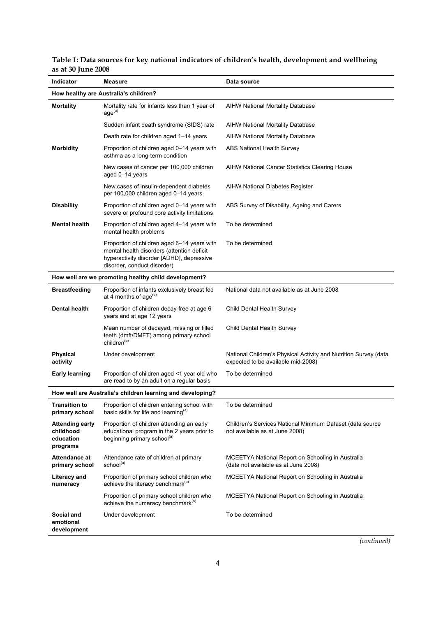| <b>Indicator</b>                                             | Measure                                                                                                                                                               | Data source                                                                                            |
|--------------------------------------------------------------|-----------------------------------------------------------------------------------------------------------------------------------------------------------------------|--------------------------------------------------------------------------------------------------------|
|                                                              |                                                                                                                                                                       |                                                                                                        |
|                                                              | How healthy are Australia's children?                                                                                                                                 |                                                                                                        |
| <b>Mortality</b>                                             | Mortality rate for infants less than 1 year of<br>age <sup>(a)</sup>                                                                                                  | <b>AIHW National Mortality Database</b>                                                                |
|                                                              | Sudden infant death syndrome (SIDS) rate                                                                                                                              | <b>AIHW National Mortality Database</b>                                                                |
|                                                              | Death rate for children aged 1-14 years                                                                                                                               | <b>AIHW National Mortality Database</b>                                                                |
| <b>Morbidity</b>                                             | Proportion of children aged 0-14 years with<br>asthma as a long-term condition                                                                                        | <b>ABS National Health Survey</b>                                                                      |
|                                                              | New cases of cancer per 100,000 children<br>aged 0-14 years                                                                                                           | AIHW National Cancer Statistics Clearing House                                                         |
|                                                              | New cases of insulin-dependent diabetes<br>per 100,000 children aged 0-14 years                                                                                       | <b>AIHW National Diabetes Register</b>                                                                 |
| <b>Disability</b>                                            | Proportion of children aged 0-14 years with<br>severe or profound core activity limitations                                                                           | ABS Survey of Disability, Ageing and Carers                                                            |
| <b>Mental health</b>                                         | Proportion of children aged 4-14 years with<br>mental health problems                                                                                                 | To be determined                                                                                       |
|                                                              | Proportion of children aged 6-14 years with<br>mental health disorders (attention deficit<br>hyperactivity disorder [ADHD], depressive<br>disorder, conduct disorder) | To be determined                                                                                       |
|                                                              | How well are we promoting healthy child development?                                                                                                                  |                                                                                                        |
| <b>Breastfeeding</b>                                         | Proportion of infants exclusively breast fed<br>at 4 months of age $(a)$                                                                                              | National data not available as at June 2008                                                            |
| <b>Dental health</b>                                         | Proportion of children decay-free at age 6<br>years and at age 12 years                                                                                               | Child Dental Health Survey                                                                             |
|                                                              | Mean number of decayed, missing or filled<br>teeth (dmft/DMFT) among primary school<br>children <sup>(a)</sup>                                                        | Child Dental Health Survey                                                                             |
| <b>Physical</b><br>activity                                  | Under development                                                                                                                                                     | National Children's Physical Activity and Nutrition Survey (data<br>expected to be available mid-2008) |
| <b>Early learning</b>                                        | Proportion of children aged <1 year old who<br>are read to by an adult on a regular basis                                                                             | To be determined                                                                                       |
|                                                              | How well are Australia's children learning and developing?                                                                                                            |                                                                                                        |
| <b>Transition to</b><br>primary school                       | Proportion of children entering school with<br>basic skills for life and learning <sup>(a)</sup>                                                                      | To be determined                                                                                       |
| <b>Attending early</b><br>childhood<br>education<br>programs | Proportion of children attending an early<br>educational program in the 2 years prior to<br>beginning primary school <sup>(a)</sup>                                   | Children's Services National Minimum Dataset (data source<br>not available as at June 2008)            |
| Attendance at<br>primary school                              | Attendance rate of children at primary<br>school <sup>(a)</sup>                                                                                                       | MCEETYA National Report on Schooling in Australia<br>(data not available as at June 2008)              |
| Literacy and<br>numeracy                                     | Proportion of primary school children who<br>achieve the literacy benchmark <sup>(a)</sup>                                                                            | MCEETYA National Report on Schooling in Australia                                                      |
|                                                              | Proportion of primary school children who<br>achieve the numeracy benchmark <sup>(a)</sup>                                                                            | MCEETYA National Report on Schooling in Australia                                                      |
| Social and<br>emotional<br>development                       | Under development                                                                                                                                                     | To be determined                                                                                       |

## **Table 1: Data sources for key national indicators of children's health, development and wellbeing as at 30 June 2008**

*(continued)*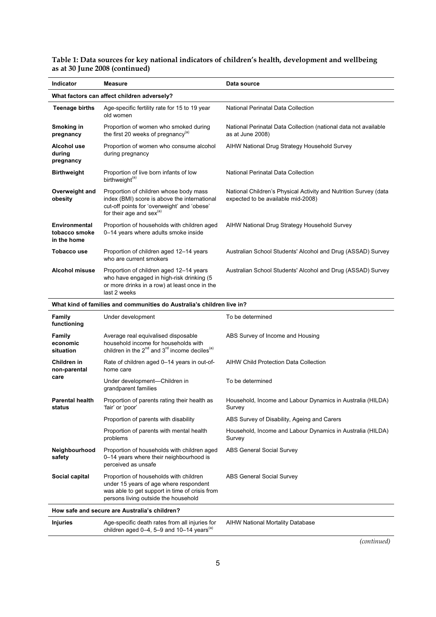| <b>Indicator</b>                                                       | <b>Measure</b>                                                                                                                                                             | Data source                                                                                            |  |  |  |
|------------------------------------------------------------------------|----------------------------------------------------------------------------------------------------------------------------------------------------------------------------|--------------------------------------------------------------------------------------------------------|--|--|--|
| What factors can affect children adversely?                            |                                                                                                                                                                            |                                                                                                        |  |  |  |
| <b>Teenage births</b>                                                  | Age-specific fertility rate for 15 to 19 year<br>old women                                                                                                                 | National Perinatal Data Collection                                                                     |  |  |  |
| Smoking in<br>pregnancy                                                | Proportion of women who smoked during<br>the first 20 weeks of pregnancy <sup>(a)</sup>                                                                                    | National Perinatal Data Collection (national data not available<br>as at June 2008)                    |  |  |  |
| Alcohol use<br>during<br>pregnancy                                     | Proportion of women who consume alcohol<br>during pregnancy                                                                                                                | AIHW National Drug Strategy Household Survey                                                           |  |  |  |
| <b>Birthweight</b>                                                     | Proportion of live born infants of low<br>birthweight <sup>(a)</sup>                                                                                                       | National Perinatal Data Collection                                                                     |  |  |  |
| Overweight and<br>obesity                                              | Proportion of children whose body mass<br>index (BMI) score is above the international<br>cut-off points for 'overweight' and 'obese'<br>for their age and sex $(a)$       | National Children's Physical Activity and Nutrition Survey (data<br>expected to be available mid-2008) |  |  |  |
| <b>Environmental</b><br>tobacco smoke<br>in the home                   | Proportion of households with children aged<br>0-14 years where adults smoke inside                                                                                        | AIHW National Drug Strategy Household Survey                                                           |  |  |  |
| <b>Tobacco use</b>                                                     | Proportion of children aged 12-14 years<br>who are current smokers                                                                                                         | Australian School Students' Alcohol and Drug (ASSAD) Survey                                            |  |  |  |
| <b>Alcohol misuse</b>                                                  | Proportion of children aged 12–14 years<br>who have engaged in high-risk drinking (5<br>or more drinks in a row) at least once in the<br>last 2 weeks                      | Australian School Students' Alcohol and Drug (ASSAD) Survey                                            |  |  |  |
| What kind of families and communities do Australia's children live in? |                                                                                                                                                                            |                                                                                                        |  |  |  |
| Family<br>functioning                                                  | Under development                                                                                                                                                          | To be determined                                                                                       |  |  |  |
| Family<br>economic<br>situation                                        | Average real equivalised disposable<br>household income for households with<br>children in the 2 <sup>nd</sup> and 3 <sup>rd</sup> income deciles <sup>(a)</sup>           | ABS Survey of Income and Housing                                                                       |  |  |  |
| Children in<br>non-parental                                            | Rate of children aged 0-14 years in out-of-<br>home care                                                                                                                   | AIHW Child Protection Data Collection                                                                  |  |  |  |
| care                                                                   | Under development-Children in<br>grandparent families                                                                                                                      | To be determined                                                                                       |  |  |  |
| <b>Parental health</b><br>status                                       | Proportion of parents rating their health as<br>'fair' or 'poor'                                                                                                           | Household, Income and Labour Dynamics in Australia (HILDA)<br>Survey                                   |  |  |  |
|                                                                        | Proportion of parents with disability                                                                                                                                      | ABS Survey of Disability, Ageing and Carers                                                            |  |  |  |
|                                                                        | Proportion of parents with mental health<br>problems                                                                                                                       | Household, Income and Labour Dynamics in Australia (HILDA)<br>Survey                                   |  |  |  |
| Neighbourhood<br>safety                                                | Proportion of households with children aged<br>0-14 years where their neighbourhood is<br>perceived as unsafe                                                              | <b>ABS General Social Survey</b>                                                                       |  |  |  |
| Social capital                                                         | Proportion of households with children<br>under 15 years of age where respondent<br>was able to get support in time of crisis from<br>persons living outside the household | <b>ABS General Social Survey</b>                                                                       |  |  |  |
| How safe and secure are Australia's children?                          |                                                                                                                                                                            |                                                                                                        |  |  |  |
| <b>Injuries</b>                                                        | Age-specific death rates from all injuries for<br>children aged $0-4$ , 5-9 and 10-14 years <sup>(a)</sup>                                                                 | AIHW National Mortality Database                                                                       |  |  |  |

**Table 1: Data sources for key national indicators of children's health, development and wellbeing as at 30 June 2008 (continued)** 

*(continued)*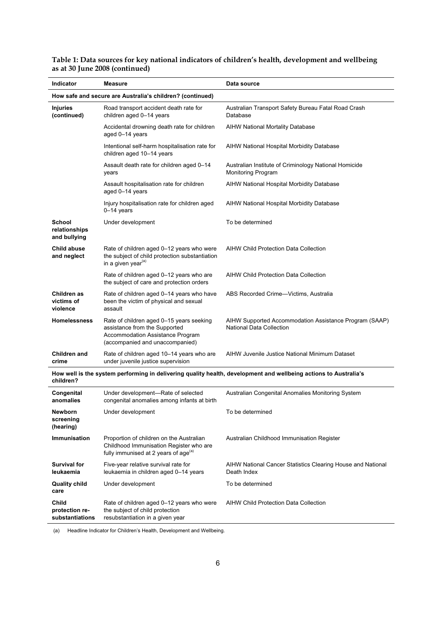| Indicator                                                 | Measure                                                                                                                                          | Data source                                                                        |  |  |
|-----------------------------------------------------------|--------------------------------------------------------------------------------------------------------------------------------------------------|------------------------------------------------------------------------------------|--|--|
| How safe and secure are Australia's children? (continued) |                                                                                                                                                  |                                                                                    |  |  |
| <b>Injuries</b><br>(continued)                            | Road transport accident death rate for<br>children aged 0-14 years                                                                               | Australian Transport Safety Bureau Fatal Road Crash<br>Database                    |  |  |
|                                                           | Accidental drowning death rate for children<br>aged 0-14 years                                                                                   | AIHW National Mortality Database                                                   |  |  |
|                                                           | Intentional self-harm hospitalisation rate for<br>children aged 10-14 years                                                                      | AIHW National Hospital Morbidity Database                                          |  |  |
|                                                           | Assault death rate for children aged 0-14<br>years                                                                                               | Australian Institute of Criminology National Homicide<br><b>Monitoring Program</b> |  |  |
|                                                           | Assault hospitalisation rate for children<br>aged 0-14 years                                                                                     | AIHW National Hospital Morbidity Database                                          |  |  |
|                                                           | Injury hospitalisation rate for children aged<br>0–14 years                                                                                      | AIHW National Hospital Morbidity Database                                          |  |  |
| School<br>relationships<br>and bullying                   | Under development                                                                                                                                | To be determined                                                                   |  |  |
| <b>Child abuse</b><br>and neglect                         | Rate of children aged 0-12 years who were<br>the subject of child protection substantiation<br>in a given year <sup>(a)</sup>                    | <b>AIHW Child Protection Data Collection</b>                                       |  |  |
|                                                           | Rate of children aged 0-12 years who are<br>the subject of care and protection orders                                                            | AIHW Child Protection Data Collection                                              |  |  |
| Children as<br>victims of<br>violence                     | Rate of children aged 0-14 years who have<br>been the victim of physical and sexual<br>assault                                                   | ABS Recorded Crime-Victims, Australia                                              |  |  |
| <b>Homelessness</b>                                       | Rate of children aged 0-15 years seeking<br>assistance from the Supported<br>Accommodation Assistance Program<br>(accompanied and unaccompanied) | AIHW Supported Accommodation Assistance Program (SAAP)<br>National Data Collection |  |  |
| <b>Children and</b><br>crime                              | Rate of children aged 10-14 years who are<br>under juvenile justice supervision                                                                  | AIHW Juvenile Justice National Minimum Dataset                                     |  |  |
| children?                                                 | How well is the system performing in delivering quality health, development and wellbeing actions to Australia's                                 |                                                                                    |  |  |
| Congenital<br>anomalies                                   | Under development-Rate of selected<br>congenital anomalies among infants at birth                                                                | Australian Congenital Anomalies Monitoring System                                  |  |  |
| Newborn<br>screening<br>(hearing)                         | Under development                                                                                                                                | To be determined                                                                   |  |  |
| Immunisation                                              | Proportion of children on the Australian<br>Childhood Immunisation Register who are<br>fully immunised at 2 years of age <sup>(a)</sup>          | Australian Childhood Immunisation Register                                         |  |  |
| <b>Survival for</b><br>leukaemia                          | Five-year relative survival rate for<br>leukaemia in children aged 0-14 years                                                                    | AIHW National Cancer Statistics Clearing House and National<br>Death Index         |  |  |
| <b>Quality child</b><br>care                              | Under development                                                                                                                                | To be determined                                                                   |  |  |
| <b>Child</b><br>protection re-<br>substantiations         | Rate of children aged 0-12 years who were<br>the subject of child protection<br>resubstantiation in a given year                                 | AIHW Child Protection Data Collection                                              |  |  |

#### **Table 1: Data sources for key national indicators of children's health, development and wellbeing as at 30 June 2008 (continued)**

(a) Headline Indicator for Children's Health, Development and Wellbeing.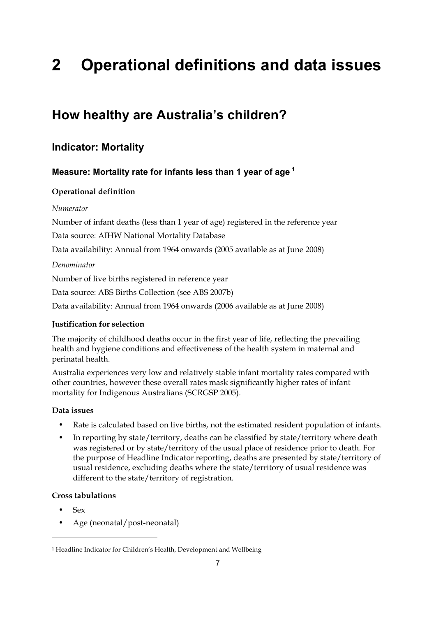# **2 Operational definitions and data issues**

# **How healthy are Australia's children?**

## **Indicator: Mortality**

## **Measure: Mortality rate for infants less than 1 year of age 1**

## **Operational definition**

#### *Numerator*

Number of infant deaths (less than 1 year of age) registered in the reference year

Data source: AIHW National Mortality Database

Data availability: Annual from 1964 onwards (2005 available as at June 2008)

#### *Denominator*

Number of live births registered in reference year

Data source: ABS Births Collection (see ABS 2007b)

Data availability: Annual from 1964 onwards (2006 available as at June 2008)

## **Justification for selection**

The majority of childhood deaths occur in the first year of life, reflecting the prevailing health and hygiene conditions and effectiveness of the health system in maternal and perinatal health.

Australia experiences very low and relatively stable infant mortality rates compared with other countries, however these overall rates mask significantly higher rates of infant mortality for Indigenous Australians (SCRGSP 2005).

## **Data issues**

- Rate is calculated based on live births, not the estimated resident population of infants.
- In reporting by state/territory, deaths can be classified by state/territory where death was registered or by state/territory of the usual place of residence prior to death. For the purpose of Headline Indicator reporting, deaths are presented by state/territory of usual residence, excluding deaths where the state/territory of usual residence was different to the state/territory of registration.

## **Cross tabulations**

• Sex

-

• Age (neonatal/post-neonatal)

<sup>1</sup> Headline Indicator for Children's Health, Development and Wellbeing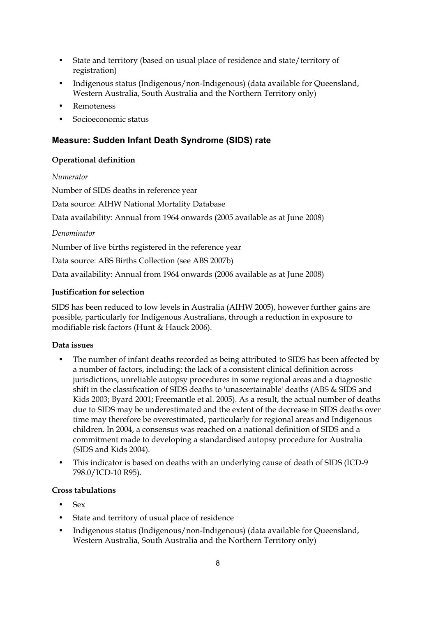- State and territory (based on usual place of residence and state/territory of registration)
- Indigenous status (Indigenous/non-Indigenous) (data available for Queensland, Western Australia, South Australia and the Northern Territory only)
- Remoteness
- Socioeconomic status

## **Measure: Sudden Infant Death Syndrome (SIDS) rate**

#### **Operational definition**

#### *Numerator*

Number of SIDS deaths in reference year

Data source: AIHW National Mortality Database

Data availability: Annual from 1964 onwards (2005 available as at June 2008)

*Denominator* 

Number of live births registered in the reference year

Data source: ABS Births Collection (see ABS 2007b)

Data availability: Annual from 1964 onwards (2006 available as at June 2008)

#### **Justification for selection**

SIDS has been reduced to low levels in Australia (AIHW 2005), however further gains are possible, particularly for Indigenous Australians, through a reduction in exposure to modifiable risk factors (Hunt & Hauck 2006).

#### **Data issues**

- The number of infant deaths recorded as being attributed to SIDS has been affected by a number of factors, including: the lack of a consistent clinical definition across jurisdictions, unreliable autopsy procedures in some regional areas and a diagnostic shift in the classification of SIDS deaths to 'unascertainable' deaths (ABS & SIDS and Kids 2003; Byard 2001; Freemantle et al. 2005). As a result, the actual number of deaths due to SIDS may be underestimated and the extent of the decrease in SIDS deaths over time may therefore be overestimated, particularly for regional areas and Indigenous children. In 2004, a consensus was reached on a national definition of SIDS and a commitment made to developing a standardised autopsy procedure for Australia (SIDS and Kids 2004).
- This indicator is based on deaths with an underlying cause of death of SIDS (ICD-9 798.0/ICD-10 R95).

## **Cross tabulations**

- Sex
- State and territory of usual place of residence
- Indigenous status (Indigenous/non-Indigenous) (data available for Queensland, Western Australia, South Australia and the Northern Territory only)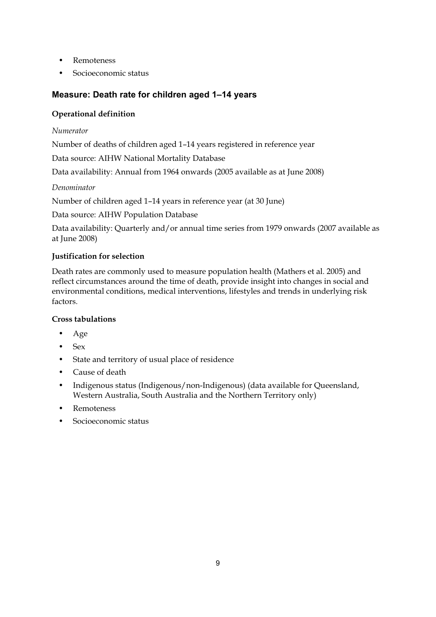- Remoteness
- Socioeconomic status

## **Measure: Death rate for children aged 1–14 years**

## **Operational definition**

## *Numerator*

Number of deaths of children aged 1–14 years registered in reference year

Data source: AIHW National Mortality Database

Data availability: Annual from 1964 onwards (2005 available as at June 2008)

## *Denominator*

Number of children aged 1–14 years in reference year (at 30 June)

Data source: AIHW Population Database

Data availability: Quarterly and/or annual time series from 1979 onwards (2007 available as at June 2008)

## **Justification for selection**

Death rates are commonly used to measure population health (Mathers et al. 2005) and reflect circumstances around the time of death, provide insight into changes in social and environmental conditions, medical interventions, lifestyles and trends in underlying risk factors.

## **Cross tabulations**

- Age
- Sex
- State and territory of usual place of residence
- Cause of death
- Indigenous status (Indigenous/non-Indigenous) (data available for Queensland, Western Australia, South Australia and the Northern Territory only)
- Remoteness
- Socioeconomic status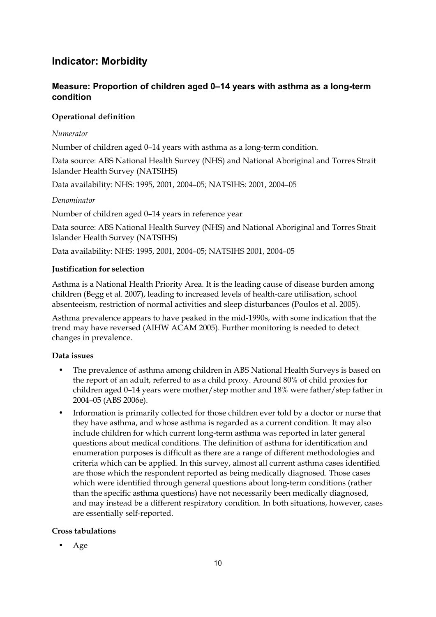## **Indicator: Morbidity**

## **Measure: Proportion of children aged 0–14 years with asthma as a long-term condition**

#### **Operational definition**

#### *Numerator*

Number of children aged 0–14 years with asthma as a long-term condition.

Data source: ABS National Health Survey (NHS) and National Aboriginal and Torres Strait Islander Health Survey (NATSIHS)

Data availability: NHS: 1995, 2001, 2004–05; NATSIHS: 2001, 2004–05

#### *Denominator*

Number of children aged 0–14 years in reference year

Data source: ABS National Health Survey (NHS) and National Aboriginal and Torres Strait Islander Health Survey (NATSIHS)

Data availability: NHS: 1995, 2001, 2004–05; NATSIHS 2001, 2004–05

#### **Justification for selection**

Asthma is a National Health Priority Area. It is the leading cause of disease burden among children (Begg et al. 2007), leading to increased levels of health-care utilisation, school absenteeism, restriction of normal activities and sleep disturbances (Poulos et al. 2005).

Asthma prevalence appears to have peaked in the mid-1990s, with some indication that the trend may have reversed (AIHW ACAM 2005). Further monitoring is needed to detect changes in prevalence.

#### **Data issues**

- The prevalence of asthma among children in ABS National Health Surveys is based on the report of an adult, referred to as a child proxy. Around 80% of child proxies for children aged 0–14 years were mother/step mother and 18% were father/step father in 2004–05 (ABS 2006e).
- Information is primarily collected for those children ever told by a doctor or nurse that they have asthma, and whose asthma is regarded as a current condition. It may also include children for which current long-term asthma was reported in later general questions about medical conditions. The definition of asthma for identification and enumeration purposes is difficult as there are a range of different methodologies and criteria which can be applied. In this survey, almost all current asthma cases identified are those which the respondent reported as being medically diagnosed. Those cases which were identified through general questions about long-term conditions (rather than the specific asthma questions) have not necessarily been medically diagnosed, and may instead be a different respiratory condition. In both situations, however, cases are essentially self-reported.

#### **Cross tabulations**

• Age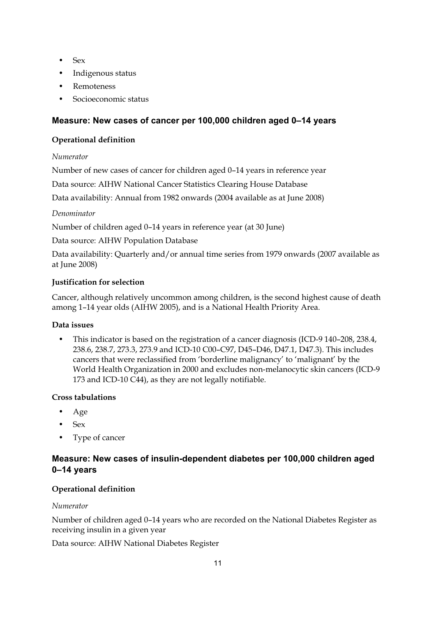- Sex
- Indigenous status
- **Remoteness**
- Socioeconomic status

## **Measure: New cases of cancer per 100,000 children aged 0–14 years**

### **Operational definition**

#### *Numerator*

Number of new cases of cancer for children aged 0–14 years in reference year

Data source: AIHW National Cancer Statistics Clearing House Database

Data availability: Annual from 1982 onwards (2004 available as at June 2008)

#### *Denominator*

Number of children aged 0–14 years in reference year (at 30 June)

Data source: AIHW Population Database

Data availability: Quarterly and/or annual time series from 1979 onwards (2007 available as at June 2008)

#### **Justification for selection**

Cancer, although relatively uncommon among children, is the second highest cause of death among 1–14 year olds (AIHW 2005), and is a National Health Priority Area.

#### **Data issues**

• This indicator is based on the registration of a cancer diagnosis (ICD-9 140–208, 238.4, 238.6, 238.7, 273.3, 273.9 and ICD-10 C00–C97, D45–D46, D47.1, D47.3). This includes cancers that were reclassified from 'borderline malignancy' to 'malignant' by the World Health Organization in 2000 and excludes non-melanocytic skin cancers (ICD-9 173 and ICD-10 C44), as they are not legally notifiable.

## **Cross tabulations**

- Age
- Sex
- Type of cancer

## **Measure: New cases of insulin-dependent diabetes per 100,000 children aged 0–14 years**

## **Operational definition**

#### *Numerator*

Number of children aged 0–14 years who are recorded on the National Diabetes Register as receiving insulin in a given year

Data source: AIHW National Diabetes Register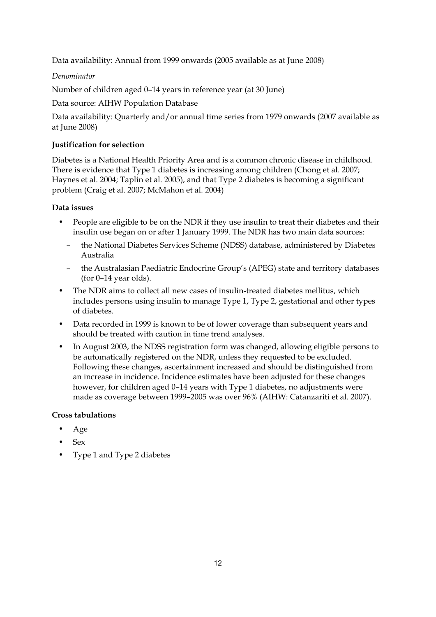Data availability: Annual from 1999 onwards (2005 available as at June 2008)

*Denominator* 

Number of children aged 0–14 years in reference year (at 30 June)

Data source: AIHW Population Database

Data availability: Quarterly and/or annual time series from 1979 onwards (2007 available as at June 2008)

#### **Justification for selection**

Diabetes is a National Health Priority Area and is a common chronic disease in childhood. There is evidence that Type 1 diabetes is increasing among children (Chong et al. 2007; Haynes et al. 2004; Taplin et al. 2005), and that Type 2 diabetes is becoming a significant problem (Craig et al. 2007; McMahon et al. 2004)

#### **Data issues**

- People are eligible to be on the NDR if they use insulin to treat their diabetes and their insulin use began on or after 1 January 1999. The NDR has two main data sources:
	- the National Diabetes Services Scheme (NDSS) database, administered by Diabetes Australia
	- the Australasian Paediatric Endocrine Group's (APEG) state and territory databases (for 0–14 year olds).
- The NDR aims to collect all new cases of insulin-treated diabetes mellitus, which includes persons using insulin to manage Type 1, Type 2, gestational and other types of diabetes.
- Data recorded in 1999 is known to be of lower coverage than subsequent years and should be treated with caution in time trend analyses.
- In August 2003, the NDSS registration form was changed, allowing eligible persons to be automatically registered on the NDR, unless they requested to be excluded. Following these changes, ascertainment increased and should be distinguished from an increase in incidence. Incidence estimates have been adjusted for these changes however, for children aged 0–14 years with Type 1 diabetes, no adjustments were made as coverage between 1999–2005 was over 96% (AIHW: Catanzariti et al. 2007).

#### **Cross tabulations**

- Age
- Sex
- Type 1 and Type 2 diabetes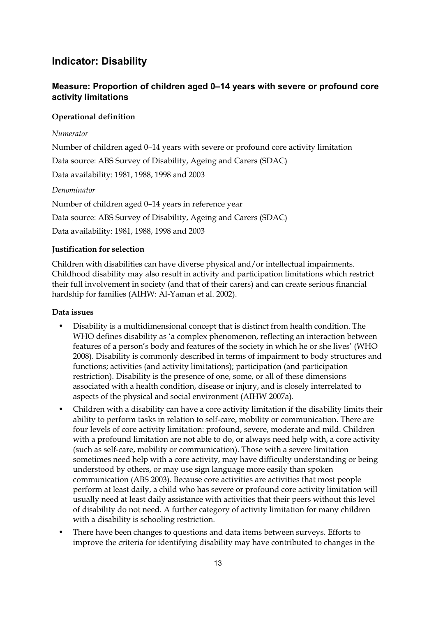## **Indicator: Disability**

## **Measure: Proportion of children aged 0–14 years with severe or profound core activity limitations**

#### **Operational definition**

#### *Numerator*

Number of children aged 0–14 years with severe or profound core activity limitation

Data source: ABS Survey of Disability, Ageing and Carers (SDAC)

Data availability: 1981, 1988, 1998 and 2003

#### *Denominator*

Number of children aged 0–14 years in reference year Data source: ABS Survey of Disability, Ageing and Carers (SDAC) Data availability: 1981, 1988, 1998 and 2003

#### **Justification for selection**

Children with disabilities can have diverse physical and/or intellectual impairments. Childhood disability may also result in activity and participation limitations which restrict their full involvement in society (and that of their carers) and can create serious financial hardship for families (AIHW: Al-Yaman et al. 2002).

#### **Data issues**

- Disability is a multidimensional concept that is distinct from health condition. The WHO defines disability as 'a complex phenomenon, reflecting an interaction between features of a person's body and features of the society in which he or she lives' (WHO 2008). Disability is commonly described in terms of impairment to body structures and functions; activities (and activity limitations); participation (and participation restriction). Disability is the presence of one, some, or all of these dimensions associated with a health condition, disease or injury, and is closely interrelated to aspects of the physical and social environment (AIHW 2007a).
- Children with a disability can have a core activity limitation if the disability limits their ability to perform tasks in relation to self-care, mobility or communication. There are four levels of core activity limitation: profound, severe, moderate and mild. Children with a profound limitation are not able to do, or always need help with, a core activity (such as self-care, mobility or communication). Those with a severe limitation sometimes need help with a core activity, may have difficulty understanding or being understood by others, or may use sign language more easily than spoken communication (ABS 2003). Because core activities are activities that most people perform at least daily, a child who has severe or profound core activity limitation will usually need at least daily assistance with activities that their peers without this level of disability do not need. A further category of activity limitation for many children with a disability is schooling restriction.
- There have been changes to questions and data items between surveys. Efforts to improve the criteria for identifying disability may have contributed to changes in the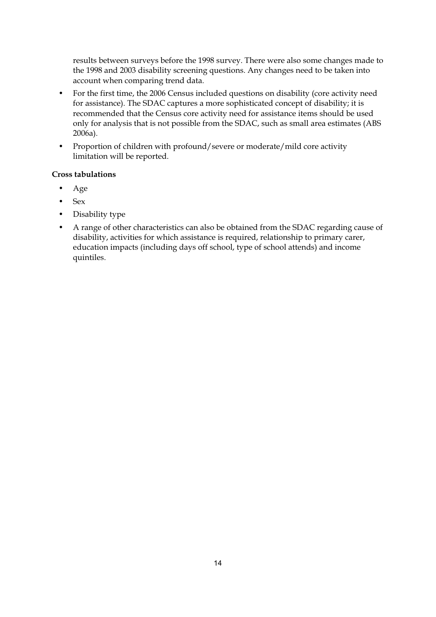results between surveys before the 1998 survey. There were also some changes made to the 1998 and 2003 disability screening questions. Any changes need to be taken into account when comparing trend data.

- For the first time, the 2006 Census included questions on disability (core activity need for assistance). The SDAC captures a more sophisticated concept of disability; it is recommended that the Census core activity need for assistance items should be used only for analysis that is not possible from the SDAC, such as small area estimates (ABS 2006a).
- Proportion of children with profound/severe or moderate/mild core activity limitation will be reported.

#### **Cross tabulations**

- Age
- Sex
- Disability type
- A range of other characteristics can also be obtained from the SDAC regarding cause of disability, activities for which assistance is required, relationship to primary carer, education impacts (including days off school, type of school attends) and income quintiles.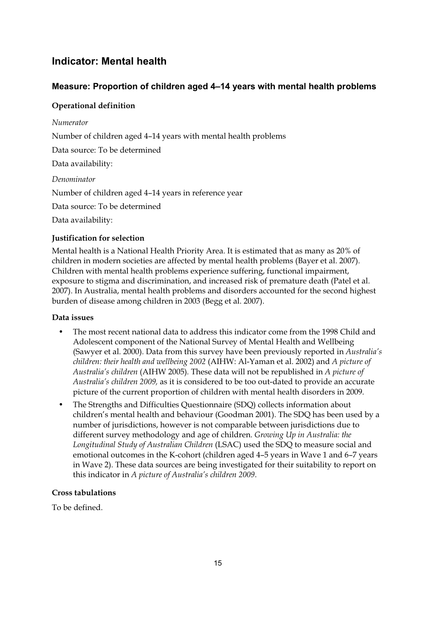## **Indicator: Mental health**

## **Measure: Proportion of children aged 4–14 years with mental health problems**

## **Operational definition**

### *Numerator*

Number of children aged 4–14 years with mental health problems

Data source: To be determined

Data availability:

*Denominator* 

Number of children aged 4–14 years in reference year

Data source: To be determined

Data availability:

## **Justification for selection**

Mental health is a National Health Priority Area. It is estimated that as many as 20% of children in modern societies are affected by mental health problems (Bayer et al. 2007). Children with mental health problems experience suffering, functional impairment, exposure to stigma and discrimination, and increased risk of premature death (Patel et al. 2007). In Australia, mental health problems and disorders accounted for the second highest burden of disease among children in 2003 (Begg et al. 2007).

## **Data issues**

- The most recent national data to address this indicator come from the 1998 Child and Adolescent component of the National Survey of Mental Health and Wellbeing (Sawyer et al. 2000). Data from this survey have been previously reported in *Australia's children: their health and wellbeing 2002* (AIHW: Al-Yaman et al. 2002) and *A picture of Australia's children* (AIHW 2005)*.* These data will not be republished in *A picture of Australia's children 2009,* as it is considered to be too out-dated to provide an accurate picture of the current proportion of children with mental health disorders in 2009.
- The Strengths and Difficulties Questionnaire (SDQ) collects information about children's mental health and behaviour (Goodman 2001). The SDQ has been used by a number of jurisdictions, however is not comparable between jurisdictions due to different survey methodology and age of children. *Growing Up in Australia: the Longitudinal Study of Australian Children* (LSAC) used the SDQ to measure social and emotional outcomes in the K-cohort (children aged 4–5 years in Wave 1 and 6–7 years in Wave 2). These data sources are being investigated for their suitability to report on this indicator in *A picture of Australia's children 2009*.

## **Cross tabulations**

To be defined.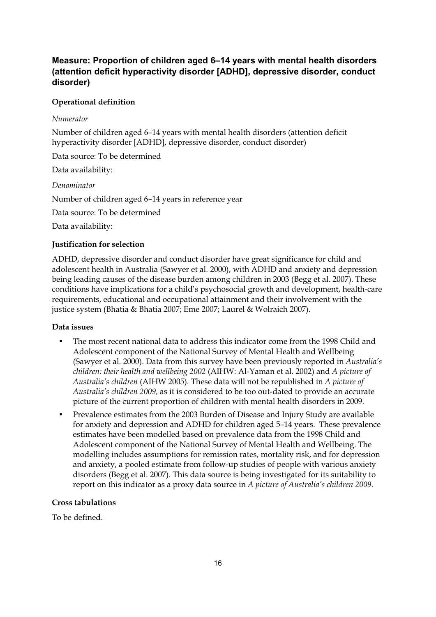## **Measure: Proportion of children aged 6–14 years with mental health disorders (attention deficit hyperactivity disorder [ADHD], depressive disorder, conduct disorder)**

#### **Operational definition**

#### *Numerator*

Number of children aged 6–14 years with mental health disorders (attention deficit hyperactivity disorder [ADHD], depressive disorder, conduct disorder)

Data source: To be determined

Data availability:

*Denominator*  Number of children aged 6–14 years in reference year

Data source: To be determined

Data availability:

#### **Justification for selection**

ADHD, depressive disorder and conduct disorder have great significance for child and adolescent health in Australia (Sawyer et al. 2000), with ADHD and anxiety and depression being leading causes of the disease burden among children in 2003 (Begg et al. 2007). These conditions have implications for a child's psychosocial growth and development, health-care requirements, educational and occupational attainment and their involvement with the justice system (Bhatia & Bhatia 2007; Eme 2007; Laurel & Wolraich 2007).

#### **Data issues**

- The most recent national data to address this indicator come from the 1998 Child and Adolescent component of the National Survey of Mental Health and Wellbeing (Sawyer et al. 2000). Data from this survey have been previously reported in *Australia's children: their health and wellbeing 2002* (AIHW: Al-Yaman et al. 2002) and *A picture of Australia's children* (AIHW 2005)*.* These data will not be republished in *A picture of Australia's children 2009,* as it is considered to be too out-dated to provide an accurate picture of the current proportion of children with mental health disorders in 2009.
- Prevalence estimates from the 2003 Burden of Disease and Injury Study are available for anxiety and depression and ADHD for children aged 5–14 years. These prevalence estimates have been modelled based on prevalence data from the 1998 Child and Adolescent component of the National Survey of Mental Health and Wellbeing. The modelling includes assumptions for remission rates, mortality risk, and for depression and anxiety, a pooled estimate from follow-up studies of people with various anxiety disorders (Begg et al. 2007). This data source is being investigated for its suitability to report on this indicator as a proxy data source in *A picture of Australia's children 2009*.

#### **Cross tabulations**

To be defined.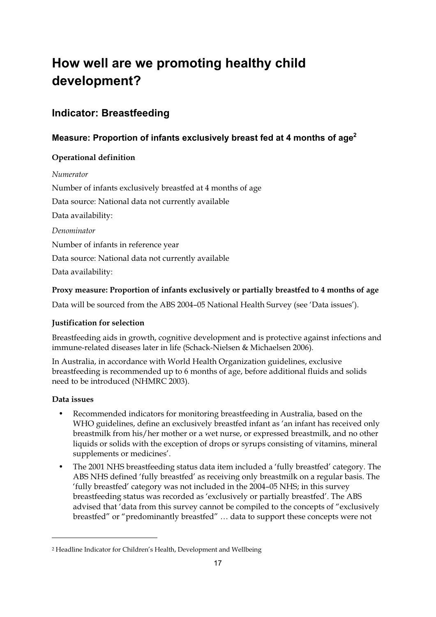# **How well are we promoting healthy child development?**

# **Indicator: Breastfeeding**

## **Measure: Proportion of infants exclusively breast fed at 4 months of age2**

## **Operational definition**

#### *Numerator*

Number of infants exclusively breastfed at 4 months of age

Data source: National data not currently available

Data availability:

*Denominator* 

Number of infants in reference year

Data source: National data not currently available

Data availability:

## **Proxy measure: Proportion of infants exclusively or partially breastfed to 4 months of age**

Data will be sourced from the ABS 2004–05 National Health Survey (see 'Data issues').

## **Justification for selection**

Breastfeeding aids in growth, cognitive development and is protective against infections and immune-related diseases later in life (Schack-Nielsen & Michaelsen 2006).

In Australia, in accordance with World Health Organization guidelines, exclusive breastfeeding is recommended up to 6 months of age, before additional fluids and solids need to be introduced (NHMRC 2003).

## **Data issues**

- Recommended indicators for monitoring breastfeeding in Australia, based on the WHO guidelines, define an exclusively breastfed infant as 'an infant has received only breastmilk from his/her mother or a wet nurse, or expressed breastmilk, and no other liquids or solids with the exception of drops or syrups consisting of vitamins, mineral supplements or medicines'.
- The 2001 NHS breastfeeding status data item included a 'fully breastfed' category. The ABS NHS defined 'fully breastfed' as receiving only breastmilk on a regular basis. The 'fully breastfed' category was not included in the 2004–05 NHS; in this survey breastfeeding status was recorded as 'exclusively or partially breastfed'. The ABS advised that 'data from this survey cannot be compiled to the concepts of "exclusively breastfed" or "predominantly breastfed" … data to support these concepts were not

<sup>2</sup> Headline Indicator for Children's Health, Development and Wellbeing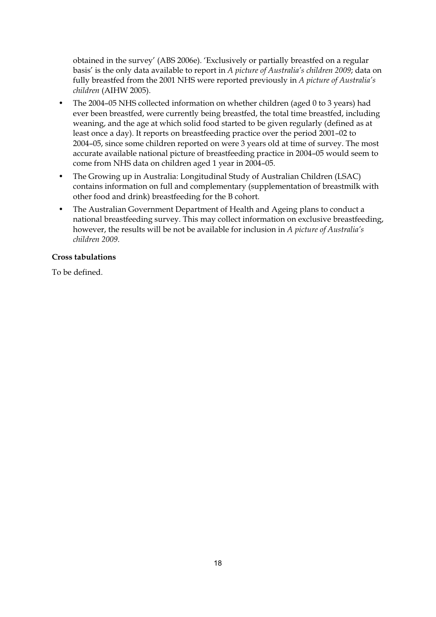obtained in the survey' (ABS 2006e). 'Exclusively or partially breastfed on a regular basis' is the only data available to report in *A picture of Australia's children 2009*; data on fully breastfed from the 2001 NHS were reported previously in *A picture of Australia's children* (AIHW 2005).

- The 2004–05 NHS collected information on whether children (aged 0 to 3 years) had ever been breastfed, were currently being breastfed, the total time breastfed, including weaning, and the age at which solid food started to be given regularly (defined as at least once a day). It reports on breastfeeding practice over the period 2001–02 to 2004–05, since some children reported on were 3 years old at time of survey. The most accurate available national picture of breastfeeding practice in 2004–05 would seem to come from NHS data on children aged 1 year in 2004–05.
- The Growing up in Australia: Longitudinal Study of Australian Children (LSAC) contains information on full and complementary (supplementation of breastmilk with other food and drink) breastfeeding for the B cohort.
- The Australian Government Department of Health and Ageing plans to conduct a national breastfeeding survey. This may collect information on exclusive breastfeeding, however, the results will be not be available for inclusion in *A picture of Australia's children 2009*.

#### **Cross tabulations**

To be defined.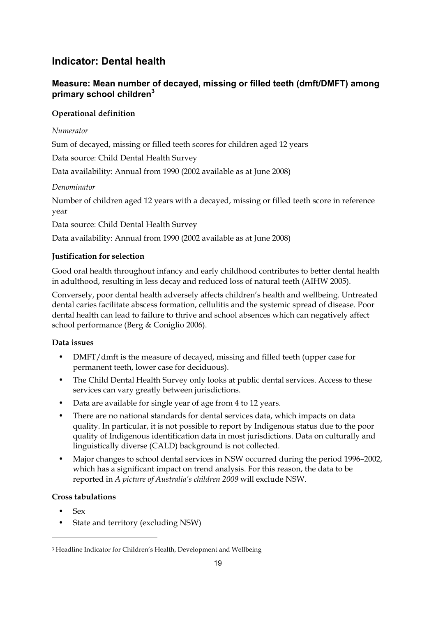# **Indicator: Dental health**

## **Measure: Mean number of decayed, missing or filled teeth (dmft/DMFT) among primary school children3**

## **Operational definition**

### *Numerator*

Sum of decayed, missing or filled teeth scores for children aged 12 years

Data source: Child Dental Health Survey

Data availability: Annual from 1990 (2002 available as at June 2008)

## *Denominator*

Number of children aged 12 years with a decayed, missing or filled teeth score in reference year

Data source: Child Dental Health Survey

Data availability: Annual from 1990 (2002 available as at June 2008)

#### **Justification for selection**

Good oral health throughout infancy and early childhood contributes to better dental health in adulthood, resulting in less decay and reduced loss of natural teeth (AIHW 2005).

Conversely, poor dental health adversely affects children's health and wellbeing. Untreated dental caries facilitate abscess formation, cellulitis and the systemic spread of disease. Poor dental health can lead to failure to thrive and school absences which can negatively affect school performance (Berg & Coniglio 2006).

## **Data issues**

- DMFT/dmft is the measure of decayed, missing and filled teeth (upper case for permanent teeth, lower case for deciduous).
- The Child Dental Health Survey only looks at public dental services. Access to these services can vary greatly between jurisdictions.
- Data are available for single year of age from 4 to 12 years.
- There are no national standards for dental services data, which impacts on data quality. In particular, it is not possible to report by Indigenous status due to the poor quality of Indigenous identification data in most jurisdictions. Data on culturally and linguistically diverse (CALD) background is not collected.
- Major changes to school dental services in NSW occurred during the period 1996–2002, which has a significant impact on trend analysis. For this reason, the data to be reported in *A picture of Australia's children 2009* will exclude NSW.

## **Cross tabulations**

• Sex

-

• State and territory (excluding NSW)

<sup>3</sup> Headline Indicator for Children's Health, Development and Wellbeing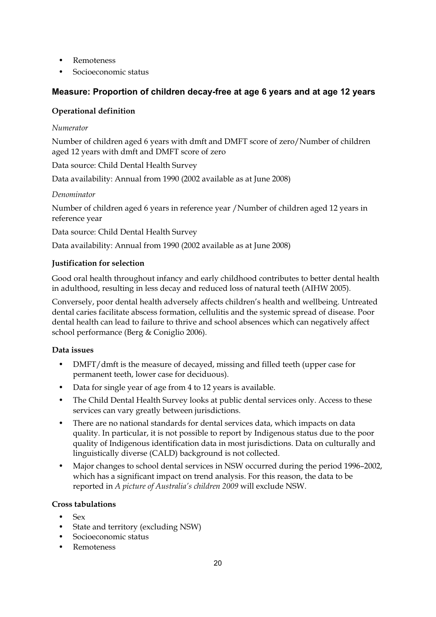- **Remoteness**
- Socioeconomic status

## **Measure: Proportion of children decay-free at age 6 years and at age 12 years**

#### **Operational definition**

#### *Numerator*

Number of children aged 6 years with dmft and DMFT score of zero/Number of children aged 12 years with dmft and DMFT score of zero

Data source: Child Dental Health Survey

Data availability: Annual from 1990 (2002 available as at June 2008)

#### *Denominator*

Number of children aged 6 years in reference year /Number of children aged 12 years in reference year

Data source: Child Dental Health Survey

Data availability: Annual from 1990 (2002 available as at June 2008)

#### **Justification for selection**

Good oral health throughout infancy and early childhood contributes to better dental health in adulthood, resulting in less decay and reduced loss of natural teeth (AIHW 2005).

Conversely, poor dental health adversely affects children's health and wellbeing. Untreated dental caries facilitate abscess formation, cellulitis and the systemic spread of disease. Poor dental health can lead to failure to thrive and school absences which can negatively affect school performance (Berg & Coniglio 2006).

#### **Data issues**

- DMFT/dmft is the measure of decayed, missing and filled teeth (upper case for permanent teeth, lower case for deciduous).
- Data for single year of age from 4 to 12 years is available.
- The Child Dental Health Survey looks at public dental services only. Access to these services can vary greatly between jurisdictions.
- There are no national standards for dental services data, which impacts on data quality. In particular, it is not possible to report by Indigenous status due to the poor quality of Indigenous identification data in most jurisdictions. Data on culturally and linguistically diverse (CALD) background is not collected.
- Major changes to school dental services in NSW occurred during the period 1996–2002, which has a significant impact on trend analysis. For this reason, the data to be reported in *A picture of Australia's children 2009* will exclude NSW.

#### **Cross tabulations**

- Sex
- State and territory (excluding NSW)
- Socioeconomic status
- **Remoteness**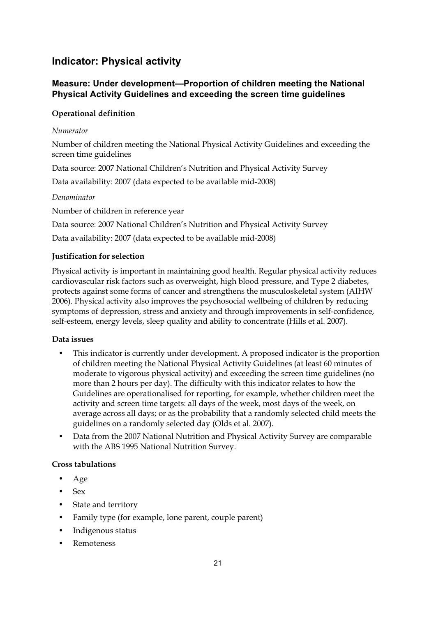# **Indicator: Physical activity**

## **Measure: Under development—Proportion of children meeting the National Physical Activity Guidelines and exceeding the screen time guidelines**

## **Operational definition**

### *Numerator*

Number of children meeting the National Physical Activity Guidelines and exceeding the screen time guidelines

Data source: 2007 National Children's Nutrition and Physical Activity Survey

Data availability: 2007 (data expected to be available mid-2008)

#### *Denominator*

Number of children in reference year

Data source: 2007 National Children's Nutrition and Physical Activity Survey

Data availability: 2007 (data expected to be available mid-2008)

## **Justification for selection**

Physical activity is important in maintaining good health. Regular physical activity reduces cardiovascular risk factors such as overweight, high blood pressure, and Type 2 diabetes, protects against some forms of cancer and strengthens the musculoskeletal system (AIHW 2006). Physical activity also improves the psychosocial wellbeing of children by reducing symptoms of depression, stress and anxiety and through improvements in self-confidence, self-esteem, energy levels, sleep quality and ability to concentrate (Hills et al. 2007).

#### **Data issues**

- This indicator is currently under development. A proposed indicator is the proportion of children meeting the National Physical Activity Guidelines (at least 60 minutes of moderate to vigorous physical activity) and exceeding the screen time guidelines (no more than 2 hours per day). The difficulty with this indicator relates to how the Guidelines are operationalised for reporting, for example, whether children meet the activity and screen time targets: all days of the week, most days of the week, on average across all days; or as the probability that a randomly selected child meets the guidelines on a randomly selected day (Olds et al. 2007).
- Data from the 2007 National Nutrition and Physical Activity Survey are comparable with the ABS 1995 National Nutrition Survey.

## **Cross tabulations**

- Age
- Sex
- State and territory
- Family type (for example, lone parent, couple parent)
- Indigenous status
- Remoteness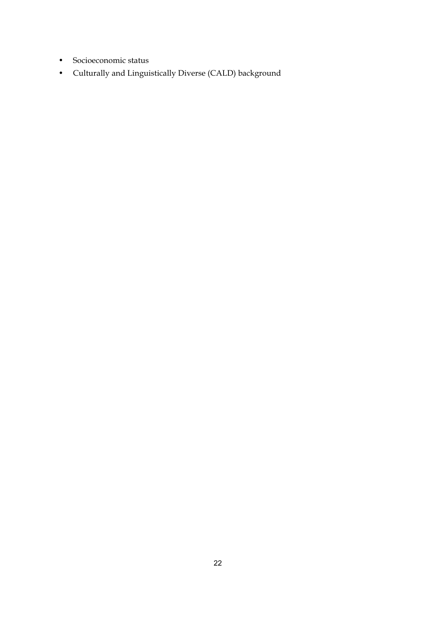- Socioeconomic status
- Culturally and Linguistically Diverse (CALD) background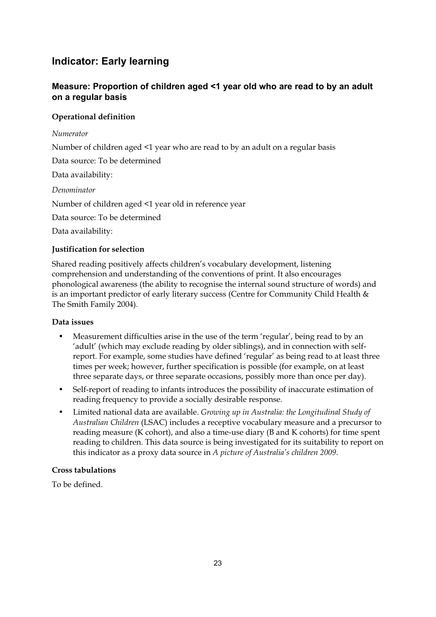# **Indicator: Early learning**

## **Measure: Proportion of children aged <1 year old who are read to by an adult on a regular basis**

## **Operational definition**

### *Numerator*

Number of children aged <1 year who are read to by an adult on a regular basis

Data source: To be determined

Data availability:

*Denominator* 

Number of children aged <1 year old in reference year

Data source: To be determined

Data availability:

## **Justification for selection**

Shared reading positively affects children's vocabulary development, listening comprehension and understanding of the conventions of print. It also encourages phonological awareness (the ability to recognise the internal sound structure of words) and is an important predictor of early literary success (Centre for Community Child Health & The Smith Family 2004).

#### **Data issues**

- Measurement difficulties arise in the use of the term 'regular', being read to by an 'adult' (which may exclude reading by older siblings), and in connection with selfreport. For example, some studies have defined 'regular' as being read to at least three times per week; however, further specification is possible (for example, on at least three separate days, or three separate occasions, possibly more than once per day).
- Self-report of reading to infants introduces the possibility of inaccurate estimation of reading frequency to provide a socially desirable response.
- Limited national data are available. *Growing up in Australia: the Longitudinal Study of Australian Children* (LSAC) includes a receptive vocabulary measure and a precursor to reading measure (K cohort), and also a time-use diary (B and K cohorts) for time spent reading to children. This data source is being investigated for its suitability to report on this indicator as a proxy data source in *A picture of Australia's children 2009*.

## **Cross tabulations**

To be defined.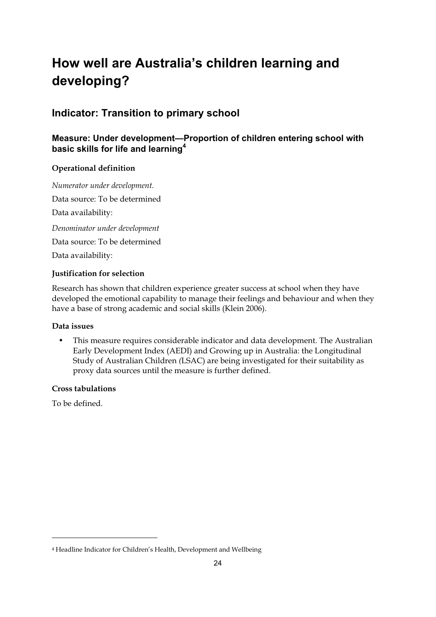# **How well are Australia's children learning and developing?**

## **Indicator: Transition to primary school**

## **Measure: Under development—Proportion of children entering school with basic skills for life and learning<sup>4</sup>**

## **Operational definition**

*Numerator under development.*  Data source: To be determined Data availability: *Denominator under development*  Data source: To be determined Data availability:

## **Justification for selection**

Research has shown that children experience greater success at school when they have developed the emotional capability to manage their feelings and behaviour and when they have a base of strong academic and social skills (Klein 2006).

## **Data issues**

• This measure requires considerable indicator and data development. The Australian Early Development Index (AEDI) and Growing up in Australia: the Longitudinal Study of Australian Children *(*LSAC) are being investigated for their suitability as proxy data sources until the measure is further defined.

## **Cross tabulations**

To be defined.

<sup>4</sup> Headline Indicator for Children's Health, Development and Wellbeing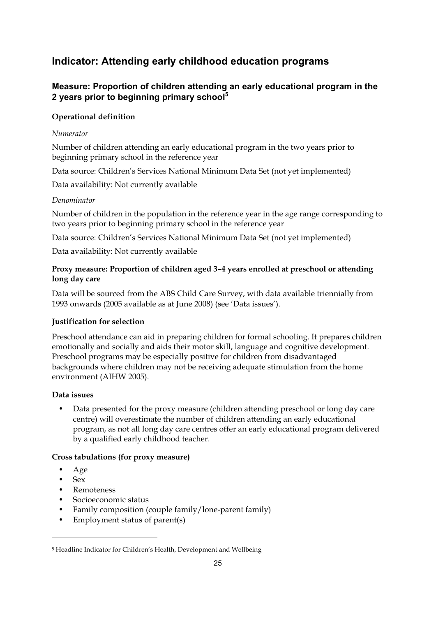# **Indicator: Attending early childhood education programs**

## **Measure: Proportion of children attending an early educational program in the 2 years prior to beginning primary school<sup>5</sup>**

### **Operational definition**

#### *Numerator*

Number of children attending an early educational program in the two years prior to beginning primary school in the reference year

Data source: Children's Services National Minimum Data Set (not yet implemented)

Data availability: Not currently available

#### *Denominator*

Number of children in the population in the reference year in the age range corresponding to two years prior to beginning primary school in the reference year

Data source: Children's Services National Minimum Data Set (not yet implemented)

Data availability: Not currently available

#### **Proxy measure: Proportion of children aged 3–4 years enrolled at preschool or attending long day care**

Data will be sourced from the ABS Child Care Survey, with data available triennially from 1993 onwards (2005 available as at June 2008) (see 'Data issues').

#### **Justification for selection**

Preschool attendance can aid in preparing children for formal schooling. It prepares children emotionally and socially and aids their motor skill, language and cognitive development. Preschool programs may be especially positive for children from disadvantaged backgrounds where children may not be receiving adequate stimulation from the home environment (AIHW 2005).

#### **Data issues**

• Data presented for the proxy measure (children attending preschool or long day care centre) will overestimate the number of children attending an early educational program, as not all long day care centres offer an early educational program delivered by a qualified early childhood teacher.

#### **Cross tabulations (for proxy measure)**

- Age
- Sex

- Remoteness
- Socioeconomic status
- Family composition (couple family/lone-parent family)
- Employment status of parent(s)

<sup>5</sup> Headline Indicator for Children's Health, Development and Wellbeing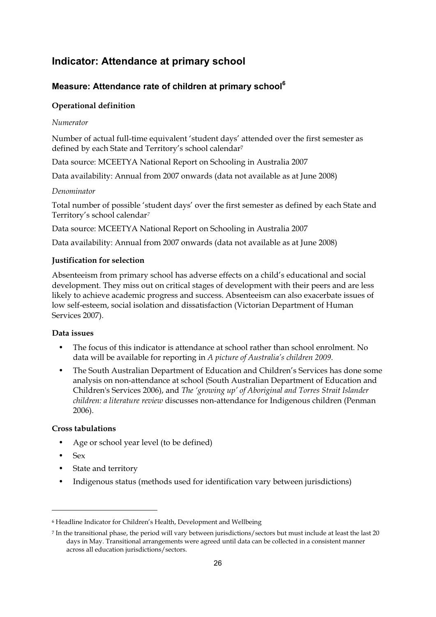## **Indicator: Attendance at primary school**

## **Measure: Attendance rate of children at primary school<sup>6</sup>**

#### **Operational definition**

#### *Numerator*

Number of actual full-time equivalent 'student days' attended over the first semester as defined by each State and Territory's school calendar<sup>7</sup>

Data source: MCEETYA National Report on Schooling in Australia 2007

Data availability: Annual from 2007 onwards (data not available as at June 2008)

#### *Denominator*

Total number of possible 'student days' over the first semester as defined by each State and Territory's school calendar*<sup>7</sup>*

Data source: MCEETYA National Report on Schooling in Australia 2007

Data availability: Annual from 2007 onwards (data not available as at June 2008)

#### **Justification for selection**

Absenteeism from primary school has adverse effects on a child's educational and social development. They miss out on critical stages of development with their peers and are less likely to achieve academic progress and success. Absenteeism can also exacerbate issues of low self-esteem, social isolation and dissatisfaction (Victorian Department of Human Services 2007).

#### **Data issues**

- The focus of this indicator is attendance at school rather than school enrolment. No data will be available for reporting in *A picture of Australia's children 2009*.
- The South Australian Department of Education and Children's Services has done some analysis on non-attendance at school (South Australian Department of Education and Children's Services 2006), and *The 'growing up' of Aboriginal and Torres Strait Islander children: a literature review* discusses non-attendance for Indigenous children (Penman 2006).

#### **Cross tabulations**

- Age or school year level (to be defined)
- Sex

- State and territory
- Indigenous status (methods used for identification vary between jurisdictions)

<sup>6</sup> Headline Indicator for Children's Health, Development and Wellbeing

<sup>7</sup> In the transitional phase, the period will vary between jurisdictions/sectors but must include at least the last 20 days in May. Transitional arrangements were agreed until data can be collected in a consistent manner across all education jurisdictions/sectors.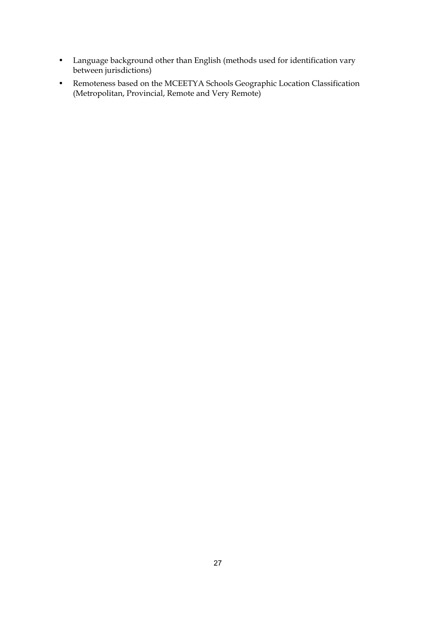- Language background other than English (methods used for identification vary between jurisdictions)
- Remoteness based on the MCEETYA Schools Geographic Location Classification (Metropolitan, Provincial, Remote and Very Remote)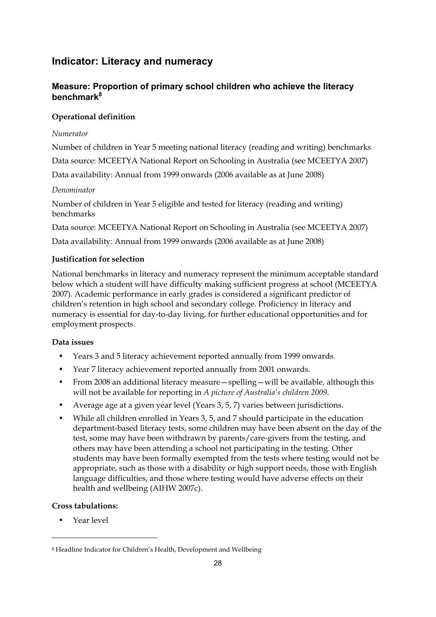## **Indicator: Literacy and numeracy**

## **Measure: Proportion of primary school children who achieve the literacy benchmark8**

## **Operational definition**

### *Numerator*

Number of children in Year 5 meeting national literacy (reading and writing) benchmarks Data source: MCEETYA National Report on Schooling in Australia (see MCEETYA 2007) Data availability: Annual from 1999 onwards (2006 available as at June 2008)

## *Denominator*

Number of children in Year 5 eligible and tested for literacy (reading and writing) benchmarks

Data source: MCEETYA National Report on Schooling in Australia (see MCEETYA 2007)

Data availability: Annual from 1999 onwards (2006 available as at June 2008)

## **Justification for selection**

National benchmarks in literacy and numeracy represent the minimum acceptable standard below which a student will have difficulty making sufficient progress at school (MCEETYA 2007). Academic performance in early grades is considered a significant predictor of children's retention in high school and secondary college. Proficiency in literacy and numeracy is essential for day-to-day living, for further educational opportunities and for employment prospects.

## **Data issues**

- Years 3 and 5 literacy achievement reported annually from 1999 onwards.
- Year 7 literacy achievement reported annually from 2001 onwards.
- From 2008 an additional literacy measure—spelling—will be available, although this will not be available for reporting in *A picture of Australia's children 2009*.
- Average age at a given year level (Years 3, 5, 7) varies between jurisdictions.
- While all children enrolled in Years 3, 5, and 7 should participate in the education department-based literacy tests, some children may have been absent on the day of the test, some may have been withdrawn by parents/care-givers from the testing, and others may have been attending a school not participating in the testing. Other students may have been formally exempted from the tests where testing would not be appropriate, such as those with a disability or high support needs, those with English language difficulties, and those where testing would have adverse effects on their health and wellbeing (AIHW 2007c).

## **Cross tabulations:**

• Year level

<sup>8</sup> Headline Indicator for Children's Health, Development and Wellbeing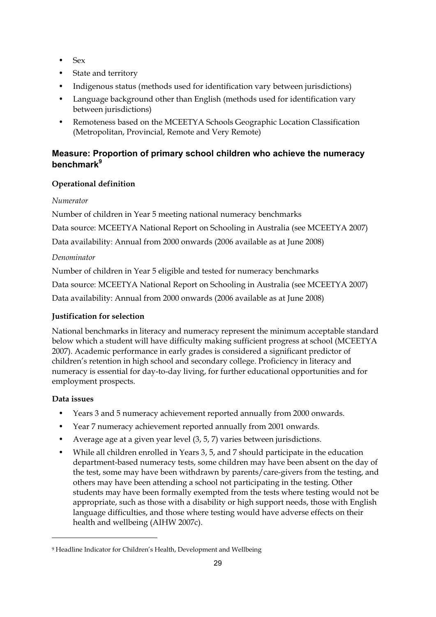- Sex
- State and territory
- Indigenous status (methods used for identification vary between jurisdictions)
- Language background other than English (methods used for identification vary between jurisdictions)
- Remoteness based on the MCEETYA Schools Geographic Location Classification (Metropolitan, Provincial, Remote and Very Remote)

## **Measure: Proportion of primary school children who achieve the numeracy benchmark9**

## **Operational definition**

#### *Numerator*

Number of children in Year 5 meeting national numeracy benchmarks

Data source: MCEETYA National Report on Schooling in Australia (see MCEETYA 2007)

Data availability: Annual from 2000 onwards (2006 available as at June 2008)

#### *Denominator*

Number of children in Year 5 eligible and tested for numeracy benchmarks

Data source: MCEETYA National Report on Schooling in Australia (see MCEETYA 2007)

Data availability: Annual from 2000 onwards (2006 available as at June 2008)

## **Justification for selection**

National benchmarks in literacy and numeracy represent the minimum acceptable standard below which a student will have difficulty making sufficient progress at school (MCEETYA 2007). Academic performance in early grades is considered a significant predictor of children's retention in high school and secondary college. Proficiency in literacy and numeracy is essential for day-to-day living, for further educational opportunities and for employment prospects.

#### **Data issues**

- Years 3 and 5 numeracy achievement reported annually from 2000 onwards.
- Year 7 numeracy achievement reported annually from 2001 onwards.
- Average age at a given year level (3, 5, 7) varies between jurisdictions.
- While all children enrolled in Years 3, 5, and 7 should participate in the education department-based numeracy tests, some children may have been absent on the day of the test, some may have been withdrawn by parents/care-givers from the testing, and others may have been attending a school not participating in the testing. Other students may have been formally exempted from the tests where testing would not be appropriate, such as those with a disability or high support needs, those with English language difficulties, and those where testing would have adverse effects on their health and wellbeing (AIHW 2007c).

<sup>9</sup> Headline Indicator for Children's Health, Development and Wellbeing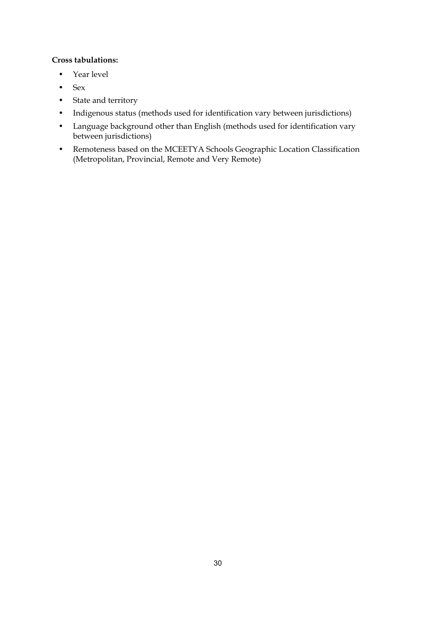### **Cross tabulations:**

- Year level
- Sex
- State and territory
- Indigenous status (methods used for identification vary between jurisdictions)
- Language background other than English (methods used for identification vary between jurisdictions)
- Remoteness based on the MCEETYA Schools Geographic Location Classification (Metropolitan, Provincial, Remote and Very Remote)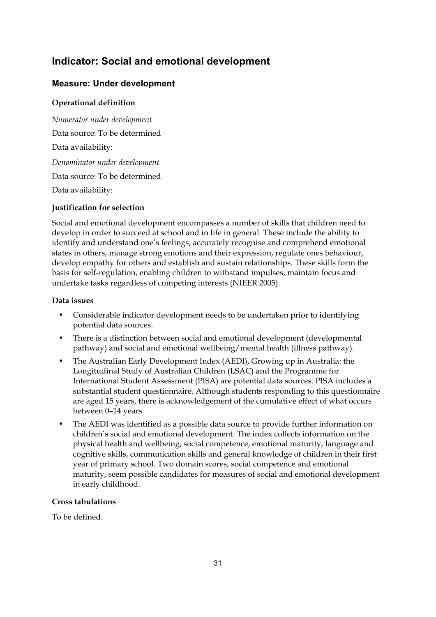# **Indicator: Social and emotional development**

## **Measure: Under development**

#### **Operational definition**

*Numerator under development*  Data source: To be determined Data availability: *Denominator under development*  Data source: To be determined Data availability:

#### **Justification for selection**

Social and emotional development encompasses a number of skills that children need to develop in order to succeed at school and in life in general. These include the ability to identify and understand one's feelings, accurately recognise and comprehend emotional states in others, manage strong emotions and their expression, regulate ones behaviour, develop empathy for others and establish and sustain relationships. These skills form the basis for self-regulation, enabling children to withstand impulses, maintain focus and undertake tasks regardless of competing interests (NIEER 2005).

#### **Data issues**

- Considerable indicator development needs to be undertaken prior to identifying potential data sources.
- There is a distinction between social and emotional development (developmental pathway) and social and emotional wellbeing/mental health (illness pathway).
- The Australian Early Development Index (AEDI), Growing up in Australia: the Longitudinal Study of Australian Children (LSAC) and the Programme for International Student Assessment (PISA) are potential data sources. PISA includes a substantial student questionnaire. Although students responding to this questionnaire are aged 15 years, there is acknowledgement of the cumulative effect of what occurs between 0–14 years.
- The AEDI was identified as a possible data source to provide further information on children's social and emotional development. The index collects information on the physical health and wellbeing, social competence, emotional maturity, language and cognitive skills, communication skills and general knowledge of children in their first year of primary school. Two domain scores, social competence and emotional maturity, seem possible candidates for measures of social and emotional development in early childhood.

#### **Cross tabulations**

To be defined.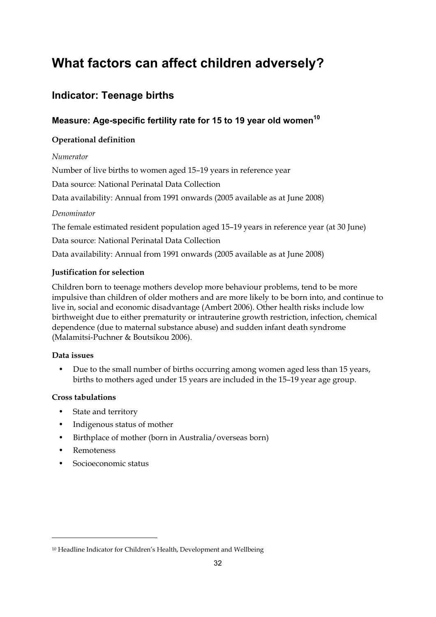# **What factors can affect children adversely?**

# **Indicator: Teenage births**

## **Measure: Age-specific fertility rate for 15 to 19 year old women<sup>10</sup>**

#### **Operational definition**

#### *Numerator*

Number of live births to women aged 15–19 years in reference year

Data source: National Perinatal Data Collection

Data availability: Annual from 1991 onwards (2005 available as at June 2008)

#### *Denominator*

The female estimated resident population aged 15–19 years in reference year (at 30 June)

Data source: National Perinatal Data Collection

Data availability: Annual from 1991 onwards (2005 available as at June 2008)

### **Justification for selection**

Children born to teenage mothers develop more behaviour problems, tend to be more impulsive than children of older mothers and are more likely to be born into, and continue to live in, social and economic disadvantage (Ambert 2006). Other health risks include low birthweight due to either prematurity or intrauterine growth restriction, infection, chemical dependence (due to maternal substance abuse) and sudden infant death syndrome (Malamitsi-Puchner & Boutsikou 2006).

#### **Data issues**

• Due to the small number of births occurring among women aged less than 15 years, births to mothers aged under 15 years are included in the 15–19 year age group.

#### **Cross tabulations**

- State and territory
- Indigenous status of mother
- Birthplace of mother (born in Australia/overseas born)
- Remoteness

-

• Socioeconomic status

<sup>10</sup> Headline Indicator for Children's Health, Development and Wellbeing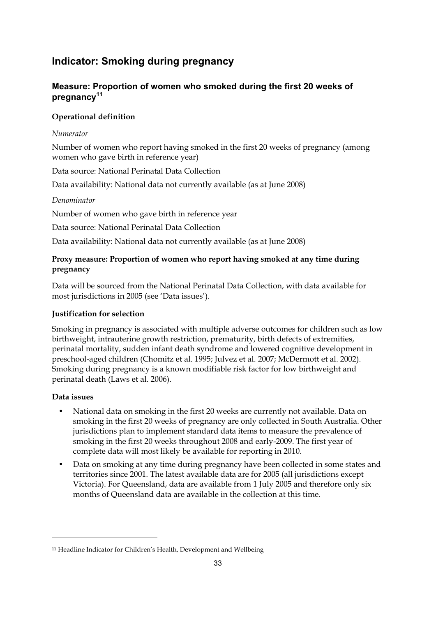# **Indicator: Smoking during pregnancy**

# **Measure: Proportion of women who smoked during the first 20 weeks of pregnancy11**

# **Operational definition**

#### *Numerator*

Number of women who report having smoked in the first 20 weeks of pregnancy (among women who gave birth in reference year)

Data source: National Perinatal Data Collection

Data availability: National data not currently available (as at June 2008)

#### *Denominator*

Number of women who gave birth in reference year

Data source: National Perinatal Data Collection

Data availability: National data not currently available (as at June 2008)

### **Proxy measure: Proportion of women who report having smoked at any time during pregnancy**

Data will be sourced from the National Perinatal Data Collection, with data available for most jurisdictions in 2005 (see 'Data issues').

# **Justification for selection**

Smoking in pregnancy is associated with multiple adverse outcomes for children such as low birthweight, intrauterine growth restriction, prematurity, birth defects of extremities, perinatal mortality, sudden infant death syndrome and lowered cognitive development in preschool-aged children (Chomitz et al. 1995; Julvez et al. 2007; McDermott et al. 2002). Smoking during pregnancy is a known modifiable risk factor for low birthweight and perinatal death (Laws et al. 2006).

#### **Data issues**

-

- National data on smoking in the first 20 weeks are currently not available. Data on smoking in the first 20 weeks of pregnancy are only collected in South Australia. Other jurisdictions plan to implement standard data items to measure the prevalence of smoking in the first 20 weeks throughout 2008 and early-2009. The first year of complete data will most likely be available for reporting in 2010.
- Data on smoking at any time during pregnancy have been collected in some states and territories since 2001. The latest available data are for 2005 (all jurisdictions except Victoria). For Queensland, data are available from 1 July 2005 and therefore only six months of Queensland data are available in the collection at this time.

<sup>11</sup> Headline Indicator for Children's Health, Development and Wellbeing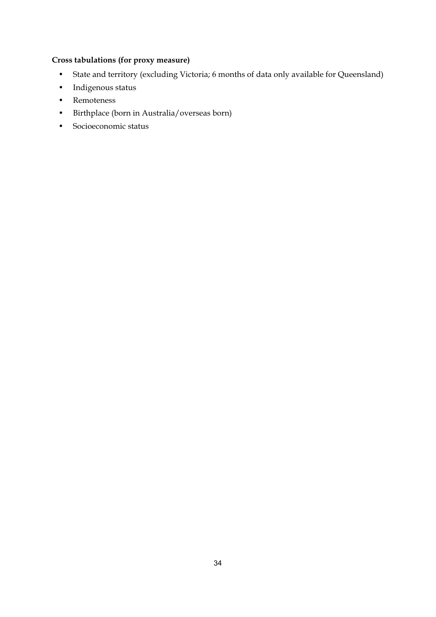# **Cross tabulations (for proxy measure)**

- State and territory (excluding Victoria; 6 months of data only available for Queensland)
- Indigenous status
- Remoteness
- Birthplace (born in Australia/overseas born)
- Socioeconomic status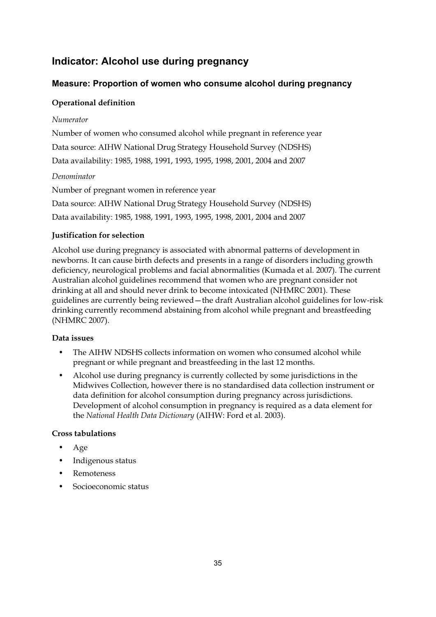# **Indicator: Alcohol use during pregnancy**

# **Measure: Proportion of women who consume alcohol during pregnancy**

### **Operational definition**

#### *Numerator*

Number of women who consumed alcohol while pregnant in reference year Data source: AIHW National Drug Strategy Household Survey (NDSHS) Data availability: 1985, 1988, 1991, 1993, 1995, 1998, 2001, 2004 and 2007

#### *Denominator*

Number of pregnant women in reference year Data source: AIHW National Drug Strategy Household Survey (NDSHS) Data availability: 1985, 1988, 1991, 1993, 1995, 1998, 2001, 2004 and 2007

#### **Justification for selection**

Alcohol use during pregnancy is associated with abnormal patterns of development in newborns. It can cause birth defects and presents in a range of disorders including growth deficiency, neurological problems and facial abnormalities (Kumada et al. 2007). The current Australian alcohol guidelines recommend that women who are pregnant consider not drinking at all and should never drink to become intoxicated (NHMRC 2001). These guidelines are currently being reviewed—the draft Australian alcohol guidelines for low-risk drinking currently recommend abstaining from alcohol while pregnant and breastfeeding (NHMRC 2007).

#### **Data issues**

- The AIHW NDSHS collects information on women who consumed alcohol while pregnant or while pregnant and breastfeeding in the last 12 months.
- Alcohol use during pregnancy is currently collected by some jurisdictions in the Midwives Collection, however there is no standardised data collection instrument or data definition for alcohol consumption during pregnancy across jurisdictions. Development of alcohol consumption in pregnancy is required as a data element for the *National Health Data Dictionary* (AIHW: Ford et al. 2003).

- Age
- Indigenous status
- **Remoteness**
- Socioeconomic status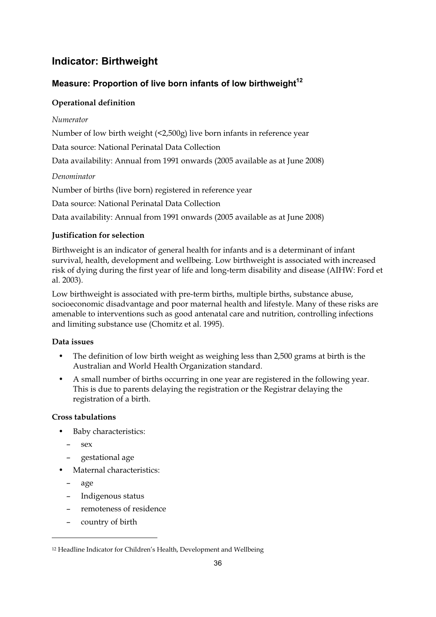# **Indicator: Birthweight**

# **Measure: Proportion of live born infants of low birthweight**<sup>12</sup>

# **Operational definition**

#### *Numerator*

Number of low birth weight (<2,500g) live born infants in reference year

Data source: National Perinatal Data Collection

Data availability: Annual from 1991 onwards (2005 available as at June 2008)

#### *Denominator*

Number of births (live born) registered in reference year

Data source: National Perinatal Data Collection

Data availability: Annual from 1991 onwards (2005 available as at June 2008)

# **Justification for selection**

Birthweight is an indicator of general health for infants and is a determinant of infant survival, health, development and wellbeing. Low birthweight is associated with increased risk of dying during the first year of life and long-term disability and disease (AIHW: Ford et al. 2003).

Low birthweight is associated with pre-term births, multiple births, substance abuse, socioeconomic disadvantage and poor maternal health and lifestyle. Many of these risks are amenable to interventions such as good antenatal care and nutrition, controlling infections and limiting substance use (Chomitz et al. 1995).

# **Data issues**

- The definition of low birth weight as weighing less than 2,500 grams at birth is the Australian and World Health Organization standard.
- A small number of births occurring in one year are registered in the following year. This is due to parents delaying the registration or the Registrar delaying the registration of a birth.

# **Cross tabulations**

- Baby characteristics:
	- sex
	- gestational age
- Maternal characteristics:
	- age

-

- Indigenous status
- remoteness of residence
- country of birth

<sup>12</sup> Headline Indicator for Children's Health, Development and Wellbeing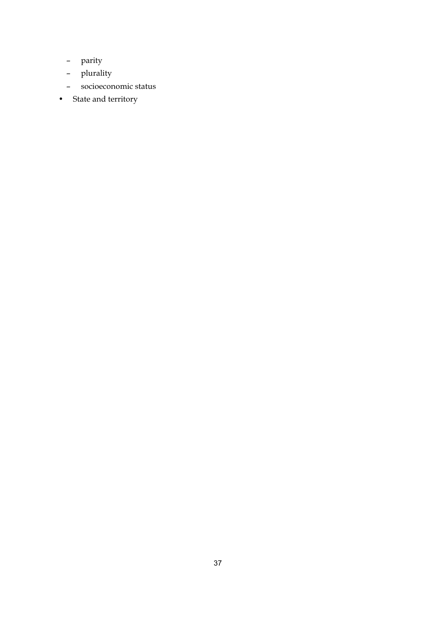- parity
- plurality
- socioeconomic status
- State and territory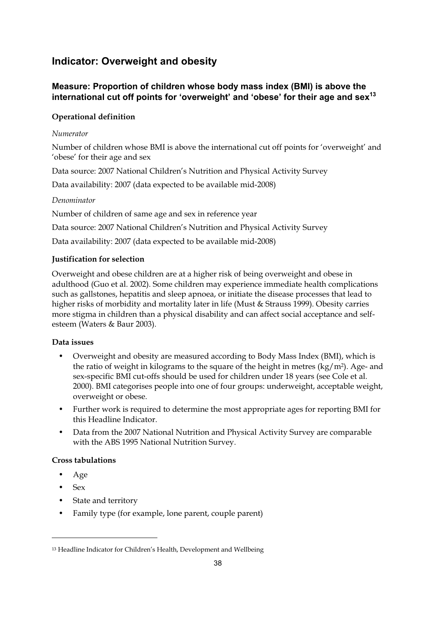# **Indicator: Overweight and obesity**

# **Measure: Proportion of children whose body mass index (BMI) is above the**  international cut off points for 'overweight' and 'obese' for their age and sex<sup>13</sup>

# **Operational definition**

### *Numerator*

Number of children whose BMI is above the international cut off points for 'overweight' and 'obese' for their age and sex

Data source: 2007 National Children's Nutrition and Physical Activity Survey

Data availability: 2007 (data expected to be available mid-2008)

#### *Denominator*

Number of children of same age and sex in reference year

Data source: 2007 National Children's Nutrition and Physical Activity Survey

Data availability: 2007 (data expected to be available mid-2008)

#### **Justification for selection**

Overweight and obese children are at a higher risk of being overweight and obese in adulthood (Guo et al. 2002). Some children may experience immediate health complications such as gallstones, hepatitis and sleep apnoea, or initiate the disease processes that lead to higher risks of morbidity and mortality later in life (Must & Strauss 1999). Obesity carries more stigma in children than a physical disability and can affect social acceptance and selfesteem (Waters & Baur 2003).

# **Data issues**

- Overweight and obesity are measured according to Body Mass Index (BMI), which is the ratio of weight in kilograms to the square of the height in metres (kg/m2). Age- and sex-specific BMI cut-offs should be used for children under 18 years (see Cole et al. 2000). BMI categorises people into one of four groups: underweight, acceptable weight, overweight or obese.
- Further work is required to determine the most appropriate ages for reporting BMI for this Headline Indicator.
- Data from the 2007 National Nutrition and Physical Activity Survey are comparable with the ABS 1995 National Nutrition Survey.

#### **Cross tabulations**

- Age
- Sex

-

- State and territory
- Family type (for example, lone parent, couple parent)

<sup>13</sup> Headline Indicator for Children's Health, Development and Wellbeing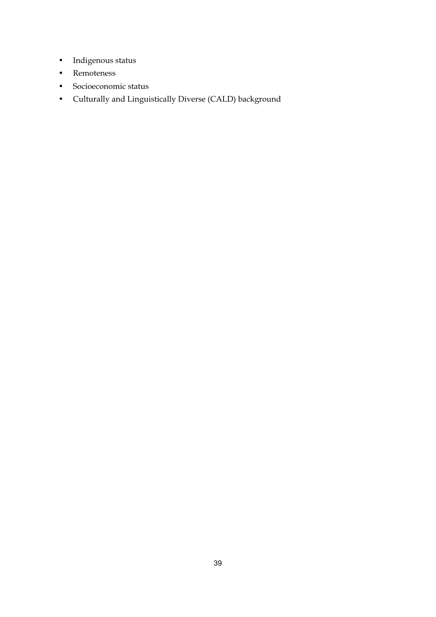- Indigenous status
- Remoteness
- Socioeconomic status
- Culturally and Linguistically Diverse (CALD) background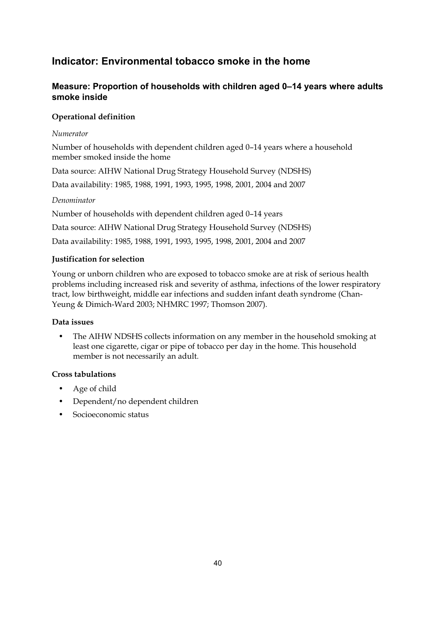# **Indicator: Environmental tobacco smoke in the home**

# **Measure: Proportion of households with children aged 0–14 years where adults smoke inside**

### **Operational definition**

#### *Numerator*

Number of households with dependent children aged 0–14 years where a household member smoked inside the home

Data source: AIHW National Drug Strategy Household Survey (NDSHS)

Data availability: 1985, 1988, 1991, 1993, 1995, 1998, 2001, 2004 and 2007

#### *Denominator*

Number of households with dependent children aged 0–14 years

Data source: AIHW National Drug Strategy Household Survey (NDSHS)

Data availability: 1985, 1988, 1991, 1993, 1995, 1998, 2001, 2004 and 2007

#### **Justification for selection**

Young or unborn children who are exposed to tobacco smoke are at risk of serious health problems including increased risk and severity of asthma, infections of the lower respiratory tract, low birthweight, middle ear infections and sudden infant death syndrome (Chan-Yeung & Dimich-Ward 2003; NHMRC 1997; Thomson 2007).

#### **Data issues**

• The AIHW NDSHS collects information on any member in the household smoking at least one cigarette, cigar or pipe of tobacco per day in the home. This household member is not necessarily an adult.

- Age of child
- Dependent/no dependent children
- Socioeconomic status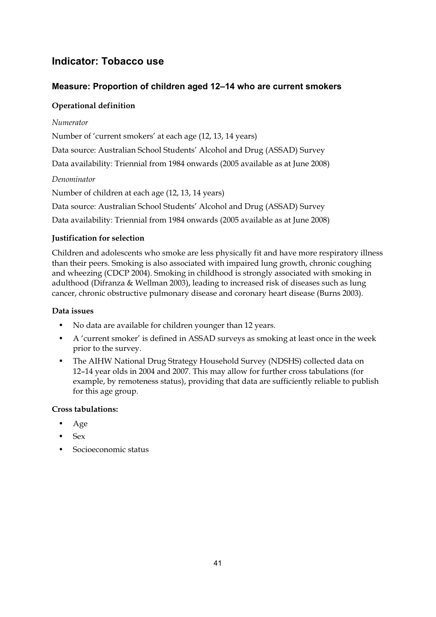# **Indicator: Tobacco use**

# **Measure: Proportion of children aged 12–14 who are current smokers**

# **Operational definition**

# *Numerator*

Number of 'current smokers' at each age (12, 13, 14 years)

Data source: Australian School Students' Alcohol and Drug (ASSAD) Survey

Data availability: Triennial from 1984 onwards (2005 available as at June 2008)

# *Denominator*

Number of children at each age (12, 13, 14 years)

Data source: Australian School Students' Alcohol and Drug (ASSAD) Survey

Data availability: Triennial from 1984 onwards (2005 available as at June 2008)

# **Justification for selection**

Children and adolescents who smoke are less physically fit and have more respiratory illness than their peers. Smoking is also associated with impaired lung growth, chronic coughing and wheezing (CDCP 2004). Smoking in childhood is strongly associated with smoking in adulthood (Difranza & Wellman 2003), leading to increased risk of diseases such as lung cancer, chronic obstructive pulmonary disease and coronary heart disease (Burns 2003).

# **Data issues**

- No data are available for children younger than 12 years.
- A 'current smoker' is defined in ASSAD surveys as smoking at least once in the week prior to the survey.
- The AIHW National Drug Strategy Household Survey (NDSHS) collected data on 12–14 year olds in 2004 and 2007. This may allow for further cross tabulations (for example, by remoteness status), providing that data are sufficiently reliable to publish for this age group.

- Age
- Sex
- Socioeconomic status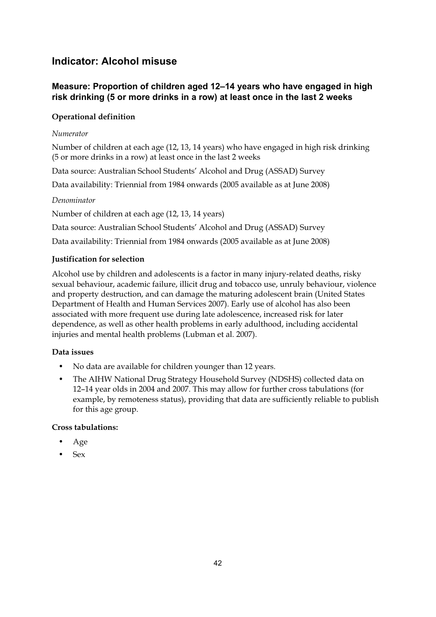# **Indicator: Alcohol misuse**

# **Measure: Proportion of children aged 12–14 years who have engaged in high risk drinking (5 or more drinks in a row) at least once in the last 2 weeks**

# **Operational definition**

#### *Numerator*

Number of children at each age (12, 13, 14 years) who have engaged in high risk drinking (5 or more drinks in a row) at least once in the last 2 weeks

Data source: Australian School Students' Alcohol and Drug (ASSAD) Survey

Data availability: Triennial from 1984 onwards (2005 available as at June 2008)

#### *Denominator*

Number of children at each age (12, 13, 14 years)

Data source: Australian School Students' Alcohol and Drug (ASSAD) Survey

Data availability: Triennial from 1984 onwards (2005 available as at June 2008)

#### **Justification for selection**

Alcohol use by children and adolescents is a factor in many injury-related deaths, risky sexual behaviour, academic failure, illicit drug and tobacco use, unruly behaviour, violence and property destruction, and can damage the maturing adolescent brain (United States Department of Health and Human Services 2007). Early use of alcohol has also been associated with more frequent use during late adolescence, increased risk for later dependence, as well as other health problems in early adulthood, including accidental injuries and mental health problems (Lubman et al. 2007).

# **Data issues**

- No data are available for children younger than 12 years.
- The AIHW National Drug Strategy Household Survey (NDSHS) collected data on 12–14 year olds in 2004 and 2007. This may allow for further cross tabulations (for example, by remoteness status), providing that data are sufficiently reliable to publish for this age group.

- Age
- Sex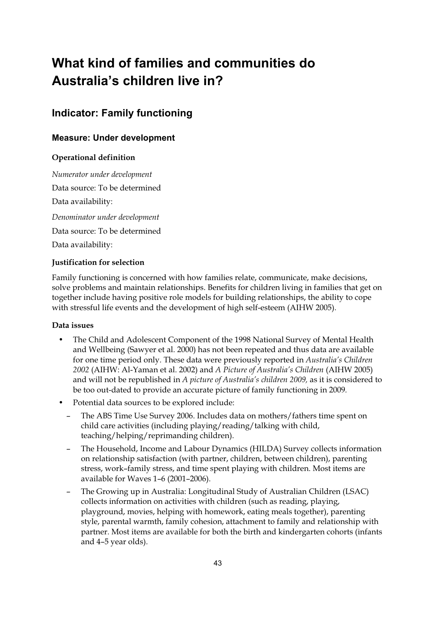# **What kind of families and communities do Australia's children live in?**

# **Indicator: Family functioning**

# **Measure: Under development**

# **Operational definition**

*Numerator under development*  Data source: To be determined Data availability: *Denominator under development*  Data source: To be determined Data availability:

#### **Justification for selection**

Family functioning is concerned with how families relate, communicate, make decisions, solve problems and maintain relationships. Benefits for children living in families that get on together include having positive role models for building relationships, the ability to cope with stressful life events and the development of high self-esteem (AIHW 2005).

#### **Data issues**

- The Child and Adolescent Component of the 1998 National Survey of Mental Health and Wellbeing (Sawyer et al. 2000) has not been repeated and thus data are available for one time period only. These data were previously reported in *Australia's Children 2002* (AIHW: Al-Yaman et al. 2002) and *A Picture of Australia's Children* (AIHW 2005) and will not be republished in *A picture of Australia's children 2009,* as it is considered to be too out-dated to provide an accurate picture of family functioning in 2009*.*
- Potential data sources to be explored include:
	- The ABS Time Use Survey 2006. Includes data on mothers/fathers time spent on child care activities (including playing/reading/talking with child, teaching/helping/reprimanding children).
	- The Household, Income and Labour Dynamics (HILDA) Survey collects information on relationship satisfaction (with partner, children, between children), parenting stress, work–family stress, and time spent playing with children. Most items are available for Waves 1–6 (2001–2006).
	- The Growing up in Australia: Longitudinal Study of Australian Children (LSAC) collects information on activities with children (such as reading, playing, playground, movies, helping with homework, eating meals together), parenting style, parental warmth, family cohesion, attachment to family and relationship with partner. Most items are available for both the birth and kindergarten cohorts (infants and 4–5 year olds).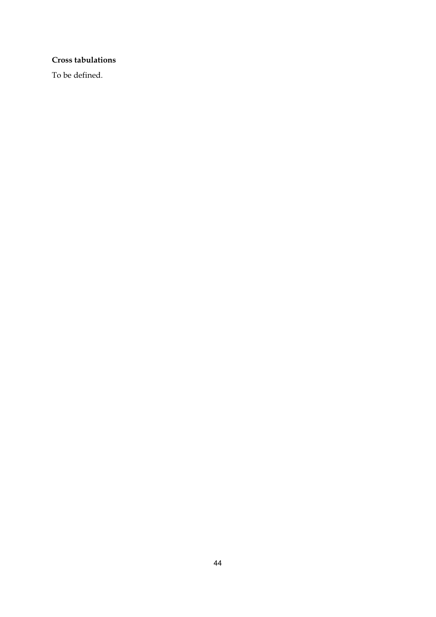### **Cross tabulations**

To be defined.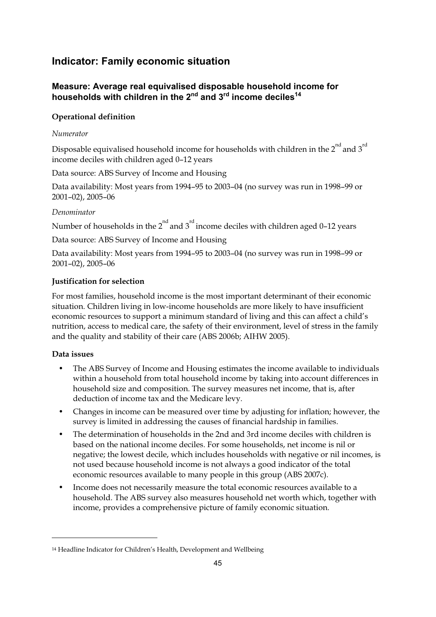# **Indicator: Family economic situation**

# **Measure: Average real equivalised disposable household income for**  households with children in the 2<sup>nd</sup> and 3<sup>rd</sup> income deciles<sup>14</sup>

# **Operational definition**

#### *Numerator*

Disposable equivalised household income for households with children in the  $2^{nd}$  and  $3^{rd}$ income deciles with children aged 0–12 years

Data source: ABS Survey of Income and Housing

Data availability: Most years from 1994–95 to 2003–04 (no survey was run in 1998–99 or 2001–02), 2005–06

#### *Denominator*

Number of households in the  $2<sup>nd</sup>$  and  $3<sup>rd</sup>$  income deciles with children aged 0–12 years

Data source: ABS Survey of Income and Housing

Data availability: Most years from 1994–95 to 2003–04 (no survey was run in 1998–99 or 2001–02), 2005–06

#### **Justification for selection**

For most families, household income is the most important determinant of their economic situation. Children living in low-income households are more likely to have insufficient economic resources to support a minimum standard of living and this can affect a child's nutrition, access to medical care, the safety of their environment, level of stress in the family and the quality and stability of their care (ABS 2006b; AIHW 2005).

#### **Data issues**

-

- The ABS Survey of Income and Housing estimates the income available to individuals within a household from total household income by taking into account differences in household size and composition. The survey measures net income, that is, after deduction of income tax and the Medicare levy.
- Changes in income can be measured over time by adjusting for inflation; however, the survey is limited in addressing the causes of financial hardship in families.
- The determination of households in the 2nd and 3rd income deciles with children is based on the national income deciles. For some households, net income is nil or negative; the lowest decile, which includes households with negative or nil incomes, is not used because household income is not always a good indicator of the total economic resources available to many people in this group (ABS 2007c).
- Income does not necessarily measure the total economic resources available to a household. The ABS survey also measures household net worth which, together with income, provides a comprehensive picture of family economic situation.

<sup>14</sup> Headline Indicator for Children's Health, Development and Wellbeing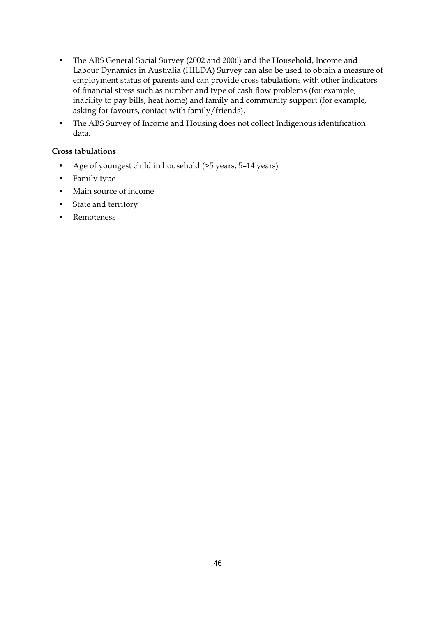- The ABS General Social Survey (2002 and 2006) and the Household, Income and Labour Dynamics in Australia (HILDA) Survey can also be used to obtain a measure of employment status of parents and can provide cross tabulations with other indicators of financial stress such as number and type of cash flow problems (for example, inability to pay bills, heat home) and family and community support (for example, asking for favours, contact with family/friends).
- The ABS Survey of Income and Housing does not collect Indigenous identification data.

- Age of youngest child in household (>5 years, 5–14 years)
- Family type
- Main source of income
- State and territory
- Remoteness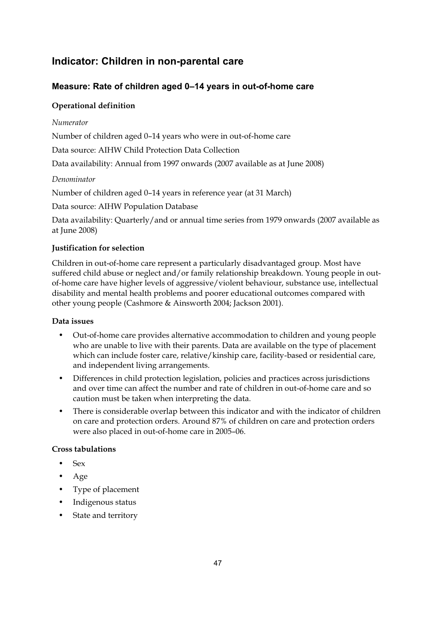# **Indicator: Children in non-parental care**

# **Measure: Rate of children aged 0–14 years in out-of-home care**

# **Operational definition**

### *Numerator*

Number of children aged 0–14 years who were in out-of-home care

Data source: AIHW Child Protection Data Collection

Data availability: Annual from 1997 onwards (2007 available as at June 2008)

#### *Denominator*

Number of children aged 0–14 years in reference year (at 31 March)

Data source: AIHW Population Database

Data availability: Quarterly/and or annual time series from 1979 onwards (2007 available as at June 2008)

#### **Justification for selection**

Children in out-of-home care represent a particularly disadvantaged group. Most have suffered child abuse or neglect and/or family relationship breakdown. Young people in outof-home care have higher levels of aggressive/violent behaviour, substance use, intellectual disability and mental health problems and poorer educational outcomes compared with other young people (Cashmore & Ainsworth 2004; Jackson 2001).

#### **Data issues**

- Out-of-home care provides alternative accommodation to children and young people who are unable to live with their parents. Data are available on the type of placement which can include foster care, relative/kinship care, facility-based or residential care, and independent living arrangements.
- Differences in child protection legislation, policies and practices across jurisdictions and over time can affect the number and rate of children in out-of-home care and so caution must be taken when interpreting the data.
- There is considerable overlap between this indicator and with the indicator of children on care and protection orders. Around 87% of children on care and protection orders were also placed in out-of-home care in 2005–06.

- Sex
- Age
- Type of placement
- Indigenous status
- State and territory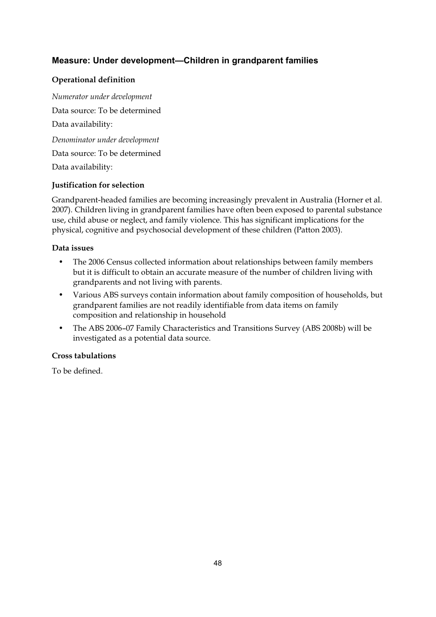# **Measure: Under development—Children in grandparent families**

# **Operational definition**

*Numerator under development*  Data source: To be determined Data availability: *Denominator under development*  Data source: To be determined Data availability:

#### **Justification for selection**

Grandparent-headed families are becoming increasingly prevalent in Australia (Horner et al. 2007). Children living in grandparent families have often been exposed to parental substance use, child abuse or neglect, and family violence. This has significant implications for the physical, cognitive and psychosocial development of these children (Patton 2003).

#### **Data issues**

- The 2006 Census collected information about relationships between family members but it is difficult to obtain an accurate measure of the number of children living with grandparents and not living with parents.
- Various ABS surveys contain information about family composition of households, but grandparent families are not readily identifiable from data items on family composition and relationship in household
- The ABS 2006–07 Family Characteristics and Transitions Survey (ABS 2008b) will be investigated as a potential data source.

# **Cross tabulations**

To be defined.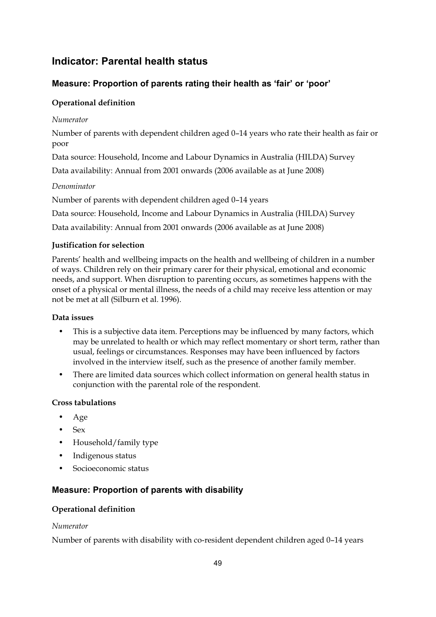# **Indicator: Parental health status**

# **Measure: Proportion of parents rating their health as 'fair' or 'poor'**

# **Operational definition**

#### *Numerator*

Number of parents with dependent children aged 0–14 years who rate their health as fair or poor

Data source: Household, Income and Labour Dynamics in Australia (HILDA) Survey

Data availability: Annual from 2001 onwards (2006 available as at June 2008)

#### *Denominator*

Number of parents with dependent children aged 0–14 years

Data source: Household, Income and Labour Dynamics in Australia (HILDA) Survey

Data availability: Annual from 2001 onwards (2006 available as at June 2008)

#### **Justification for selection**

Parents' health and wellbeing impacts on the health and wellbeing of children in a number of ways. Children rely on their primary carer for their physical, emotional and economic needs, and support. When disruption to parenting occurs, as sometimes happens with the onset of a physical or mental illness, the needs of a child may receive less attention or may not be met at all (Silburn et al. 1996).

#### **Data issues**

- This is a subjective data item. Perceptions may be influenced by many factors, which may be unrelated to health or which may reflect momentary or short term, rather than usual, feelings or circumstances. Responses may have been influenced by factors involved in the interview itself, such as the presence of another family member.
- There are limited data sources which collect information on general health status in conjunction with the parental role of the respondent.

#### **Cross tabulations**

- Age
- Sex
- Household/family type
- Indigenous status
- Socioeconomic status

# **Measure: Proportion of parents with disability**

#### **Operational definition**

#### *Numerator*

Number of parents with disability with co-resident dependent children aged 0–14 years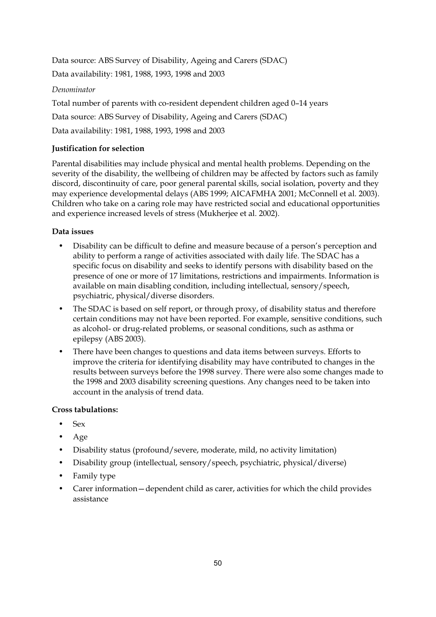Data source: ABS Survey of Disability, Ageing and Carers (SDAC) Data availability: 1981, 1988, 1993, 1998 and 2003

*Denominator* 

Total number of parents with co-resident dependent children aged 0–14 years

Data source: ABS Survey of Disability, Ageing and Carers (SDAC)

Data availability: 1981, 1988, 1993, 1998 and 2003

# **Justification for selection**

Parental disabilities may include physical and mental health problems. Depending on the severity of the disability, the wellbeing of children may be affected by factors such as family discord, discontinuity of care, poor general parental skills, social isolation, poverty and they may experience developmental delays (ABS 1999; AICAFMHA 2001; McConnell et al. 2003). Children who take on a caring role may have restricted social and educational opportunities and experience increased levels of stress (Mukherjee et al. 2002).

# **Data issues**

- Disability can be difficult to define and measure because of a person's perception and ability to perform a range of activities associated with daily life. The SDAC has a specific focus on disability and seeks to identify persons with disability based on the presence of one or more of 17 limitations, restrictions and impairments. Information is available on main disabling condition, including intellectual, sensory/speech, psychiatric, physical/diverse disorders.
- The SDAC is based on self report, or through proxy, of disability status and therefore certain conditions may not have been reported. For example, sensitive conditions, such as alcohol- or drug-related problems, or seasonal conditions, such as asthma or epilepsy (ABS 2003).
- There have been changes to questions and data items between surveys. Efforts to improve the criteria for identifying disability may have contributed to changes in the results between surveys before the 1998 survey. There were also some changes made to the 1998 and 2003 disability screening questions. Any changes need to be taken into account in the analysis of trend data.

- Sex
- Age
- Disability status (profound/severe, moderate, mild, no activity limitation)
- Disability group (intellectual, sensory/speech, psychiatric, physical/diverse)
- Family type
- Carer information—dependent child as carer, activities for which the child provides assistance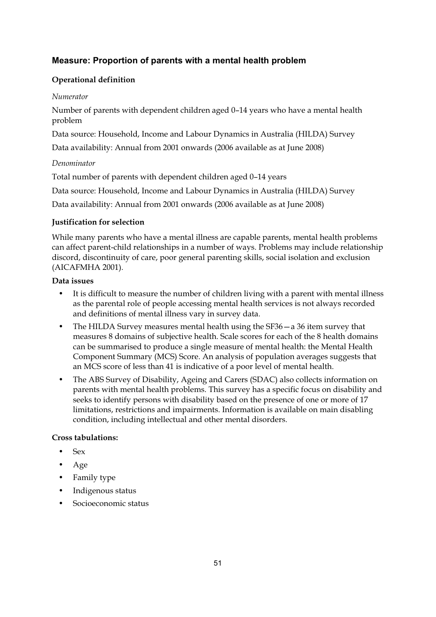# **Measure: Proportion of parents with a mental health problem**

# **Operational definition**

#### *Numerator*

Number of parents with dependent children aged 0–14 years who have a mental health problem

Data source: Household, Income and Labour Dynamics in Australia (HILDA) Survey

Data availability: Annual from 2001 onwards (2006 available as at June 2008)

# *Denominator*

Total number of parents with dependent children aged 0–14 years

Data source: Household, Income and Labour Dynamics in Australia (HILDA) Survey

Data availability: Annual from 2001 onwards (2006 available as at June 2008)

#### **Justification for selection**

While many parents who have a mental illness are capable parents, mental health problems can affect parent-child relationships in a number of ways. Problems may include relationship discord, discontinuity of care, poor general parenting skills, social isolation and exclusion (AICAFMHA 2001).

#### **Data issues**

- It is difficult to measure the number of children living with a parent with mental illness as the parental role of people accessing mental health services is not always recorded and definitions of mental illness vary in survey data.
- The HILDA Survey measures mental health using the SF36—a 36 item survey that measures 8 domains of subjective health. Scale scores for each of the 8 health domains can be summarised to produce a single measure of mental health: the Mental Health Component Summary (MCS) Score. An analysis of population averages suggests that an MCS score of less than 41 is indicative of a poor level of mental health.
- The ABS Survey of Disability, Ageing and Carers (SDAC) also collects information on parents with mental health problems. This survey has a specific focus on disability and seeks to identify persons with disability based on the presence of one or more of 17 limitations, restrictions and impairments. Information is available on main disabling condition, including intellectual and other mental disorders.

- Sex
- Age
- Family type
- Indigenous status
- Socioeconomic status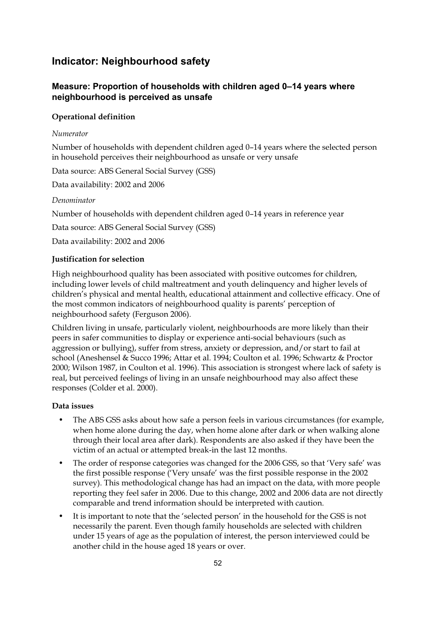# **Indicator: Neighbourhood safety**

# **Measure: Proportion of households with children aged 0–14 years where neighbourhood is perceived as unsafe**

### **Operational definition**

#### *Numerator*

Number of households with dependent children aged 0–14 years where the selected person in household perceives their neighbourhood as unsafe or very unsafe

Data source: ABS General Social Survey (GSS)

Data availability: 2002 and 2006

#### *Denominator*

Number of households with dependent children aged 0–14 years in reference year

Data source: ABS General Social Survey (GSS)

Data availability: 2002 and 2006

#### **Justification for selection**

High neighbourhood quality has been associated with positive outcomes for children, including lower levels of child maltreatment and youth delinquency and higher levels of children's physical and mental health, educational attainment and collective efficacy. One of the most common indicators of neighbourhood quality is parents' perception of neighbourhood safety (Ferguson 2006).

Children living in unsafe, particularly violent, neighbourhoods are more likely than their peers in safer communities to display or experience anti-social behaviours (such as aggression or bullying), suffer from stress, anxiety or depression, and/or start to fail at school (Aneshensel & Succo 1996; Attar et al. 1994; Coulton et al. 1996; Schwartz & Proctor 2000; Wilson 1987, in Coulton et al. 1996). This association is strongest where lack of safety is real, but perceived feelings of living in an unsafe neighbourhood may also affect these responses (Colder et al. 2000).

#### **Data issues**

- The ABS GSS asks about how safe a person feels in various circumstances (for example, when home alone during the day, when home alone after dark or when walking alone through their local area after dark). Respondents are also asked if they have been the victim of an actual or attempted break-in the last 12 months.
- The order of response categories was changed for the 2006 GSS, so that 'Very safe' was the first possible response ('Very unsafe' was the first possible response in the 2002 survey). This methodological change has had an impact on the data, with more people reporting they feel safer in 2006. Due to this change, 2002 and 2006 data are not directly comparable and trend information should be interpreted with caution.
- It is important to note that the 'selected person' in the household for the GSS is not necessarily the parent. Even though family households are selected with children under 15 years of age as the population of interest, the person interviewed could be another child in the house aged 18 years or over.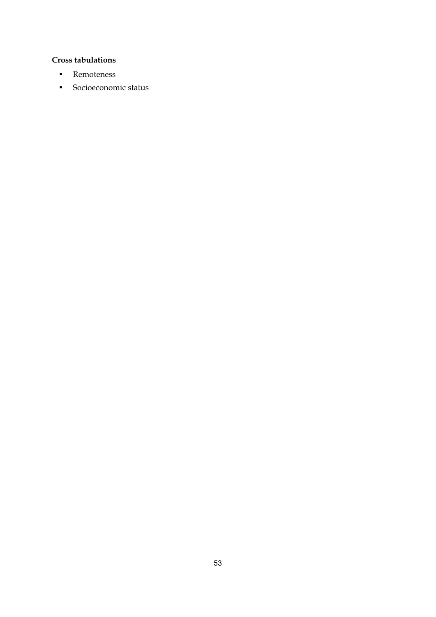- Remoteness
- Socioeconomic status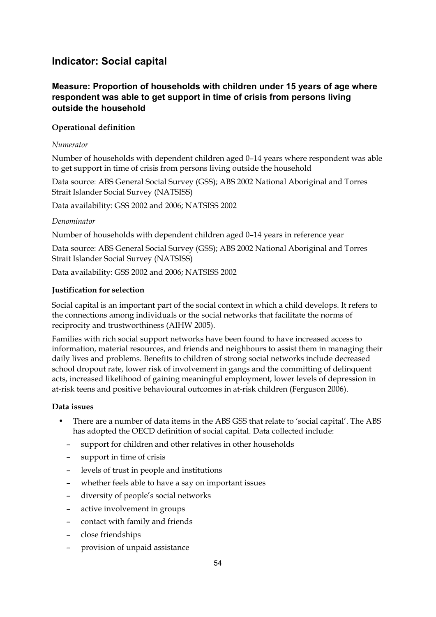# **Indicator: Social capital**

# **Measure: Proportion of households with children under 15 years of age where respondent was able to get support in time of crisis from persons living outside the household**

#### **Operational definition**

#### *Numerator*

Number of households with dependent children aged 0–14 years where respondent was able to get support in time of crisis from persons living outside the household

Data source: ABS General Social Survey (GSS); ABS 2002 National Aboriginal and Torres Strait Islander Social Survey (NATSISS)

Data availability: GSS 2002 and 2006; NATSISS 2002

#### *Denominator*

Number of households with dependent children aged 0–14 years in reference year

Data source: ABS General Social Survey (GSS); ABS 2002 National Aboriginal and Torres Strait Islander Social Survey (NATSISS)

Data availability: GSS 2002 and 2006; NATSISS 2002

#### **Justification for selection**

Social capital is an important part of the social context in which a child develops. It refers to the connections among individuals or the social networks that facilitate the norms of reciprocity and trustworthiness (AIHW 2005).

Families with rich social support networks have been found to have increased access to information, material resources, and friends and neighbours to assist them in managing their daily lives and problems. Benefits to children of strong social networks include decreased school dropout rate, lower risk of involvement in gangs and the committing of delinquent acts, increased likelihood of gaining meaningful employment, lower levels of depression in at-risk teens and positive behavioural outcomes in at-risk children (Ferguson 2006).

#### **Data issues**

- There are a number of data items in the ABS GSS that relate to 'social capital'. The ABS has adopted the OECD definition of social capital. Data collected include:
	- support for children and other relatives in other households
	- support in time of crisis
	- levels of trust in people and institutions
	- whether feels able to have a say on important issues
	- diversity of people's social networks
	- active involvement in groups
	- contact with family and friends
	- close friendships
	- provision of unpaid assistance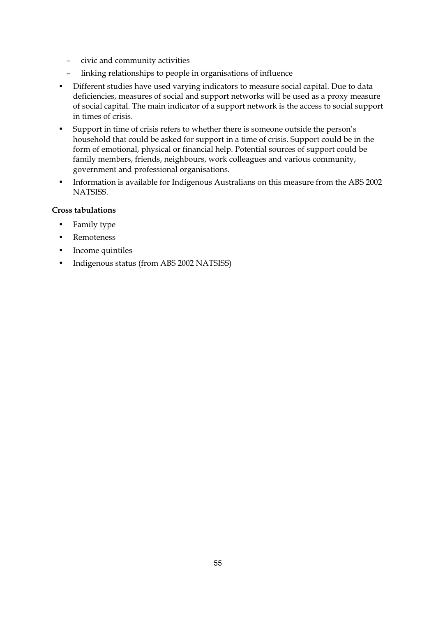- civic and community activities
- linking relationships to people in organisations of influence
- Different studies have used varying indicators to measure social capital. Due to data deficiencies, measures of social and support networks will be used as a proxy measure of social capital. The main indicator of a support network is the access to social support in times of crisis.
- Support in time of crisis refers to whether there is someone outside the person's household that could be asked for support in a time of crisis. Support could be in the form of emotional, physical or financial help. Potential sources of support could be family members, friends, neighbours, work colleagues and various community, government and professional organisations.
- Information is available for Indigenous Australians on this measure from the ABS 2002 NATSISS.

- Family type
- **Remoteness**
- Income quintiles
- Indigenous status (from ABS 2002 NATSISS)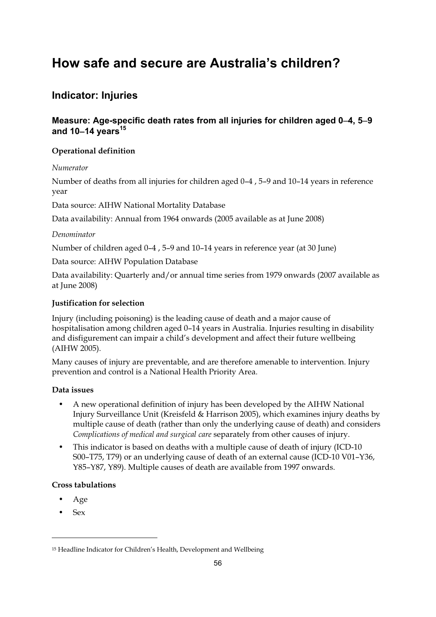# **How safe and secure are Australia's children?**

# **Indicator: Injuries**

# **Measure: Age-specific death rates from all injuries for children aged 0**−**4, 5**−**9 and 10**−**14 years<sup>15</sup>**

### **Operational definition**

*Numerator* 

Number of deaths from all injuries for children aged 0–4 , 5–9 and 10–14 years in reference year

Data source: AIHW National Mortality Database

Data availability: Annual from 1964 onwards (2005 available as at June 2008)

#### *Denominator*

Number of children aged 0–4 , 5–9 and 10–14 years in reference year (at 30 June)

Data source: AIHW Population Database

Data availability: Quarterly and/or annual time series from 1979 onwards (2007 available as at June 2008)

#### **Justification for selection**

Injury (including poisoning) is the leading cause of death and a major cause of hospitalisation among children aged 0–14 years in Australia. Injuries resulting in disability and disfigurement can impair a child's development and affect their future wellbeing (AIHW 2005).

Many causes of injury are preventable, and are therefore amenable to intervention. Injury prevention and control is a National Health Priority Area.

#### **Data issues**

- A new operational definition of injury has been developed by the AIHW National Injury Surveillance Unit (Kreisfeld & Harrison 2005), which examines injury deaths by multiple cause of death (rather than only the underlying cause of death) and considers *Complications of medical and surgical care* separately from other causes of injury.
- This indicator is based on deaths with a multiple cause of death of injury (ICD-10 S00–T75, T79) or an underlying cause of death of an external cause (ICD-10 V01–Y36, Y85–Y87, Y89). Multiple causes of death are available from 1997 onwards.

#### **Cross tabulations**

- Age
- Sex

-

<sup>15</sup> Headline Indicator for Children's Health, Development and Wellbeing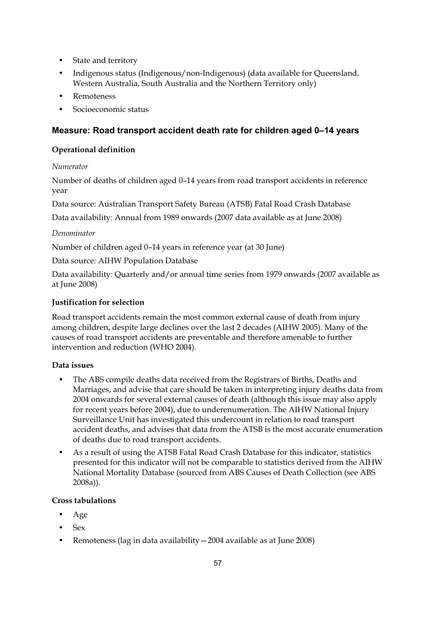- State and territory
- Indigenous status (Indigenous/non-Indigenous) (data available for Queensland, Western Australia, South Australia and the Northern Territory only)
- Remoteness
- Socioeconomic status

# **Measure: Road transport accident death rate for children aged 0–14 years**

### **Operational definition**

#### *Numerator*

Number of deaths of children aged 0–14 years from road transport accidents in reference year

Data source: Australian Transport Safety Bureau (ATSB) Fatal Road Crash Database

Data availability: Annual from 1989 onwards (2007 data available as at June 2008)

#### *Denominator*

Number of children aged 0–14 years in reference year (at 30 June)

Data source: AIHW Population Database

Data availability: Quarterly and/or annual time series from 1979 onwards (2007 available as at June 2008)

# **Justification for selection**

Road transport accidents remain the most common external cause of death from injury among children, despite large declines over the last 2 decades (AIHW 2005). Many of the causes of road transport accidents are preventable and therefore amenable to further intervention and reduction (WHO 2004).

# **Data issues**

- The ABS compile deaths data received from the Registrars of Births, Deaths and Marriages, and advise that care should be taken in interpreting injury deaths data from 2004 onwards for several external causes of death (although this issue may also apply for recent years before 2004), due to underenumeration. The AIHW National Injury Surveillance Unit has investigated this undercount in relation to road transport accident deaths, and advises that data from the ATSB is the most accurate enumeration of deaths due to road transport accidents.
- As a result of using the ATSB Fatal Road Crash Database for this indicator, statistics presented for this indicator will not be comparable to statistics derived from the AIHW National Mortality Database (sourced from ABS Causes of Death Collection (see ABS 2008a)).

- Age
- Sex
- Remoteness (lag in data availability—2004 available as at June 2008)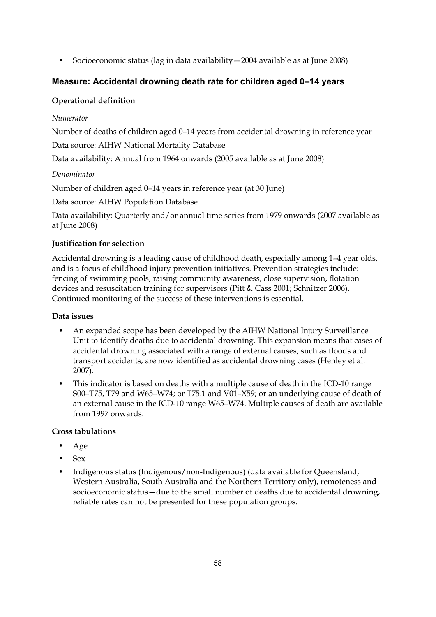• Socioeconomic status (lag in data availability—2004 available as at June 2008)

# **Measure: Accidental drowning death rate for children aged 0–14 years**

# **Operational definition**

#### *Numerator*

Number of deaths of children aged 0–14 years from accidental drowning in reference year

Data source: AIHW National Mortality Database

Data availability: Annual from 1964 onwards (2005 available as at June 2008)

#### *Denominator*

Number of children aged 0–14 years in reference year (at 30 June)

Data source: AIHW Population Database

Data availability: Quarterly and/or annual time series from 1979 onwards (2007 available as at June 2008)

#### **Justification for selection**

Accidental drowning is a leading cause of childhood death, especially among 1–4 year olds, and is a focus of childhood injury prevention initiatives. Prevention strategies include: fencing of swimming pools, raising community awareness, close supervision, flotation devices and resuscitation training for supervisors (Pitt & Cass 2001; Schnitzer 2006). Continued monitoring of the success of these interventions is essential.

#### **Data issues**

- An expanded scope has been developed by the AIHW National Injury Surveillance Unit to identify deaths due to accidental drowning. This expansion means that cases of accidental drowning associated with a range of external causes, such as floods and transport accidents, are now identified as accidental drowning cases (Henley et al. 2007).
- This indicator is based on deaths with a multiple cause of death in the ICD-10 range S00–T75, T79 and W65–W74; or T75.1 and V01–X59; or an underlying cause of death of an external cause in the ICD-10 range W65–W74. Multiple causes of death are available from 1997 onwards.

- Age
- Sex
- Indigenous status (Indigenous/non-Indigenous) (data available for Queensland, Western Australia, South Australia and the Northern Territory only), remoteness and socioeconomic status—due to the small number of deaths due to accidental drowning, reliable rates can not be presented for these population groups.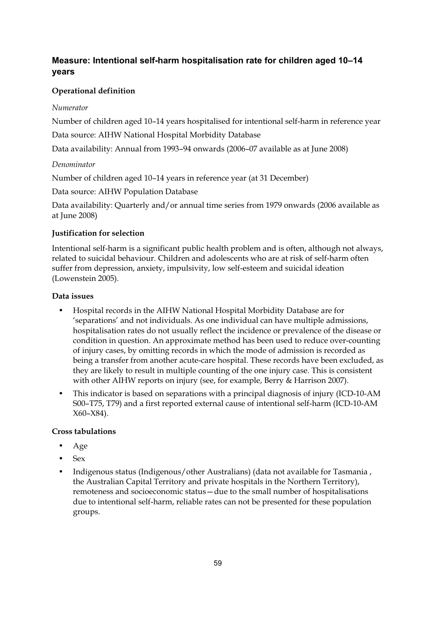# **Measure: Intentional self-harm hospitalisation rate for children aged 10–14 years**

# **Operational definition**

#### *Numerator*

Number of children aged 10–14 years hospitalised for intentional self-harm in reference year

Data source: AIHW National Hospital Morbidity Database

Data availability: Annual from 1993–94 onwards (2006–07 available as at June 2008)

#### *Denominator*

Number of children aged 10–14 years in reference year (at 31 December)

Data source: AIHW Population Database

Data availability: Quarterly and/or annual time series from 1979 onwards (2006 available as at June 2008)

#### **Justification for selection**

Intentional self-harm is a significant public health problem and is often, although not always, related to suicidal behaviour. Children and adolescents who are at risk of self-harm often suffer from depression, anxiety, impulsivity, low self-esteem and suicidal ideation (Lowenstein 2005).

#### **Data issues**

- Hospital records in the AIHW National Hospital Morbidity Database are for 'separations' and not individuals. As one individual can have multiple admissions, hospitalisation rates do not usually reflect the incidence or prevalence of the disease or condition in question. An approximate method has been used to reduce over-counting of injury cases, by omitting records in which the mode of admission is recorded as being a transfer from another acute-care hospital. These records have been excluded, as they are likely to result in multiple counting of the one injury case. This is consistent with other AIHW reports on injury (see, for example, Berry & Harrison 2007).
- This indicator is based on separations with a principal diagnosis of injury (ICD-10-AM S00–T75, T79) and a first reported external cause of intentional self-harm (ICD-10-AM X60–X84).

- Age
- Sex
- Indigenous status (Indigenous/other Australians) (data not available for Tasmania , the Australian Capital Territory and private hospitals in the Northern Territory), remoteness and socioeconomic status—due to the small number of hospitalisations due to intentional self-harm, reliable rates can not be presented for these population groups.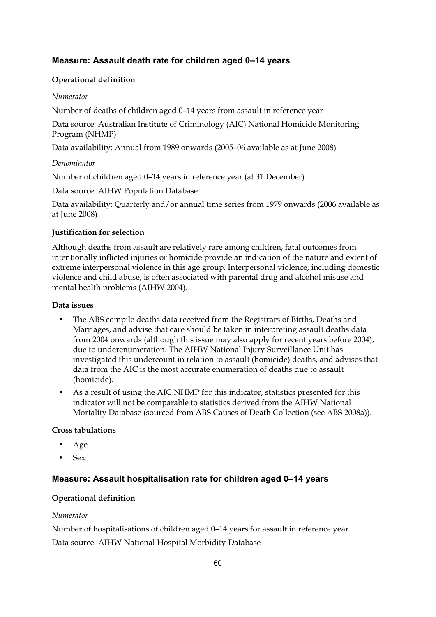# **Measure: Assault death rate for children aged 0–14 years**

#### **Operational definition**

#### *Numerator*

Number of deaths of children aged 0–14 years from assault in reference year

Data source: Australian Institute of Criminology (AIC) National Homicide Monitoring Program (NHMP)

Data availability: Annual from 1989 onwards (2005–06 available as at June 2008)

#### *Denominator*

Number of children aged 0–14 years in reference year (at 31 December)

Data source: AIHW Population Database

Data availability: Quarterly and/or annual time series from 1979 onwards (2006 available as at June 2008)

#### **Justification for selection**

Although deaths from assault are relatively rare among children, fatal outcomes from intentionally inflicted injuries or homicide provide an indication of the nature and extent of extreme interpersonal violence in this age group. Interpersonal violence, including domestic violence and child abuse, is often associated with parental drug and alcohol misuse and mental health problems (AIHW 2004).

#### **Data issues**

- The ABS compile deaths data received from the Registrars of Births, Deaths and Marriages, and advise that care should be taken in interpreting assault deaths data from 2004 onwards (although this issue may also apply for recent years before 2004), due to underenumeration. The AIHW National Injury Surveillance Unit has investigated this undercount in relation to assault (homicide) deaths, and advises that data from the AIC is the most accurate enumeration of deaths due to assault (homicide).
- As a result of using the AIC NHMP for this indicator, statistics presented for this indicator will not be comparable to statistics derived from the AIHW National Mortality Database (sourced from ABS Causes of Death Collection (see ABS 2008a)).

#### **Cross tabulations**

- Age
- Sex

# **Measure: Assault hospitalisation rate for children aged 0–14 years**

#### **Operational definition**

#### *Numerator*

Number of hospitalisations of children aged 0–14 years for assault in reference year Data source: AIHW National Hospital Morbidity Database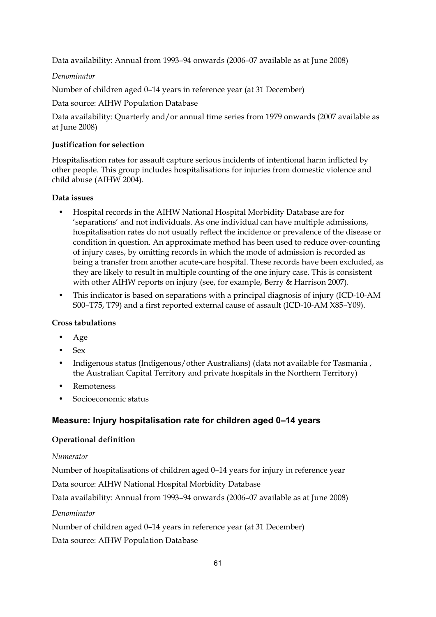Data availability: Annual from 1993–94 onwards (2006–07 available as at June 2008)

*Denominator* 

Number of children aged 0–14 years in reference year (at 31 December)

Data source: AIHW Population Database

Data availability: Quarterly and/or annual time series from 1979 onwards (2007 available as at June 2008)

#### **Justification for selection**

Hospitalisation rates for assault capture serious incidents of intentional harm inflicted by other people. This group includes hospitalisations for injuries from domestic violence and child abuse (AIHW 2004).

#### **Data issues**

- Hospital records in the AIHW National Hospital Morbidity Database are for 'separations' and not individuals. As one individual can have multiple admissions, hospitalisation rates do not usually reflect the incidence or prevalence of the disease or condition in question. An approximate method has been used to reduce over-counting of injury cases, by omitting records in which the mode of admission is recorded as being a transfer from another acute-care hospital. These records have been excluded, as they are likely to result in multiple counting of the one injury case. This is consistent with other AIHW reports on injury (see, for example, Berry & Harrison 2007).
- This indicator is based on separations with a principal diagnosis of injury (ICD-10-AM S00–T75, T79) and a first reported external cause of assault (ICD-10-AM X85–Y09).

#### **Cross tabulations**

- Age
- $S_{\rho x}$
- Indigenous status (Indigenous/other Australians) (data not available for Tasmania , the Australian Capital Territory and private hospitals in the Northern Territory)
- **Remoteness**
- Socioeconomic status

# **Measure: Injury hospitalisation rate for children aged 0–14 years**

#### **Operational definition**

#### *Numerator*

Number of hospitalisations of children aged 0–14 years for injury in reference year

Data source: AIHW National Hospital Morbidity Database

Data availability: Annual from 1993–94 onwards (2006–07 available as at June 2008)

*Denominator* 

Number of children aged 0–14 years in reference year (at 31 December)

Data source: AIHW Population Database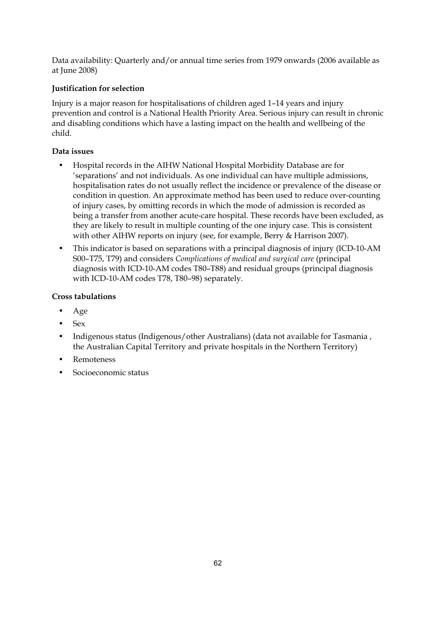Data availability: Quarterly and/or annual time series from 1979 onwards (2006 available as at June 2008)

# **Justification for selection**

Injury is a major reason for hospitalisations of children aged 1–14 years and injury prevention and control is a National Health Priority Area. Serious injury can result in chronic and disabling conditions which have a lasting impact on the health and wellbeing of the child.

# **Data issues**

- Hospital records in the AIHW National Hospital Morbidity Database are for 'separations' and not individuals. As one individual can have multiple admissions, hospitalisation rates do not usually reflect the incidence or prevalence of the disease or condition in question. An approximate method has been used to reduce over-counting of injury cases, by omitting records in which the mode of admission is recorded as being a transfer from another acute-care hospital. These records have been excluded, as they are likely to result in multiple counting of the one injury case. This is consistent with other AIHW reports on injury (see, for example, Berry & Harrison 2007).
- This indicator is based on separations with a principal diagnosis of injury (ICD-10-AM S00–T75, T79) and considers *Complications of medical and surgical care* (principal diagnosis with ICD-10-AM codes T80–T88) and residual groups (principal diagnosis with ICD-10-AM codes T78, T80–98) separately.

- Age
- Sex
- Indigenous status (Indigenous/other Australians) (data not available for Tasmania , the Australian Capital Territory and private hospitals in the Northern Territory)
- Remoteness
- Socioeconomic status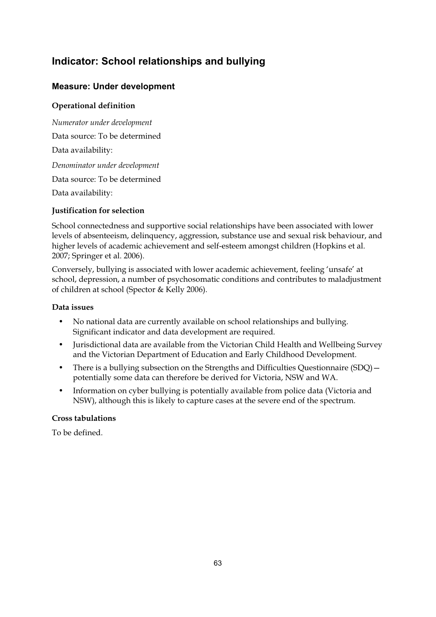# **Indicator: School relationships and bullying**

# **Measure: Under development**

# **Operational definition**

*Numerator under development*  Data source: To be determined Data availability: *Denominator under development*  Data source: To be determined Data availability:

# **Justification for selection**

School connectedness and supportive social relationships have been associated with lower levels of absenteeism, delinquency, aggression, substance use and sexual risk behaviour, and higher levels of academic achievement and self-esteem amongst children (Hopkins et al. 2007; Springer et al. 2006).

Conversely, bullying is associated with lower academic achievement, feeling 'unsafe' at school, depression, a number of psychosomatic conditions and contributes to maladjustment of children at school (Spector & Kelly 2006).

#### **Data issues**

- No national data are currently available on school relationships and bullying. Significant indicator and data development are required.
- Jurisdictional data are available from the Victorian Child Health and Wellbeing Survey and the Victorian Department of Education and Early Childhood Development.
- There is a bullying subsection on the Strengths and Difficulties Ouestionnaire (SDO) potentially some data can therefore be derived for Victoria, NSW and WA.
- Information on cyber bullying is potentially available from police data (Victoria and NSW), although this is likely to capture cases at the severe end of the spectrum.

# **Cross tabulations**

To be defined.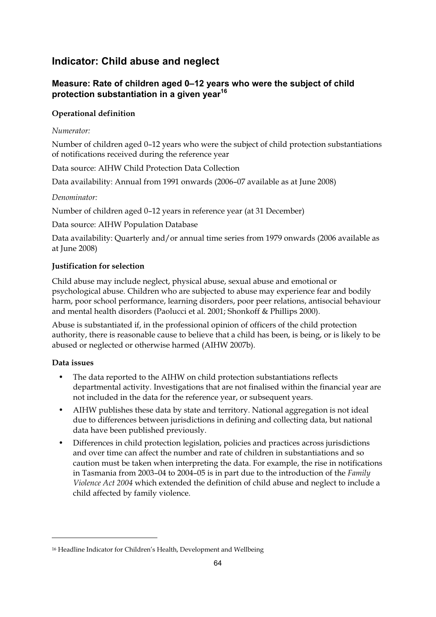# **Indicator: Child abuse and neglect**

# **Measure: Rate of children aged 0–12 years who were the subject of child protection substantiation in a given year16**

# **Operational definition**

### *Numerator:*

Number of children aged 0–12 years who were the subject of child protection substantiations of notifications received during the reference year

Data source: AIHW Child Protection Data Collection

Data availability: Annual from 1991 onwards (2006–07 available as at June 2008)

#### *Denominator:*

Number of children aged 0–12 years in reference year (at 31 December)

Data source: AIHW Population Database

Data availability: Quarterly and/or annual time series from 1979 onwards (2006 available as at June 2008)

# **Justification for selection**

Child abuse may include neglect, physical abuse, sexual abuse and emotional or psychological abuse. Children who are subjected to abuse may experience fear and bodily harm, poor school performance, learning disorders, poor peer relations, antisocial behaviour and mental health disorders (Paolucci et al. 2001; Shonkoff & Phillips 2000).

Abuse is substantiated if, in the professional opinion of officers of the child protection authority, there is reasonable cause to believe that a child has been, is being, or is likely to be abused or neglected or otherwise harmed (AIHW 2007b).

# **Data issues**

-

- The data reported to the AIHW on child protection substantiations reflects departmental activity. Investigations that are not finalised within the financial year are not included in the data for the reference year, or subsequent years.
- AIHW publishes these data by state and territory. National aggregation is not ideal due to differences between jurisdictions in defining and collecting data, but national data have been published previously.
- Differences in child protection legislation, policies and practices across jurisdictions and over time can affect the number and rate of children in substantiations and so caution must be taken when interpreting the data. For example, the rise in notifications in Tasmania from 2003–04 to 2004–05 is in part due to the introduction of the *Family Violence Act 2004* which extended the definition of child abuse and neglect to include a child affected by family violence.

<sup>16</sup> Headline Indicator for Children's Health, Development and Wellbeing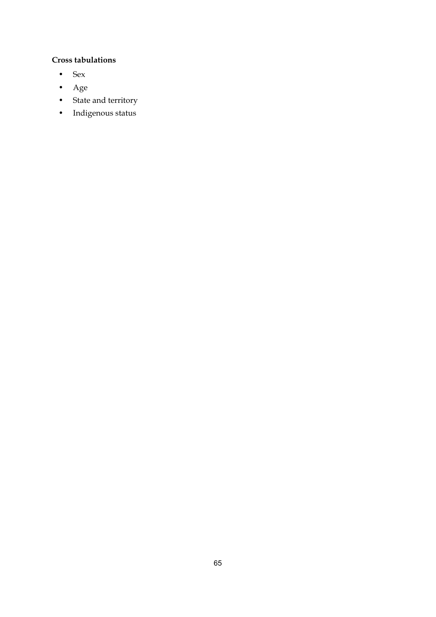- Sex
- Age
- State and territory
- Indigenous status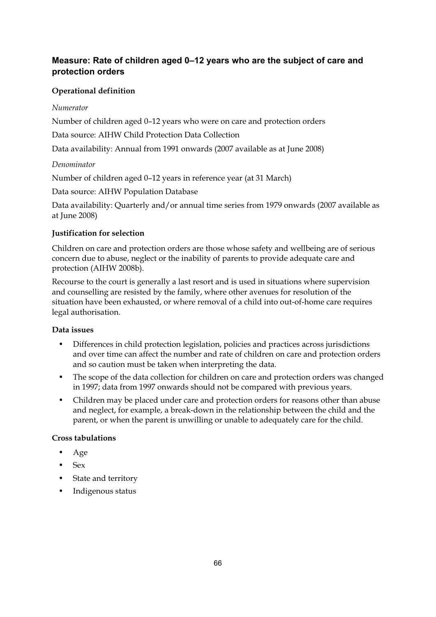# **Measure: Rate of children aged 0–12 years who are the subject of care and protection orders**

# **Operational definition**

### *Numerator*

Number of children aged 0–12 years who were on care and protection orders

Data source: AIHW Child Protection Data Collection

Data availability: Annual from 1991 onwards (2007 available as at June 2008)

#### *Denominator*

Number of children aged 0–12 years in reference year (at 31 March)

Data source: AIHW Population Database

Data availability: Quarterly and/or annual time series from 1979 onwards (2007 available as at June 2008)

#### **Justification for selection**

Children on care and protection orders are those whose safety and wellbeing are of serious concern due to abuse, neglect or the inability of parents to provide adequate care and protection (AIHW 2008b).

Recourse to the court is generally a last resort and is used in situations where supervision and counselling are resisted by the family, where other avenues for resolution of the situation have been exhausted, or where removal of a child into out-of-home care requires legal authorisation.

# **Data issues**

- Differences in child protection legislation, policies and practices across jurisdictions and over time can affect the number and rate of children on care and protection orders and so caution must be taken when interpreting the data.
- The scope of the data collection for children on care and protection orders was changed in 1997; data from 1997 onwards should not be compared with previous years.
- Children may be placed under care and protection orders for reasons other than abuse and neglect, for example, a break-down in the relationship between the child and the parent, or when the parent is unwilling or unable to adequately care for the child.

- Age
- Sex
- State and territory
- Indigenous status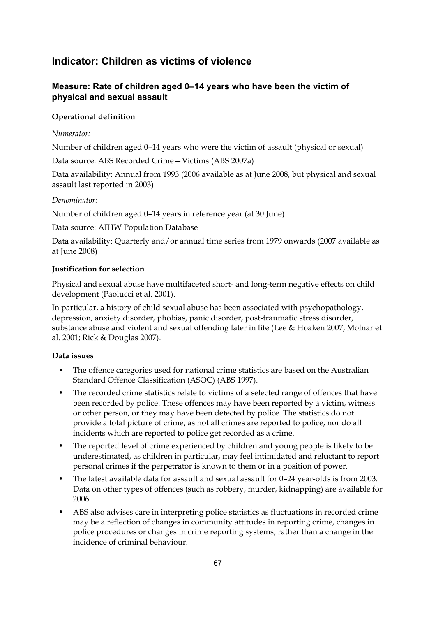# **Indicator: Children as victims of violence**

# **Measure: Rate of children aged 0–14 years who have been the victim of physical and sexual assault**

### **Operational definition**

#### *Numerator:*

Number of children aged 0–14 years who were the victim of assault (physical or sexual)

Data source: ABS Recorded Crime—Victims (ABS 2007a)

Data availability: Annual from 1993 (2006 available as at June 2008, but physical and sexual assault last reported in 2003)

#### *Denominator:*

Number of children aged 0–14 years in reference year (at 30 June)

Data source: AIHW Population Database

Data availability: Quarterly and/or annual time series from 1979 onwards (2007 available as at June 2008)

#### **Justification for selection**

Physical and sexual abuse have multifaceted short- and long-term negative effects on child development (Paolucci et al. 2001).

In particular, a history of child sexual abuse has been associated with psychopathology, depression, anxiety disorder, phobias, panic disorder, post-traumatic stress disorder, substance abuse and violent and sexual offending later in life (Lee & Hoaken 2007; Molnar et al. 2001; Rick & Douglas 2007).

# **Data issues**

- The offence categories used for national crime statistics are based on the Australian Standard Offence Classification (ASOC) (ABS 1997).
- The recorded crime statistics relate to victims of a selected range of offences that have been recorded by police. These offences may have been reported by a victim, witness or other person, or they may have been detected by police. The statistics do not provide a total picture of crime, as not all crimes are reported to police, nor do all incidents which are reported to police get recorded as a crime.
- The reported level of crime experienced by children and young people is likely to be underestimated, as children in particular, may feel intimidated and reluctant to report personal crimes if the perpetrator is known to them or in a position of power.
- The latest available data for assault and sexual assault for 0–24 year-olds is from 2003. Data on other types of offences (such as robbery, murder, kidnapping) are available for 2006.
- ABS also advises care in interpreting police statistics as fluctuations in recorded crime may be a reflection of changes in community attitudes in reporting crime, changes in police procedures or changes in crime reporting systems, rather than a change in the incidence of criminal behaviour.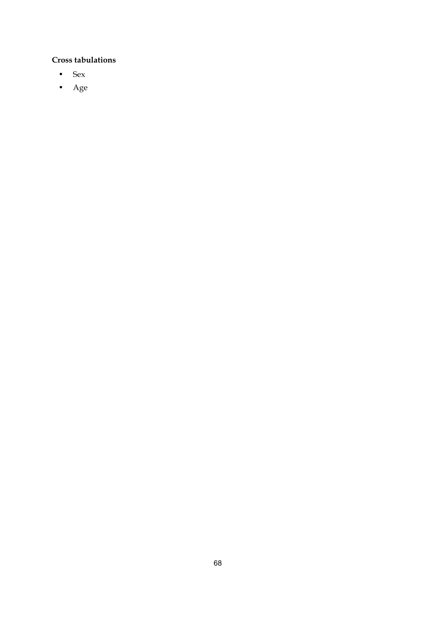- Sex
- Age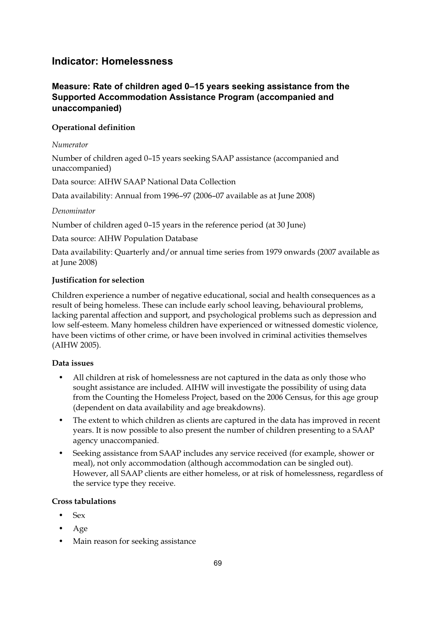## **Indicator: Homelessness**

## **Measure: Rate of children aged 0–15 years seeking assistance from the Supported Accommodation Assistance Program (accompanied and unaccompanied)**

## **Operational definition**

#### *Numerator*

Number of children aged 0–15 years seeking SAAP assistance (accompanied and unaccompanied)

Data source: AIHW SAAP National Data Collection

Data availability: Annual from 1996–97 (2006–07 available as at June 2008)

## *Denominator*

Number of children aged 0–15 years in the reference period (at 30 June)

Data source: AIHW Population Database

Data availability: Quarterly and/or annual time series from 1979 onwards (2007 available as at June 2008)

## **Justification for selection**

Children experience a number of negative educational, social and health consequences as a result of being homeless. These can include early school leaving, behavioural problems, lacking parental affection and support, and psychological problems such as depression and low self-esteem. Many homeless children have experienced or witnessed domestic violence, have been victims of other crime, or have been involved in criminal activities themselves (AIHW 2005).

## **Data issues**

- All children at risk of homelessness are not captured in the data as only those who sought assistance are included. AIHW will investigate the possibility of using data from the Counting the Homeless Project, based on the 2006 Census, for this age group (dependent on data availability and age breakdowns).
- The extent to which children as clients are captured in the data has improved in recent years. It is now possible to also present the number of children presenting to a SAAP agency unaccompanied.
- Seeking assistance from SAAP includes any service received (for example, shower or meal), not only accommodation (although accommodation can be singled out). However, all SAAP clients are either homeless, or at risk of homelessness, regardless of the service type they receive.

## **Cross tabulations**

- Sex
- Age
- Main reason for seeking assistance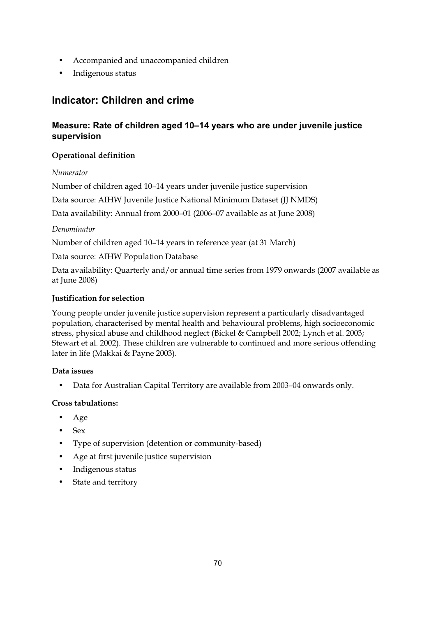- Accompanied and unaccompanied children
- Indigenous status

## **Indicator: Children and crime**

## **Measure: Rate of children aged 10–14 years who are under juvenile justice supervision**

## **Operational definition**

## *Numerator*

Number of children aged 10–14 years under juvenile justice supervision

Data source: AIHW Juvenile Justice National Minimum Dataset (JJ NMDS)

Data availability: Annual from 2000–01 (2006–07 available as at June 2008)

## *Denominator*

Number of children aged 10–14 years in reference year (at 31 March)

Data source: AIHW Population Database

Data availability: Quarterly and/or annual time series from 1979 onwards (2007 available as at June 2008)

## **Justification for selection**

Young people under juvenile justice supervision represent a particularly disadvantaged population, characterised by mental health and behavioural problems, high socioeconomic stress, physical abuse and childhood neglect (Bickel & Campbell 2002; Lynch et al. 2003; Stewart et al. 2002). These children are vulnerable to continued and more serious offending later in life (Makkai & Payne 2003).

## **Data issues**

• Data for Australian Capital Territory are available from 2003–04 onwards only.

## **Cross tabulations:**

- Age
- $\bullet$  Sex
- Type of supervision (detention or community-based)
- Age at first juvenile justice supervision
- Indigenous status
- State and territory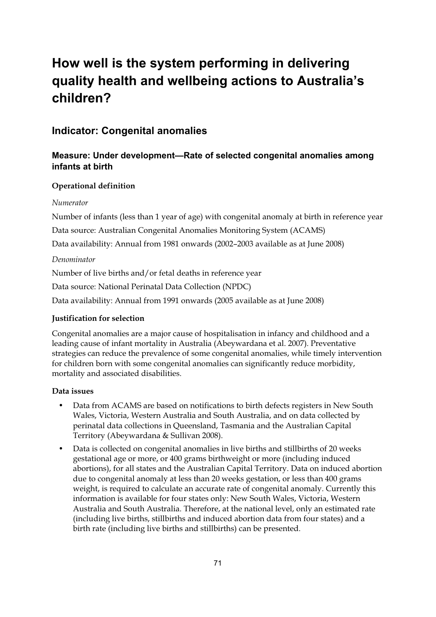## **How well is the system performing in delivering quality health and wellbeing actions to Australia's children?**

## **Indicator: Congenital anomalies**

## **Measure: Under development—Rate of selected congenital anomalies among infants at birth**

## **Operational definition**

## *Numerator*

Number of infants (less than 1 year of age) with congenital anomaly at birth in reference year

Data source: Australian Congenital Anomalies Monitoring System (ACAMS)

Data availability: Annual from 1981 onwards (2002–2003 available as at June 2008)

## *Denominator*

Number of live births and/or fetal deaths in reference year

Data source: National Perinatal Data Collection (NPDC)

Data availability: Annual from 1991 onwards (2005 available as at June 2008)

## **Justification for selection**

Congenital anomalies are a major cause of hospitalisation in infancy and childhood and a leading cause of infant mortality in Australia (Abeywardana et al. 2007). Preventative strategies can reduce the prevalence of some congenital anomalies, while timely intervention for children born with some congenital anomalies can significantly reduce morbidity, mortality and associated disabilities.

## **Data issues**

- Data from ACAMS are based on notifications to birth defects registers in New South Wales, Victoria, Western Australia and South Australia, and on data collected by perinatal data collections in Queensland, Tasmania and the Australian Capital Territory (Abeywardana & Sullivan 2008).
- Data is collected on congenital anomalies in live births and stillbirths of 20 weeks gestational age or more, or 400 grams birthweight or more (including induced abortions), for all states and the Australian Capital Territory. Data on induced abortion due to congenital anomaly at less than 20 weeks gestation, or less than 400 grams weight, is required to calculate an accurate rate of congenital anomaly. Currently this information is available for four states only: New South Wales, Victoria, Western Australia and South Australia. Therefore, at the national level, only an estimated rate (including live births, stillbirths and induced abortion data from four states) and a birth rate (including live births and stillbirths) can be presented.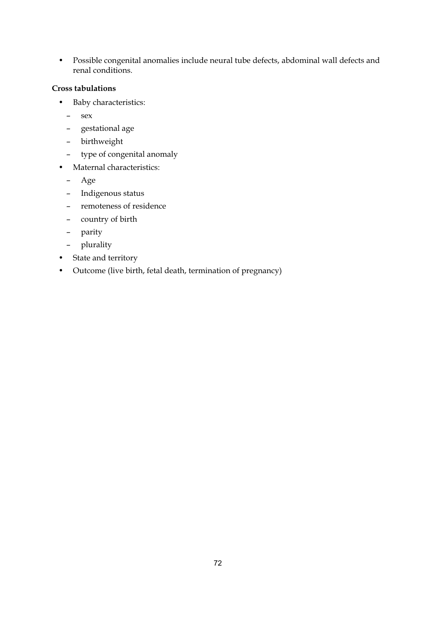• Possible congenital anomalies include neural tube defects, abdominal wall defects and renal conditions.

#### **Cross tabulations**

- Baby characteristics:
	- sex
	- gestational age
	- birthweight
	- type of congenital anomaly
- Maternal characteristics:
	- Age
	- Indigenous status
	- remoteness of residence
	- country of birth
	- parity
	- plurality
- State and territory
- Outcome (live birth, fetal death, termination of pregnancy)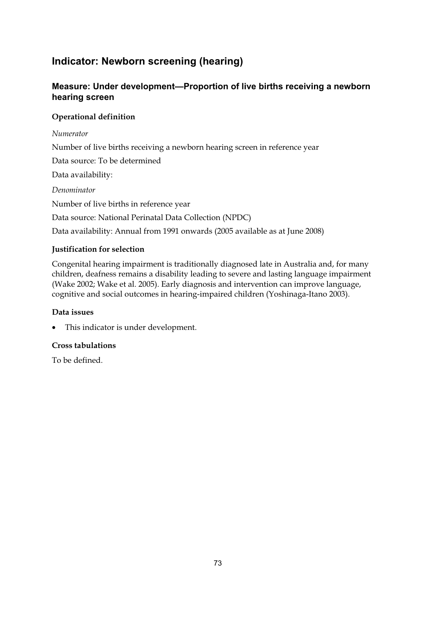## **Indicator: Newborn screening (hearing)**

## **Measure: Under development—Proportion of live births receiving a newborn hearing screen**

## **Operational definition**

*Numerator*  Number of live births receiving a newborn hearing screen in reference year Data source: To be determined Data availability: *Denominator*  Number of live births in reference year Data source: National Perinatal Data Collection (NPDC) Data availability: Annual from 1991 onwards (2005 available as at June 2008)

## **Justification for selection**

Congenital hearing impairment is traditionally diagnosed late in Australia and, for many children, deafness remains a disability leading to severe and lasting language impairment (Wake 2002; Wake et al. 2005). Early diagnosis and intervention can improve language, cognitive and social outcomes in hearing-impaired children (Yoshinaga-Itano 2003).

## **Data issues**

• This indicator is under development.

## **Cross tabulations**

To be defined.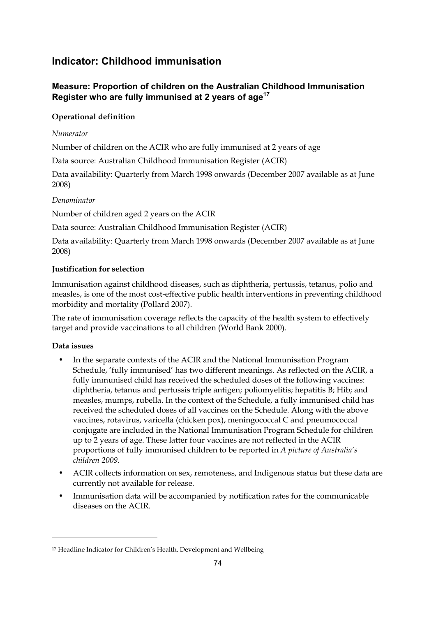## **Indicator: Childhood immunisation**

## **Measure: Proportion of children on the Australian Childhood Immunisation Register who are fully immunised at 2 years of age17**

## **Operational definition**

## *Numerator*

Number of children on the ACIR who are fully immunised at 2 years of age

Data source: Australian Childhood Immunisation Register (ACIR)

Data availability: Quarterly from March 1998 onwards (December 2007 available as at June 2008)

## *Denominator*

Number of children aged 2 years on the ACIR

Data source: Australian Childhood Immunisation Register (ACIR)

Data availability: Quarterly from March 1998 onwards (December 2007 available as at June 2008)

## **Justification for selection**

Immunisation against childhood diseases, such as diphtheria, pertussis, tetanus, polio and measles, is one of the most cost-effective public health interventions in preventing childhood morbidity and mortality (Pollard 2007).

The rate of immunisation coverage reflects the capacity of the health system to effectively target and provide vaccinations to all children (World Bank 2000).

## **Data issues**

-

- In the separate contexts of the ACIR and the National Immunisation Program Schedule, 'fully immunised' has two different meanings. As reflected on the ACIR, a fully immunised child has received the scheduled doses of the following vaccines: diphtheria, tetanus and pertussis triple antigen; poliomyelitis; hepatitis B; Hib; and measles, mumps, rubella. In the context of the Schedule, a fully immunised child has received the scheduled doses of all vaccines on the Schedule. Along with the above vaccines, rotavirus, varicella (chicken pox), meningococcal C and pneumococcal conjugate are included in the National Immunisation Program Schedule for children up to 2 years of age. These latter four vaccines are not reflected in the ACIR proportions of fully immunised children to be reported in *A picture of Australia's children 2009*.
- ACIR collects information on sex, remoteness, and Indigenous status but these data are currently not available for release.
- Immunisation data will be accompanied by notification rates for the communicable diseases on the ACIR.

<sup>17</sup> Headline Indicator for Children's Health, Development and Wellbeing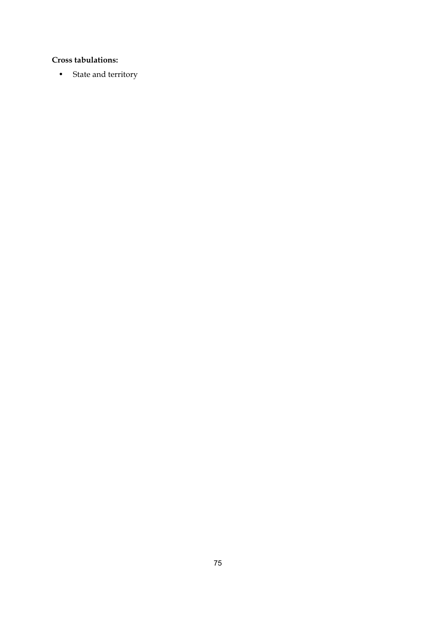## **Cross tabulations:**

• State and territory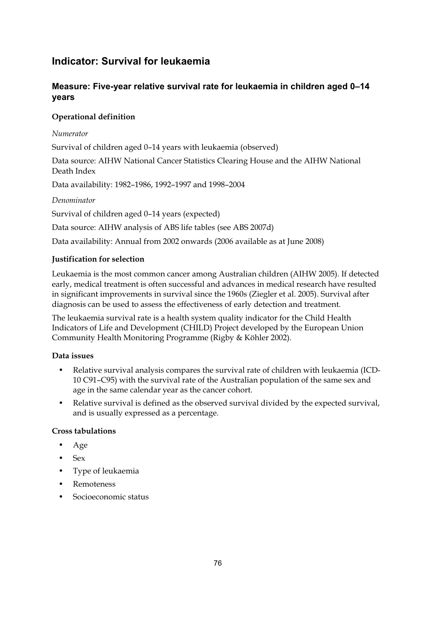## **Indicator: Survival for leukaemia**

## **Measure: Five-year relative survival rate for leukaemia in children aged 0–14 years**

## **Operational definition**

## *Numerator*

Survival of children aged 0–14 years with leukaemia (observed)

Data source: AIHW National Cancer Statistics Clearing House and the AIHW National Death Index

Data availability: 1982–1986, 1992–1997 and 1998–2004

## *Denominator*

Survival of children aged 0–14 years (expected)

Data source: AIHW analysis of ABS life tables (see ABS 2007d)

Data availability: Annual from 2002 onwards (2006 available as at June 2008)

## **Justification for selection**

Leukaemia is the most common cancer among Australian children (AIHW 2005). If detected early, medical treatment is often successful and advances in medical research have resulted in significant improvements in survival since the 1960s (Ziegler et al. 2005). Survival after diagnosis can be used to assess the effectiveness of early detection and treatment.

The leukaemia survival rate is a health system quality indicator for the Child Health Indicators of Life and Development (CHILD) Project developed by the European Union Community Health Monitoring Programme (Rigby & Köhler 2002).

## **Data issues**

- Relative survival analysis compares the survival rate of children with leukaemia (ICD-10 C91–C95) with the survival rate of the Australian population of the same sex and age in the same calendar year as the cancer cohort.
- Relative survival is defined as the observed survival divided by the expected survival, and is usually expressed as a percentage.

## **Cross tabulations**

- Age
- Sex
- Type of leukaemia
- Remoteness
- Socioeconomic status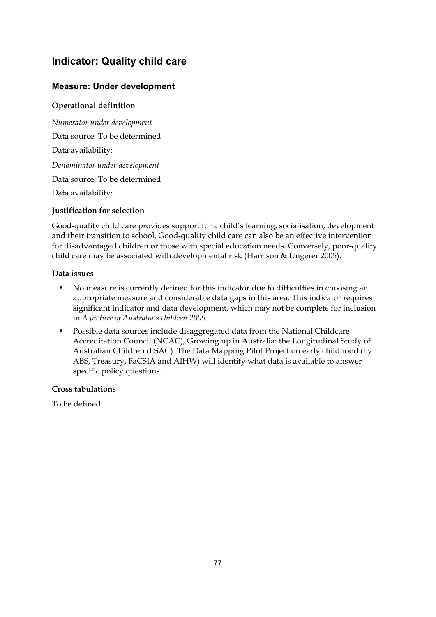## **Indicator: Quality child care**

## **Measure: Under development**

## **Operational definition**

*Numerator under development*  Data source: To be determined Data availability: *Denominator under development*  Data source: To be determined Data availability:

## **Justification for selection**

Good-quality child care provides support for a child's learning, socialisation, development and their transition to school. Good-quality child care can also be an effective intervention for disadvantaged children or those with special education needs. Conversely, poor-quality child care may be associated with developmental risk (Harrison & Ungerer 2005).

## **Data issues**

- No measure is currently defined for this indicator due to difficulties in choosing an appropriate measure and considerable data gaps in this area. This indicator requires significant indicator and data development, which may not be complete for inclusion in *A picture of Australia's children 2009*.
- Possible data sources include disaggregated data from the National Childcare Accreditation Council (NCAC), Growing up in Australia: the Longitudinal Study of Australian Children (LSAC). The Data Mapping Pilot Project on early childhood (by ABS, Treasury, FaCSIA and AIHW) will identify what data is available to answer specific policy questions.

## **Cross tabulations**

To be defined.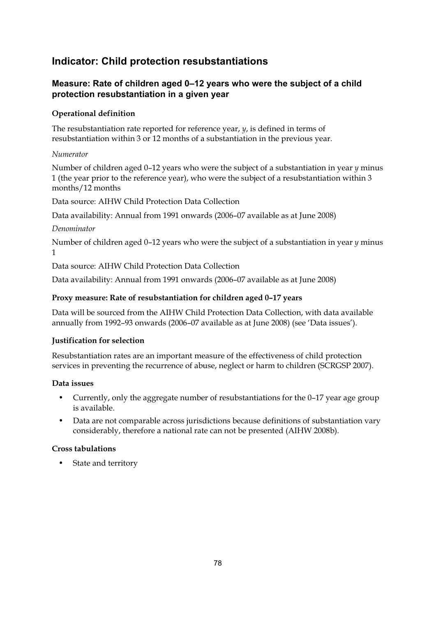## **Indicator: Child protection resubstantiations**

## **Measure: Rate of children aged 0–12 years who were the subject of a child protection resubstantiation in a given year**

## **Operational definition**

The resubstantiation rate reported for reference year, *y*, is defined in terms of resubstantiation within 3 or 12 months of a substantiation in the previous year.

## *Numerator*

Number of children aged 0–12 years who were the subject of a substantiation in year *y* minus 1 (the year prior to the reference year), who were the subject of a resubstantiation within 3 months/12 months

Data source: AIHW Child Protection Data Collection

Data availability: Annual from 1991 onwards (2006–07 available as at June 2008)

## *Denominator*

Number of children aged 0–12 years who were the subject of a substantiation in year *y* minus 1

Data source: AIHW Child Protection Data Collection

Data availability: Annual from 1991 onwards (2006–07 available as at June 2008)

## **Proxy measure: Rate of resubstantiation for children aged 0–17 years**

Data will be sourced from the AIHW Child Protection Data Collection, with data available annually from 1992–93 onwards (2006–07 available as at June 2008) (see 'Data issues').

## **Justification for selection**

Resubstantiation rates are an important measure of the effectiveness of child protection services in preventing the recurrence of abuse, neglect or harm to children (SCRGSP 2007).

## **Data issues**

- Currently, only the aggregate number of resubstantiations for the 0-17 year age group is available.
- Data are not comparable across jurisdictions because definitions of substantiation vary considerably, therefore a national rate can not be presented (AIHW 2008b).

## **Cross tabulations**

State and territory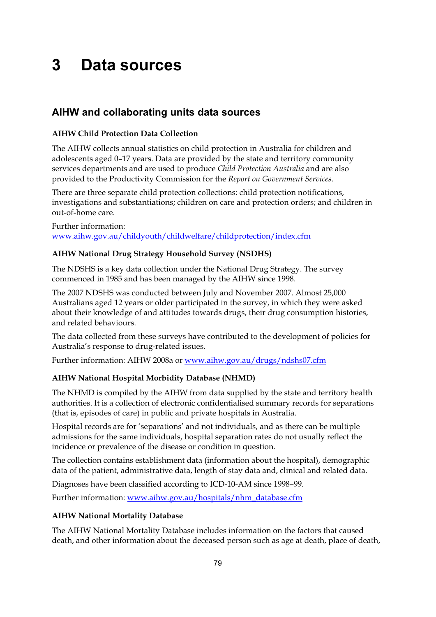# **3 Data sources**

## **AIHW and collaborating units data sources**

## **AIHW Child Protection Data Collection**

The AIHW collects annual statistics on child protection in Australia for children and adolescents aged 0–17 years. Data are provided by the state and territory community services departments and are used to produce *Child Protection Australia* and are also provided to the Productivity Commission for the *Report on Government Services*.

There are three separate child protection collections: child protection notifications, investigations and substantiations; children on care and protection orders; and children in out-of-home care.

Further information: www.aihw.gov.au/childyouth/childwelfare/childprotection/index.cfm

## **AIHW National Drug Strategy Household Survey (NSDHS)**

The NDSHS is a key data collection under the National Drug Strategy. The survey commenced in 1985 and has been managed by the AIHW since 1998.

The 2007 NDSHS was conducted between July and November 2007. Almost 25,000 Australians aged 12 years or older participated in the survey, in which they were asked about their knowledge of and attitudes towards drugs, their drug consumption histories, and related behaviours.

The data collected from these surveys have contributed to the development of policies for Australia's response to drug-related issues.

Further information: AIHW 2008a or www.aihw.gov.au/drugs/ndshs07.cfm

## **AIHW National Hospital Morbidity Database (NHMD)**

The NHMD is compiled by the AIHW from data supplied by the state and territory health authorities. It is a collection of electronic confidentialised summary records for separations (that is, episodes of care) in public and private hospitals in Australia.

Hospital records are for 'separations' and not individuals, and as there can be multiple admissions for the same individuals, hospital separation rates do not usually reflect the incidence or prevalence of the disease or condition in question.

The collection contains establishment data (information about the hospital), demographic data of the patient, administrative data, length of stay data and, clinical and related data.

Diagnoses have been classified according to ICD-10-AM since 1998–99.

Further information: www.aihw.gov.au/hospitals/nhm\_database.cfm

## **AIHW National Mortality Database**

The AIHW National Mortality Database includes information on the factors that caused death, and other information about the deceased person such as age at death, place of death,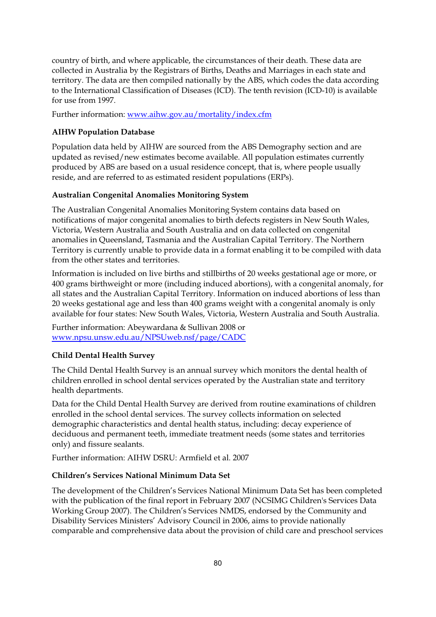country of birth, and where applicable, the circumstances of their death. These data are collected in Australia by the Registrars of Births, Deaths and Marriages in each state and territory. The data are then compiled nationally by the ABS, which codes the data according to the International Classification of Diseases (ICD). The tenth revision (ICD-10) is available for use from 1997.

Further information: www.aihw.gov.au/mortality/index.cfm

#### **AIHW Population Database**

Population data held by AIHW are sourced from the ABS Demography section and are updated as revised/new estimates become available. All population estimates currently produced by ABS are based on a usual residence concept, that is, where people usually reside, and are referred to as estimated resident populations (ERPs).

#### **Australian Congenital Anomalies Monitoring System**

The Australian Congenital Anomalies Monitoring System contains data based on notifications of major congenital anomalies to birth defects registers in New South Wales, Victoria, Western Australia and South Australia and on data collected on congenital anomalies in Queensland, Tasmania and the Australian Capital Territory. The Northern Territory is currently unable to provide data in a format enabling it to be compiled with data from the other states and territories.

Information is included on live births and stillbirths of 20 weeks gestational age or more, or 400 grams birthweight or more (including induced abortions), with a congenital anomaly, for all states and the Australian Capital Territory. Information on induced abortions of less than 20 weeks gestational age and less than 400 grams weight with a congenital anomaly is only available for four states: New South Wales, Victoria, Western Australia and South Australia.

Further information: Abeywardana & Sullivan 2008 or www.npsu.unsw.edu.au/NPSUweb.nsf/page/CADC

## **Child Dental Health Survey**

The Child Dental Health Survey is an annual survey which monitors the dental health of children enrolled in school dental services operated by the Australian state and territory health departments.

Data for the Child Dental Health Survey are derived from routine examinations of children enrolled in the school dental services. The survey collects information on selected demographic characteristics and dental health status, including: decay experience of deciduous and permanent teeth, immediate treatment needs (some states and territories only) and fissure sealants.

Further information: AIHW DSRU: Armfield et al. 2007

#### **Children's Services National Minimum Data Set**

The development of the Children's Services National Minimum Data Set has been completed with the publication of the final report in February 2007 (NCSIMG Children's Services Data Working Group 2007). The Children's Services NMDS, endorsed by the Community and Disability Services Ministers' Advisory Council in 2006, aims to provide nationally comparable and comprehensive data about the provision of child care and preschool services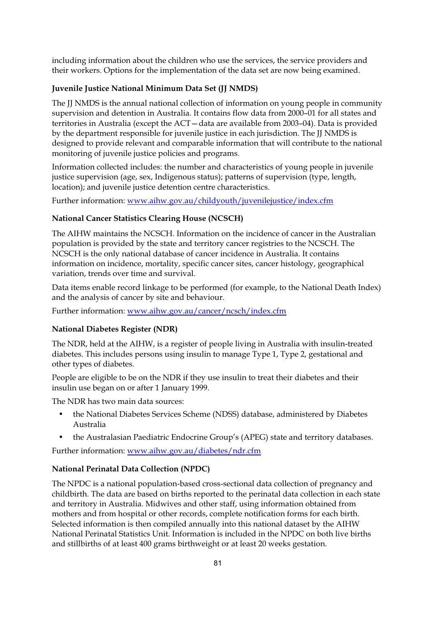including information about the children who use the services, the service providers and their workers. Options for the implementation of the data set are now being examined.

## **Juvenile Justice National Minimum Data Set (JJ NMDS)**

The JJ NMDS is the annual national collection of information on young people in community supervision and detention in Australia. It contains flow data from 2000–01 for all states and territories in Australia (except the ACT—data are available from 2003–04). Data is provided by the department responsible for juvenile justice in each jurisdiction. The JJ NMDS is designed to provide relevant and comparable information that will contribute to the national monitoring of juvenile justice policies and programs.

Information collected includes: the number and characteristics of young people in juvenile justice supervision (age, sex, Indigenous status); patterns of supervision (type, length, location); and juvenile justice detention centre characteristics.

Further information: www.aihw.gov.au/childyouth/juvenilejustice/index.cfm

## **National Cancer Statistics Clearing House (NCSCH)**

The AIHW maintains the NCSCH. Information on the incidence of cancer in the Australian population is provided by the state and territory cancer registries to the NCSCH. The NCSCH is the only national database of cancer incidence in Australia. It contains information on incidence, mortality, specific cancer sites, cancer histology, geographical variation, trends over time and survival.

Data items enable record linkage to be performed (for example, to the National Death Index) and the analysis of cancer by site and behaviour.

Further information: www.aihw.gov.au/cancer/ncsch/index.cfm

## **National Diabetes Register (NDR)**

The NDR, held at the AIHW, is a register of people living in Australia with insulin-treated diabetes. This includes persons using insulin to manage Type 1, Type 2, gestational and other types of diabetes.

People are eligible to be on the NDR if they use insulin to treat their diabetes and their insulin use began on or after 1 January 1999.

The NDR has two main data sources:

- the National Diabetes Services Scheme (NDSS) database, administered by Diabetes Australia
- the Australasian Paediatric Endocrine Group's (APEG) state and territory databases.

Further information: www.aihw.gov.au/diabetes/ndr.cfm

## **National Perinatal Data Collection (NPDC)**

The NPDC is a national population-based cross-sectional data collection of pregnancy and childbirth. The data are based on births reported to the perinatal data collection in each state and territory in Australia. Midwives and other staff, using information obtained from mothers and from hospital or other records, complete notification forms for each birth. Selected information is then compiled annually into this national dataset by the AIHW National Perinatal Statistics Unit. Information is included in the NPDC on both live births and stillbirths of at least 400 grams birthweight or at least 20 weeks gestation.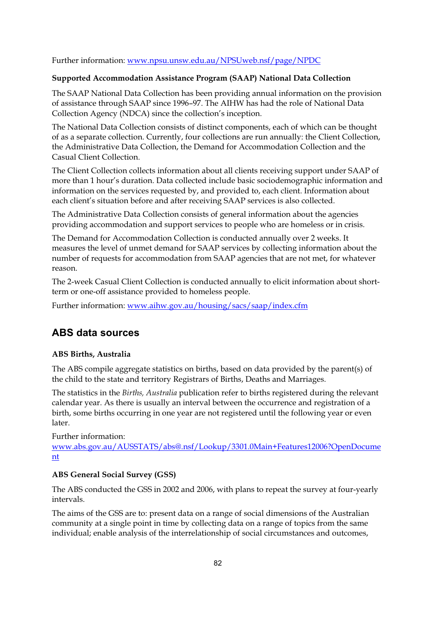Further information: www.npsu.unsw.edu.au/NPSUweb.nsf/page/NPDC

#### **Supported Accommodation Assistance Program (SAAP) National Data Collection**

The SAAP National Data Collection has been providing annual information on the provision of assistance through SAAP since 1996–97. The AIHW has had the role of National Data Collection Agency (NDCA) since the collection's inception.

The National Data Collection consists of distinct components, each of which can be thought of as a separate collection. Currently, four collections are run annually: the Client Collection, the Administrative Data Collection, the Demand for Accommodation Collection and the Casual Client Collection.

The Client Collection collects information about all clients receiving support under SAAP of more than 1 hour's duration. Data collected include basic sociodemographic information and information on the services requested by, and provided to, each client. Information about each client's situation before and after receiving SAAP services is also collected.

The Administrative Data Collection consists of general information about the agencies providing accommodation and support services to people who are homeless or in crisis.

The Demand for Accommodation Collection is conducted annually over 2 weeks. It measures the level of unmet demand for SAAP services by collecting information about the number of requests for accommodation from SAAP agencies that are not met, for whatever reason.

The 2-week Casual Client Collection is conducted annually to elicit information about shortterm or one-off assistance provided to homeless people.

Further information: www.aihw.gov.au/housing/sacs/saap/index.cfm

## **ABS data sources**

## **ABS Births, Australia**

The ABS compile aggregate statistics on births, based on data provided by the parent(s) of the child to the state and territory Registrars of Births, Deaths and Marriages.

The statistics in the *Births, Australia* publication refer to births registered during the relevant calendar year. As there is usually an interval between the occurrence and registration of a birth, some births occurring in one year are not registered until the following year or even later.

Further information: www.abs.gov.au/AUSSTATS/abs@.nsf/Lookup/3301.0Main+Features12006?OpenDocume nt

## **ABS General Social Survey (GSS)**

The ABS conducted the GSS in 2002 and 2006, with plans to repeat the survey at four-yearly intervals.

The aims of the GSS are to: present data on a range of social dimensions of the Australian community at a single point in time by collecting data on a range of topics from the same individual; enable analysis of the interrelationship of social circumstances and outcomes,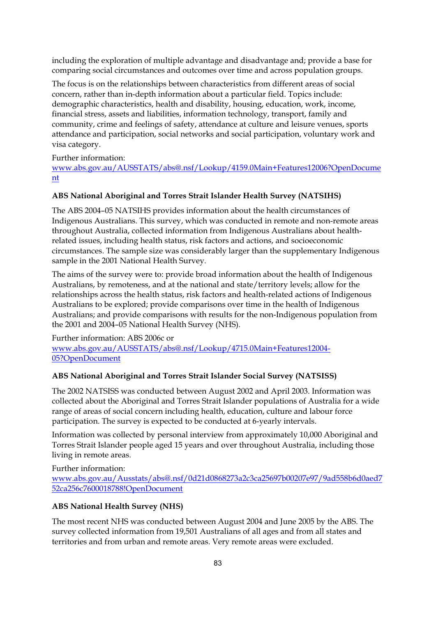including the exploration of multiple advantage and disadvantage and; provide a base for comparing social circumstances and outcomes over time and across population groups.

The focus is on the relationships between characteristics from different areas of social concern, rather than in-depth information about a particular field. Topics include: demographic characteristics, health and disability, housing, education, work, income, financial stress, assets and liabilities, information technology, transport, family and community, crime and feelings of safety, attendance at culture and leisure venues, sports attendance and participation, social networks and social participation, voluntary work and visa category.

Further information:

www.abs.gov.au/AUSSTATS/abs@.nsf/Lookup/4159.0Main+Features12006?OpenDocume nt

## **ABS National Aboriginal and Torres Strait Islander Health Survey (NATSIHS)**

The ABS 2004–05 NATSIHS provides information about the health circumstances of Indigenous Australians. This survey, which was conducted in remote and non-remote areas throughout Australia, collected information from Indigenous Australians about healthrelated issues, including health status, risk factors and actions, and socioeconomic circumstances. The sample size was considerably larger than the supplementary Indigenous sample in the 2001 National Health Survey.

The aims of the survey were to: provide broad information about the health of Indigenous Australians, by remoteness, and at the national and state/territory levels; allow for the relationships across the health status, risk factors and health-related actions of Indigenous Australians to be explored; provide comparisons over time in the health of Indigenous Australians; and provide comparisons with results for the non-Indigenous population from the 2001 and 2004–05 National Health Survey (NHS).

Further information: ABS 2006c or www.abs.gov.au/AUSSTATS/abs@.nsf/Lookup/4715.0Main+Features12004- 05?OpenDocument

## **ABS National Aboriginal and Torres Strait Islander Social Survey (NATSISS)**

The 2002 NATSISS was conducted between August 2002 and April 2003. Information was collected about the Aboriginal and Torres Strait Islander populations of Australia for a wide range of areas of social concern including health, education, culture and labour force participation. The survey is expected to be conducted at 6-yearly intervals.

Information was collected by personal interview from approximately 10,000 Aboriginal and Torres Strait Islander people aged 15 years and over throughout Australia, including those living in remote areas.

Further information:

www.abs.gov.au/Ausstats/abs@.nsf/0d21d0868273a2c3ca25697b00207e97/9ad558b6d0aed7 52ca256c7600018788!OpenDocument

## **ABS National Health Survey (NHS)**

The most recent NHS was conducted between August 2004 and June 2005 by the ABS. The survey collected information from 19,501 Australians of all ages and from all states and territories and from urban and remote areas. Very remote areas were excluded.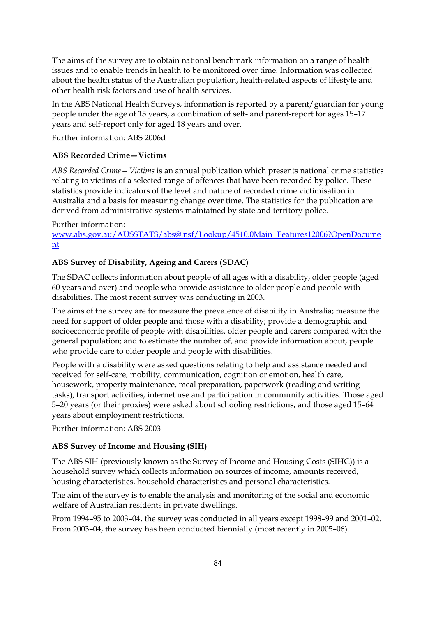The aims of the survey are to obtain national benchmark information on a range of health issues and to enable trends in health to be monitored over time. Information was collected about the health status of the Australian population, health-related aspects of lifestyle and other health risk factors and use of health services.

In the ABS National Health Surveys, information is reported by a parent/guardian for young people under the age of 15 years, a combination of self- and parent-report for ages 15–17 years and self-report only for aged 18 years and over.

Further information: ABS 2006d

## **ABS Recorded Crime—Victims**

*ABS Recorded Crime—Victims* is an annual publication which presents national crime statistics relating to victims of a selected range of offences that have been recorded by police. These statistics provide indicators of the level and nature of recorded crime victimisation in Australia and a basis for measuring change over time. The statistics for the publication are derived from administrative systems maintained by state and territory police.

#### Further information:

www.abs.gov.au/AUSSTATS/abs@.nsf/Lookup/4510.0Main+Features12006?OpenDocume nt

## **ABS Survey of Disability, Ageing and Carers (SDAC)**

The SDAC collects information about people of all ages with a disability, older people (aged 60 years and over) and people who provide assistance to older people and people with disabilities. The most recent survey was conducting in 2003.

The aims of the survey are to: measure the prevalence of disability in Australia; measure the need for support of older people and those with a disability; provide a demographic and socioeconomic profile of people with disabilities, older people and carers compared with the general population; and to estimate the number of, and provide information about, people who provide care to older people and people with disabilities.

People with a disability were asked questions relating to help and assistance needed and received for self-care, mobility, communication, cognition or emotion, health care, housework, property maintenance, meal preparation, paperwork (reading and writing tasks), transport activities, internet use and participation in community activities. Those aged 5–20 years (or their proxies) were asked about schooling restrictions, and those aged 15–64 years about employment restrictions.

Further information: ABS 2003

#### **ABS Survey of Income and Housing (SIH)**

The ABS SIH (previously known as the Survey of Income and Housing Costs (SIHC)) is a household survey which collects information on sources of income, amounts received, housing characteristics, household characteristics and personal characteristics.

The aim of the survey is to enable the analysis and monitoring of the social and economic welfare of Australian residents in private dwellings.

From 1994–95 to 2003–04, the survey was conducted in all years except 1998–99 and 2001–02. From 2003–04, the survey has been conducted biennially (most recently in 2005–06).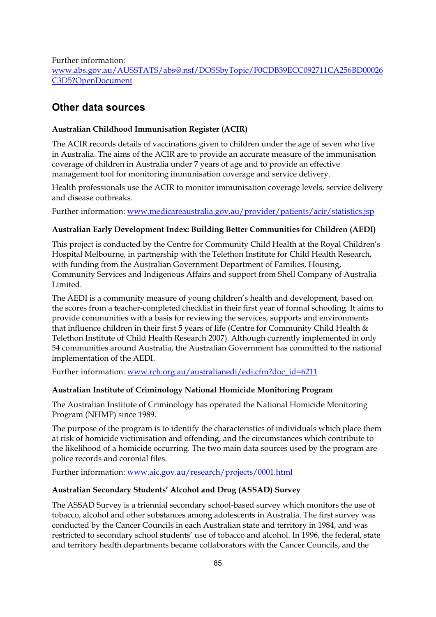Further information: www.abs.gov.au/AUSSTATS/abs@.nsf/DOSSbyTopic/F0CDB39ECC092711CA256BD00026 C3D5?OpenDocument

## **Other data sources**

#### **Australian Childhood Immunisation Register (ACIR)**

The ACIR records details of vaccinations given to children under the age of seven who live in Australia. The aims of the ACIR are to provide an accurate measure of the immunisation coverage of children in Australia under 7 years of age and to provide an effective management tool for monitoring immunisation coverage and service delivery.

Health professionals use the ACIR to monitor immunisation coverage levels, service delivery and disease outbreaks.

Further information: www.medicareaustralia.gov.au/provider/patients/acir/statistics.jsp

#### **Australian Early Development Index: Building Better Communities for Children (AEDI)**

This project is conducted by the Centre for Community Child Health at the Royal Children's Hospital Melbourne, in partnership with the Telethon Institute for Child Health Research, with funding from the Australian Government Department of Families, Housing, Community Services and Indigenous Affairs and support from Shell Company of Australia Limited.

The AEDI is a community measure of young children's health and development, based on the scores from a teacher-completed checklist in their first year of formal schooling. It aims to provide communities with a basis for reviewing the services, supports and environments that influence children in their first 5 years of life (Centre for Community Child Health & Telethon Institute of Child Health Research 2007). Although currently implemented in only 54 communities around Australia, the Australian Government has committed to the national implementation of the AEDI.

Further information: www.rch.org.au/australianedi/edi.cfm?doc\_id=6211

#### **Australian Institute of Criminology National Homicide Monitoring Program**

The Australian Institute of Criminology has operated the National Homicide Monitoring Program (NHMP) since 1989.

The purpose of the program is to identify the characteristics of individuals which place them at risk of homicide victimisation and offending, and the circumstances which contribute to the likelihood of a homicide occurring. The two main data sources used by the program are police records and coronial files.

Further information: www.aic.gov.au/research/projects/0001.html

#### **Australian Secondary Students' Alcohol and Drug (ASSAD) Survey**

The ASSAD Survey is a triennial secondary school-based survey which monitors the use of tobacco, alcohol and other substances among adolescents in Australia. The first survey was conducted by the Cancer Councils in each Australian state and territory in 1984, and was restricted to secondary school students' use of tobacco and alcohol. In 1996, the federal, state and territory health departments became collaborators with the Cancer Councils, and the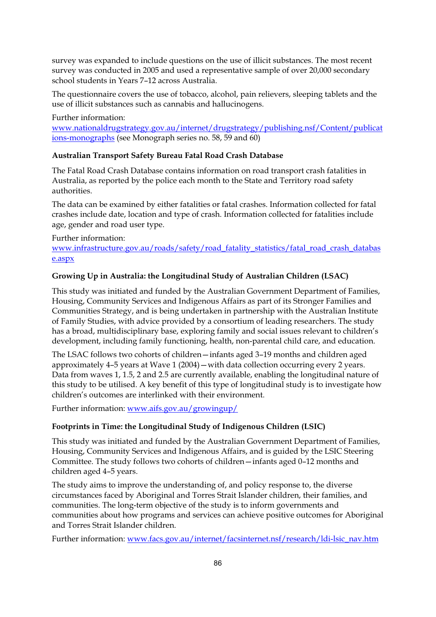survey was expanded to include questions on the use of illicit substances. The most recent survey was conducted in 2005 and used a representative sample of over 20,000 secondary school students in Years 7–12 across Australia.

The questionnaire covers the use of tobacco, alcohol, pain relievers, sleeping tablets and the use of illicit substances such as cannabis and hallucinogens.

Further information:

www.nationaldrugstrategy.gov.au/internet/drugstrategy/publishing.nsf/Content/publicat ions-monographs (see Monograph series no. 58, 59 and 60)

## **Australian Transport Safety Bureau Fatal Road Crash Database**

The Fatal Road Crash Database contains information on road transport crash fatalities in Australia, as reported by the police each month to the State and Territory road safety authorities.

The data can be examined by either fatalities or fatal crashes. Information collected for fatal crashes include date, location and type of crash. Information collected for fatalities include age, gender and road user type.

Further information: www.infrastructure.gov.au/roads/safety/road\_fatality\_statistics/fatal\_road\_crash\_databas e.aspx

## **Growing Up in Australia: the Longitudinal Study of Australian Children (LSAC)**

This study was initiated and funded by the Australian Government Department of Families, Housing, Community Services and Indigenous Affairs as part of its Stronger Families and Communities Strategy, and is being undertaken in partnership with the Australian Institute of Family Studies, with advice provided by a consortium of leading researchers. The study has a broad, multidisciplinary base, exploring family and social issues relevant to children's development, including family functioning, health, non-parental child care, and education.

The LSAC follows two cohorts of children—infants aged 3–19 months and children aged approximately 4–5 years at Wave 1 (2004)—with data collection occurring every 2 years. Data from waves 1, 1.5, 2 and 2.5 are currently available, enabling the longitudinal nature of this study to be utilised. A key benefit of this type of longitudinal study is to investigate how children's outcomes are interlinked with their environment.

Further information: www.aifs.gov.au/growingup/

## **Footprints in Time: the Longitudinal Study of Indigenous Children (LSIC)**

This study was initiated and funded by the Australian Government Department of Families, Housing, Community Services and Indigenous Affairs, and is guided by the LSIC Steering Committee. The study follows two cohorts of children—infants aged 0–12 months and children aged 4–5 years.

The study aims to improve the understanding of, and policy response to, the diverse circumstances faced by Aboriginal and Torres Strait Islander children, their families, and communities. The long-term objective of the study is to inform governments and communities about how programs and services can achieve positive outcomes for Aboriginal and Torres Strait Islander children.

Further information: www.facs.gov.au/internet/facsinternet.nsf/research/ldi-lsic\_nav.htm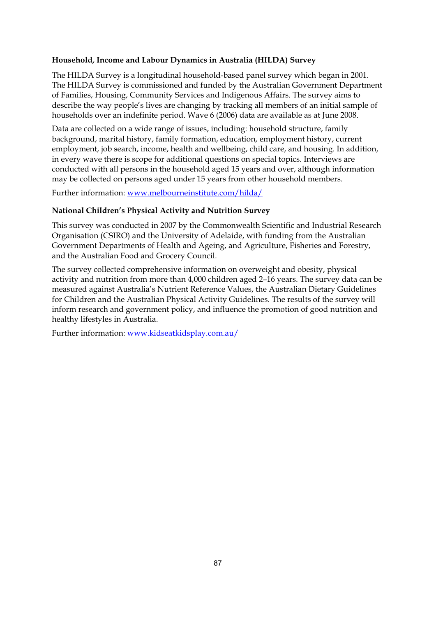## **Household, Income and Labour Dynamics in Australia (HILDA) Survey**

The HILDA Survey is a longitudinal household-based panel survey which began in 2001. The HILDA Survey is commissioned and funded by the Australian Government Department of Families, Housing, Community Services and Indigenous Affairs. The survey aims to describe the way people's lives are changing by tracking all members of an initial sample of households over an indefinite period. Wave 6 (2006) data are available as at June 2008.

Data are collected on a wide range of issues, including: household structure, family background, marital history, family formation, education, employment history, current employment, job search, income, health and wellbeing, child care, and housing. In addition, in every wave there is scope for additional questions on special topics. Interviews are conducted with all persons in the household aged 15 years and over, although information may be collected on persons aged under 15 years from other household members.

Further information: www.melbourneinstitute.com/hilda/

#### **National Children's Physical Activity and Nutrition Survey**

This survey was conducted in 2007 by the Commonwealth Scientific and Industrial Research Organisation (CSIRO) and the University of Adelaide, with funding from the Australian Government Departments of Health and Ageing, and Agriculture, Fisheries and Forestry, and the Australian Food and Grocery Council.

The survey collected comprehensive information on overweight and obesity, physical activity and nutrition from more than 4,000 children aged 2–16 years. The survey data can be measured against Australia's Nutrient Reference Values, the Australian Dietary Guidelines for Children and the Australian Physical Activity Guidelines. The results of the survey will inform research and government policy, and influence the promotion of good nutrition and healthy lifestyles in Australia.

Further information: www.kidseatkidsplay.com.au/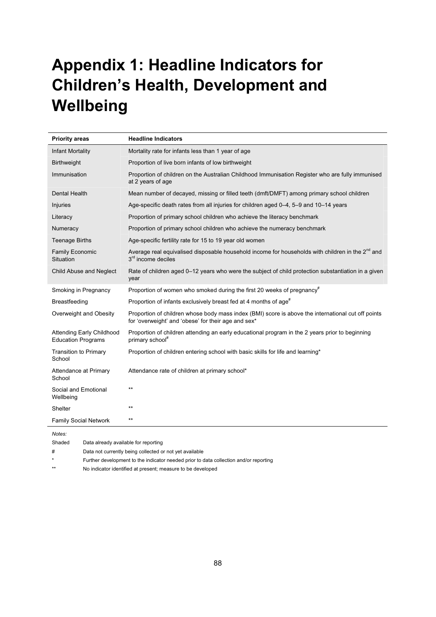# **Appendix 1: Headline Indicators for Children's Health, Development and Wellbeing**

| <b>Priority areas</b>                                         | <b>Headline Indicators</b>                                                                                                                                |
|---------------------------------------------------------------|-----------------------------------------------------------------------------------------------------------------------------------------------------------|
| <b>Infant Mortality</b>                                       | Mortality rate for infants less than 1 year of age                                                                                                        |
| <b>Birthweight</b>                                            | Proportion of live born infants of low birthweight                                                                                                        |
| Immunisation                                                  | Proportion of children on the Australian Childhood Immunisation Register who are fully immunised<br>at 2 years of age                                     |
| Dental Health                                                 | Mean number of decayed, missing or filled teeth (dmft/DMFT) among primary school children                                                                 |
| Injuries                                                      | Age-specific death rates from all injuries for children aged 0-4, 5-9 and 10-14 years                                                                     |
| Literacy                                                      | Proportion of primary school children who achieve the literacy benchmark                                                                                  |
| Numeracy                                                      | Proportion of primary school children who achieve the numeracy benchmark                                                                                  |
| <b>Teenage Births</b>                                         | Age-specific fertility rate for 15 to 19 year old women                                                                                                   |
| <b>Family Economic</b><br>Situation                           | Average real equivalised disposable household income for households with children in the 2 <sup>nd</sup> and<br>$3rd$ income deciles                      |
| Child Abuse and Neglect                                       | Rate of children aged 0-12 years who were the subject of child protection substantiation in a given<br>year                                               |
| Smoking in Pregnancy                                          | Proportion of women who smoked during the first 20 weeks of pregnancy $*$                                                                                 |
| <b>Breastfeeding</b>                                          | Proportion of infants exclusively breast fed at 4 months of age <sup>#</sup>                                                                              |
| Overweight and Obesity                                        | Proportion of children whose body mass index (BMI) score is above the international cut off points<br>for 'overweight' and 'obese' for their age and sex* |
| <b>Attending Early Childhood</b><br><b>Education Programs</b> | Proportion of children attending an early educational program in the 2 years prior to beginning<br>primary school"                                        |
| <b>Transition to Primary</b><br>School                        | Proportion of children entering school with basic skills for life and learning*                                                                           |
| Attendance at Primary<br>School                               | Attendance rate of children at primary school*                                                                                                            |
| Social and Emotional<br>Wellbeing                             | $***$                                                                                                                                                     |
| Shelter                                                       | $***$                                                                                                                                                     |
| <b>Family Social Network</b>                                  | $***$                                                                                                                                                     |
| Notes:                                                        |                                                                                                                                                           |

Shaded Data already available for reporting

# Data not currently being collected or not yet available

Further development to the indicator needed prior to data collection and/or reporting

\*\* No indicator identified at present; measure to be developed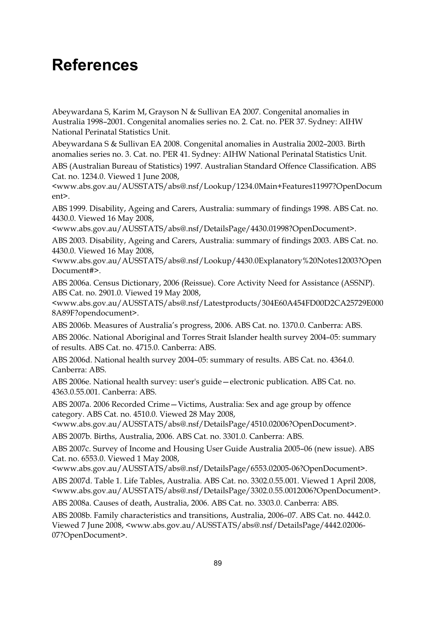# **References**

Abeywardana S, Karim M, Grayson N & Sullivan EA 2007. Congenital anomalies in Australia 1998–2001. Congenital anomalies series no. 2. Cat. no. PER 37. Sydney: AIHW National Perinatal Statistics Unit.

Abeywardana S & Sullivan EA 2008. Congenital anomalies in Australia 2002–2003. Birth anomalies series no. 3. Cat. no. PER 41. Sydney: AIHW National Perinatal Statistics Unit.

ABS (Australian Bureau of Statistics) 1997. Australian Standard Offence Classification. ABS Cat. no. 1234.0. Viewed 1 June 2008,

<www.abs.gov.au/AUSSTATS/abs@.nsf/Lookup/1234.0Main+Features11997?OpenDocum ent>.

ABS 1999. Disability, Ageing and Carers, Australia: summary of findings 1998. ABS Cat. no. 4430.0. Viewed 16 May 2008,

<www.abs.gov.au/AUSSTATS/abs@.nsf/DetailsPage/4430.01998?OpenDocument>.

ABS 2003. Disability, Ageing and Carers, Australia: summary of findings 2003. ABS Cat. no. 4430.0. Viewed 16 May 2008,

<www.abs.gov.au/AUSSTATS/abs@.nsf/Lookup/4430.0Explanatory%20Notes12003?Open Document#>.

ABS 2006a. Census Dictionary, 2006 (Reissue). Core Activity Need for Assistance (ASSNP). ABS Cat. no. 2901.0. Viewed 19 May 2008,

<www.abs.gov.au/AUSSTATS/abs@.nsf/Latestproducts/304E60A454FD00D2CA25729E000 8A89F?opendocument>.

ABS 2006b. Measures of Australia's progress, 2006. ABS Cat. no. 1370.0. Canberra: ABS.

ABS 2006c. National Aboriginal and Torres Strait Islander health survey 2004–05: summary of results. ABS Cat. no. 4715.0. Canberra: ABS.

ABS 2006d. National health survey 2004–05: summary of results. ABS Cat. no. 4364.0. Canberra: ABS.

ABS 2006e. National health survey: user's guide—electronic publication. ABS Cat. no. 4363.0.55.001. Canberra: ABS.

ABS 2007a. 2006 Recorded Crime—Victims, Australia: Sex and age group by offence category. ABS Cat. no. 4510.0. Viewed 28 May 2008,

<www.abs.gov.au/AUSSTATS/abs@.nsf/DetailsPage/4510.02006?OpenDocument>.

ABS 2007b. Births, Australia, 2006. ABS Cat. no. 3301.0. Canberra: ABS.

ABS 2007c. Survey of Income and Housing User Guide Australia 2005–06 (new issue). ABS Cat. no. 6553.0. Viewed 1 May 2008,

<www.abs.gov.au/AUSSTATS/abs@.nsf/DetailsPage/6553.02005-06?OpenDocument>.

ABS 2007d. Table 1. Life Tables, Australia. ABS Cat. no. 3302.0.55.001. Viewed 1 April 2008, <www.abs.gov.au/AUSSTATS/abs@.nsf/DetailsPage/3302.0.55.0012006?OpenDocument>.

ABS 2008a. Causes of death, Australia, 2006. ABS Cat. no. 3303.0. Canberra: ABS.

ABS 2008b. Family characteristics and transitions, Australia, 2006–07. ABS Cat. no. 4442.0. Viewed 7 June 2008, <www.abs.gov.au/AUSSTATS/abs@.nsf/DetailsPage/4442.02006- 07?OpenDocument>.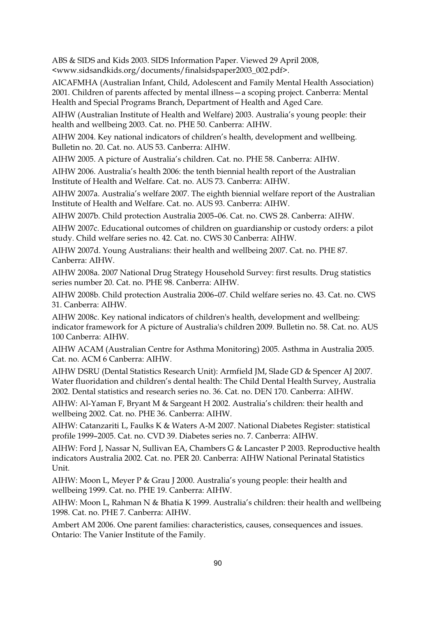ABS & SIDS and Kids 2003. SIDS Information Paper. Viewed 29 April 2008, <www.sidsandkids.org/documents/finalsidspaper2003\_002.pdf>.

AICAFMHA (Australian Infant, Child, Adolescent and Family Mental Health Association) 2001. Children of parents affected by mental illness—a scoping project. Canberra: Mental Health and Special Programs Branch, Department of Health and Aged Care.

AIHW (Australian Institute of Health and Welfare) 2003. Australia's young people: their health and wellbeing 2003. Cat. no. PHE 50. Canberra: AIHW.

AIHW 2004. Key national indicators of children's health, development and wellbeing. Bulletin no. 20. Cat. no. AUS 53. Canberra: AIHW.

AIHW 2005. A picture of Australia's children. Cat. no. PHE 58. Canberra: AIHW.

AIHW 2006. Australia's health 2006: the tenth biennial health report of the Australian Institute of Health and Welfare. Cat. no. AUS 73. Canberra: AIHW.

AIHW 2007a. Australia's welfare 2007. The eighth biennial welfare report of the Australian Institute of Health and Welfare. Cat. no. AUS 93. Canberra: AIHW.

AIHW 2007b. Child protection Australia 2005–06. Cat. no. CWS 28. Canberra: AIHW.

AIHW 2007c. Educational outcomes of children on guardianship or custody orders: a pilot study. Child welfare series no. 42. Cat. no. CWS 30 Canberra: AIHW.

AIHW 2007d. Young Australians: their health and wellbeing 2007. Cat. no. PHE 87. Canberra: AIHW.

AIHW 2008a. 2007 National Drug Strategy Household Survey: first results. Drug statistics series number 20. Cat. no. PHE 98. Canberra: AIHW.

AIHW 2008b. Child protection Australia 2006–07. Child welfare series no. 43. Cat. no. CWS 31. Canberra: AIHW.

AIHW 2008c. Key national indicators of children's health, development and wellbeing: indicator framework for A picture of Australia's children 2009. Bulletin no. 58. Cat. no. AUS 100 Canberra: AIHW.

AIHW ACAM (Australian Centre for Asthma Monitoring) 2005. Asthma in Australia 2005. Cat. no. ACM 6 Canberra: AIHW.

AIHW DSRU (Dental Statistics Research Unit): Armfield JM, Slade GD & Spencer AJ 2007. Water fluoridation and children's dental health: The Child Dental Health Survey, Australia 2002. Dental statistics and research series no. 36. Cat. no. DEN 170. Canberra: AIHW.

AIHW: Al-Yaman F, Bryant M & Sargeant H 2002. Australia's children: their health and wellbeing 2002. Cat. no. PHE 36. Canberra: AIHW.

AIHW: Catanzariti L, Faulks K & Waters A-M 2007. National Diabetes Register: statistical profile 1999–2005. Cat. no. CVD 39. Diabetes series no. 7. Canberra: AIHW.

AIHW: Ford J, Nassar N, Sullivan EA, Chambers G & Lancaster P 2003. Reproductive health indicators Australia 2002. Cat. no. PER 20. Canberra: AIHW National Perinatal Statistics Unit.

AIHW: Moon L, Meyer P & Grau J 2000. Australia's young people: their health and wellbeing 1999. Cat. no. PHE 19. Canberra: AIHW.

AIHW: Moon L, Rahman N & Bhatia K 1999. Australia's children: their health and wellbeing 1998. Cat. no. PHE 7. Canberra: AIHW.

Ambert AM 2006. One parent families: characteristics, causes, consequences and issues. Ontario: The Vanier Institute of the Family.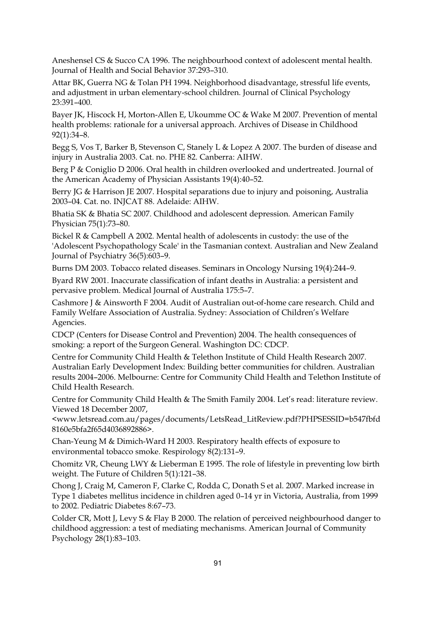Aneshensel CS & Succo CA 1996. The neighbourhood context of adolescent mental health. Journal of Health and Social Behavior 37:293–310.

Attar BK, Guerra NG & Tolan PH 1994. Neighborhood disadvantage, stressful life events, and adjustment in urban elementary-school children. Journal of Clinical Psychology 23:391–400.

Bayer JK, Hiscock H, Morton-Allen E, Ukoumme OC & Wake M 2007. Prevention of mental health problems: rationale for a universal approach. Archives of Disease in Childhood 92(1):34–8.

Begg S, Vos T, Barker B, Stevenson C, Stanely L & Lopez A 2007. The burden of disease and injury in Australia 2003. Cat. no. PHE 82. Canberra: AIHW.

Berg P & Coniglio D 2006. Oral health in children overlooked and undertreated. Journal of the American Academy of Physician Assistants 19(4):40–52.

Berry JG & Harrison JE 2007. Hospital separations due to injury and poisoning, Australia 2003–04. Cat. no. INJCAT 88. Adelaide: AIHW.

Bhatia SK & Bhatia SC 2007. Childhood and adolescent depression. American Family Physician 75(1):73–80.

Bickel R & Campbell A 2002. Mental health of adolescents in custody: the use of the 'Adolescent Psychopathology Scale' in the Tasmanian context. Australian and New Zealand Journal of Psychiatry 36(5):603–9.

Burns DM 2003. Tobacco related diseases. Seminars in Oncology Nursing 19(4):244–9.

Byard RW 2001. Inaccurate classification of infant deaths in Australia: a persistent and pervasive problem. Medical Journal of Australia 175:5–7.

Cashmore J & Ainsworth F 2004. Audit of Australian out-of-home care research. Child and Family Welfare Association of Australia. Sydney: Association of Children's Welfare Agencies.

CDCP (Centers for Disease Control and Prevention) 2004. The health consequences of smoking: a report of the Surgeon General. Washington DC: CDCP.

Centre for Community Child Health & Telethon Institute of Child Health Research 2007. Australian Early Development Index: Building better communities for children. Australian results 2004–2006. Melbourne: Centre for Community Child Health and Telethon Institute of Child Health Research.

Centre for Community Child Health & The Smith Family 2004. Let's read: literature review. Viewed 18 December 2007,

<www.letsread.com.au/pages/documents/LetsRead\_LitReview.pdf?PHPSESSID=b547fbfd 8160e5bfa2f65d4036892886>.

Chan-Yeung M & Dimich-Ward H 2003. Respiratory health effects of exposure to environmental tobacco smoke. Respirology 8(2):131–9.

Chomitz VR, Cheung LWY & Lieberman E 1995. The role of lifestyle in preventing low birth weight. The Future of Children 5(1):121–38.

Chong J, Craig M, Cameron F, Clarke C, Rodda C, Donath S et al. 2007. Marked increase in Type 1 diabetes mellitus incidence in children aged 0–14 yr in Victoria, Australia, from 1999 to 2002. Pediatric Diabetes 8:67–73.

Colder CR, Mott J, Levy S & Flay B 2000. The relation of perceived neighbourhood danger to childhood aggression: a test of mediating mechanisms. American Journal of Community Psychology 28(1):83–103.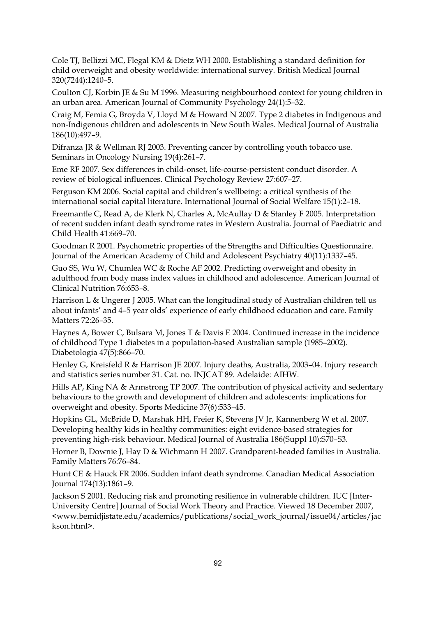Cole TJ, Bellizzi MC, Flegal KM & Dietz WH 2000. Establishing a standard definition for child overweight and obesity worldwide: international survey. British Medical Journal 320(7244):1240–5.

Coulton CJ, Korbin JE & Su M 1996. Measuring neighbourhood context for young children in an urban area. American Journal of Community Psychology 24(1):5–32.

Craig M, Femia G, Broyda V, Lloyd M & Howard N 2007. Type 2 diabetes in Indigenous and non-Indigenous children and adolescents in New South Wales. Medical Journal of Australia 186(10):497–9.

Difranza JR & Wellman RJ 2003. Preventing cancer by controlling youth tobacco use. Seminars in Oncology Nursing 19(4):261–7.

Eme RF 2007. Sex differences in child-onset, life-course-persistent conduct disorder. A review of biological influences. Clinical Psychology Review 27:607–27.

Ferguson KM 2006. Social capital and children's wellbeing: a critical synthesis of the international social capital literature. International Journal of Social Welfare 15(1):2–18.

Freemantle C, Read A, de Klerk N, Charles A, McAullay D & Stanley F 2005. Interpretation of recent sudden infant death syndrome rates in Western Australia. Journal of Paediatric and Child Health 41:669–70.

Goodman R 2001. Psychometric properties of the Strengths and Difficulties Questionnaire. Journal of the American Academy of Child and Adolescent Psychiatry 40(11):1337–45.

Guo SS, Wu W, Chumlea WC & Roche AF 2002. Predicting overweight and obesity in adulthood from body mass index values in childhood and adolescence. American Journal of Clinical Nutrition 76:653–8.

Harrison L & Ungerer J 2005. What can the longitudinal study of Australian children tell us about infants' and 4–5 year olds' experience of early childhood education and care. Family Matters 72:26–35.

Haynes A, Bower C, Bulsara M, Jones T & Davis E 2004. Continued increase in the incidence of childhood Type 1 diabetes in a population-based Australian sample (1985–2002). Diabetologia 47(5):866–70.

Henley G, Kreisfeld R & Harrison JE 2007. Injury deaths, Australia, 2003–04. Injury research and statistics series number 31. Cat. no. INJCAT 89. Adelaide: AIHW.

Hills AP, King NA & Armstrong TP 2007. The contribution of physical activity and sedentary behaviours to the growth and development of children and adolescents: implications for overweight and obesity. Sports Medicine 37(6):533–45.

Hopkins GL, McBride D, Marshak HH, Freier K, Stevens JV Jr, Kannenberg W et al. 2007. Developing healthy kids in healthy communities: eight evidence-based strategies for preventing high-risk behaviour. Medical Journal of Australia 186(Suppl 10):S70–S3.

Horner B, Downie J, Hay D & Wichmann H 2007. Grandparent-headed families in Australia. Family Matters 76:76–84.

Hunt CE & Hauck FR 2006. Sudden infant death syndrome. Canadian Medical Association Journal 174(13):1861–9.

Jackson S 2001. Reducing risk and promoting resilience in vulnerable children. IUC [Inter-University Centre] Journal of Social Work Theory and Practice. Viewed 18 December 2007, <www.bemidjistate.edu/academics/publications/social\_work\_journal/issue04/articles/jac kson.html>.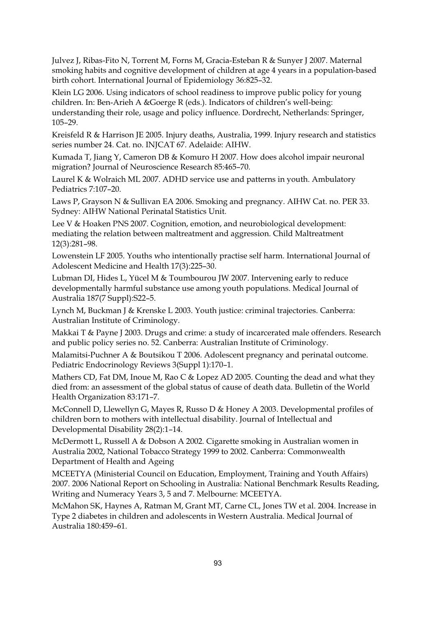Julvez J, Ribas-Fito N, Torrent M, Forns M, Gracia-Esteban R & Sunyer J 2007. Maternal smoking habits and cognitive development of children at age 4 years in a population-based birth cohort. International Journal of Epidemiology 36:825–32.

Klein LG 2006. Using indicators of school readiness to improve public policy for young children. In: Ben-Arieh A &Goerge R (eds.). Indicators of children's well-being: understanding their role, usage and policy influence. Dordrecht, Netherlands: Springer, 105–29.

Kreisfeld R & Harrison JE 2005. Injury deaths, Australia, 1999. Injury research and statistics series number 24. Cat. no. INJCAT 67. Adelaide: AIHW.

Kumada T, Jiang Y, Cameron DB & Komuro H 2007. How does alcohol impair neuronal migration? Journal of Neuroscience Research 85:465–70.

Laurel K & Wolraich ML 2007. ADHD service use and patterns in youth. Ambulatory Pediatrics 7:107–20.

Laws P, Grayson N & Sullivan EA 2006. Smoking and pregnancy. AIHW Cat. no. PER 33. Sydney: AIHW National Perinatal Statistics Unit.

Lee V & Hoaken PNS 2007. Cognition, emotion, and neurobiological development: mediating the relation between maltreatment and aggression. Child Maltreatment 12(3):281–98.

Lowenstein LF 2005. Youths who intentionally practise self harm. International Journal of Adolescent Medicine and Health 17(3):225–30.

Lubman DI, Hides L, Yücel M & Toumbourou JW 2007. Intervening early to reduce developmentally harmful substance use among youth populations. Medical Journal of Australia 187(7 Suppl):S22–5.

Lynch M, Buckman J & Krenske L 2003. Youth justice: criminal trajectories. Canberra: Australian Institute of Criminology.

Makkai T & Payne J 2003. Drugs and crime: a study of incarcerated male offenders. Research and public policy series no. 52. Canberra: Australian Institute of Criminology.

Malamitsi-Puchner A & Boutsikou T 2006. Adolescent pregnancy and perinatal outcome. Pediatric Endocrinology Reviews 3(Suppl 1):170–1.

Mathers CD, Fat DM, Inoue M, Rao C & Lopez AD 2005. Counting the dead and what they died from: an assessment of the global status of cause of death data. Bulletin of the World Health Organization 83:171–7.

McConnell D, Llewellyn G, Mayes R, Russo D & Honey A 2003. Developmental profiles of children born to mothers with intellectual disability. Journal of Intellectual and Developmental Disability 28(2):1–14.

McDermott L, Russell A & Dobson A 2002. Cigarette smoking in Australian women in Australia 2002, National Tobacco Strategy 1999 to 2002. Canberra: Commonwealth Department of Health and Ageing

MCEETYA (Ministerial Council on Education, Employment, Training and Youth Affairs) 2007. 2006 National Report on Schooling in Australia: National Benchmark Results Reading, Writing and Numeracy Years 3, 5 and 7. Melbourne: MCEETYA.

McMahon SK, Haynes A, Ratman M, Grant MT, Carne CL, Jones TW et al. 2004. Increase in Type 2 diabetes in children and adolescents in Western Australia. Medical Journal of Australia 180:459–61.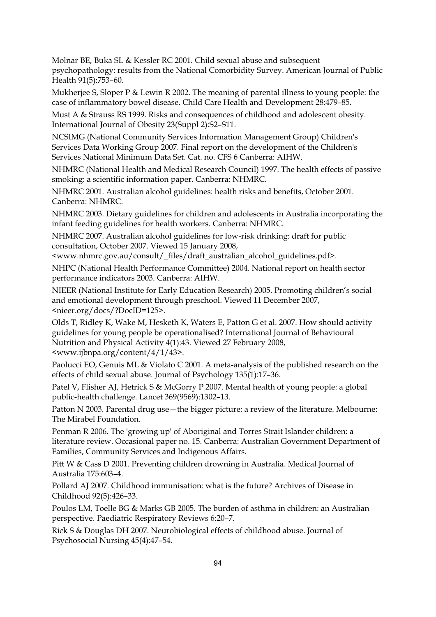Molnar BE, Buka SL & Kessler RC 2001. Child sexual abuse and subsequent psychopathology: results from the National Comorbidity Survey. American Journal of Public Health 91(5):753–60.

Mukherjee S, Sloper P & Lewin R 2002. The meaning of parental illness to young people: the case of inflammatory bowel disease. Child Care Health and Development 28:479–85.

Must A & Strauss RS 1999. Risks and consequences of childhood and adolescent obesity. International Journal of Obesity 23(Suppl 2):S2–S11.

NCSIMG (National Community Services Information Management Group) Children's Services Data Working Group 2007. Final report on the development of the Children's Services National Minimum Data Set. Cat. no. CFS 6 Canberra: AIHW.

NHMRC (National Health and Medical Research Council) 1997. The health effects of passive smoking: a scientific information paper. Canberra: NHMRC.

NHMRC 2001. Australian alcohol guidelines: health risks and benefits, October 2001. Canberra: NHMRC.

NHMRC 2003. Dietary guidelines for children and adolescents in Australia incorporating the infant feeding guidelines for health workers. Canberra: NHMRC.

NHMRC 2007. Australian alcohol guidelines for low-risk drinking: draft for public consultation, October 2007. Viewed 15 January 2008,

<www.nhmrc.gov.au/consult/\_files/draft\_australian\_alcohol\_guidelines.pdf>.

NHPC (National Health Performance Committee) 2004. National report on health sector performance indicators 2003. Canberra: AIHW.

NIEER (National Institute for Early Education Research) 2005. Promoting children's social and emotional development through preschool. Viewed 11 December 2007, <nieer.org/docs/?DocID=125>.

Olds T, Ridley K, Wake M, Hesketh K, Waters E, Patton G et al. 2007. How should activity guidelines for young people be operationalised? International Journal of Behavioural Nutrition and Physical Activity 4(1):43. Viewed 27 February 2008, <www.ijbnpa.org/content/4/1/43>.

Paolucci EO, Genuis ML & Violato C 2001. A meta-analysis of the published research on the effects of child sexual abuse. Journal of Psychology 135(1):17–36.

Patel V, Flisher AJ, Hetrick S & McGorry P 2007. Mental health of young people: a global public-health challenge. Lancet 369(9569):1302–13.

Patton N 2003. Parental drug use—the bigger picture: a review of the literature. Melbourne: The Mirabel Foundation.

Penman R 2006. The 'growing up' of Aboriginal and Torres Strait Islander children: a literature review. Occasional paper no. 15. Canberra: Australian Government Department of Families, Community Services and Indigenous Affairs.

Pitt W & Cass D 2001. Preventing children drowning in Australia. Medical Journal of Australia 175:603–4.

Pollard AJ 2007. Childhood immunisation: what is the future? Archives of Disease in Childhood 92(5):426–33.

Poulos LM, Toelle BG & Marks GB 2005. The burden of asthma in children: an Australian perspective. Paediatric Respiratory Reviews 6:20–7.

Rick S & Douglas DH 2007. Neurobiological effects of childhood abuse. Journal of Psychosocial Nursing 45(4):47–54.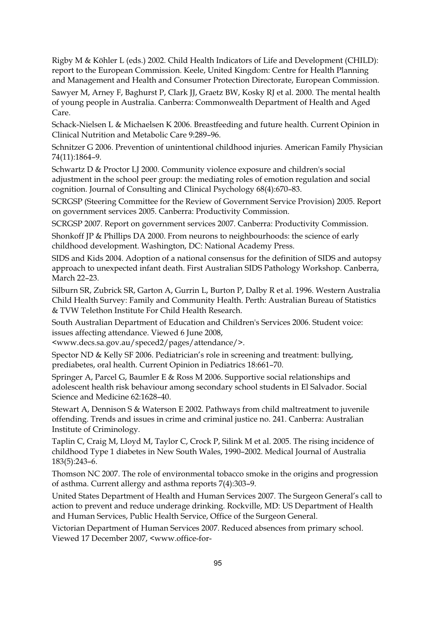Rigby M & Köhler L (eds.) 2002. Child Health Indicators of Life and Development (CHILD): report to the European Commission. Keele, United Kingdom: Centre for Health Planning and Management and Health and Consumer Protection Directorate, European Commission.

Sawyer M, Arney F, Baghurst P, Clark JJ, Graetz BW, Kosky RJ et al. 2000. The mental health of young people in Australia. Canberra: Commonwealth Department of Health and Aged Care.

Schack-Nielsen L & Michaelsen K 2006. Breastfeeding and future health. Current Opinion in Clinical Nutrition and Metabolic Care 9:289–96.

Schnitzer G 2006. Prevention of unintentional childhood injuries. American Family Physician 74(11):1864–9.

Schwartz D & Proctor LJ 2000. Community violence exposure and children's social adjustment in the school peer group: the mediating roles of emotion regulation and social cognition. Journal of Consulting and Clinical Psychology 68(4):670–83.

SCRGSP (Steering Committee for the Review of Government Service Provision) 2005. Report on government services 2005. Canberra: Productivity Commission.

SCRGSP 2007. Report on government services 2007. Canberra: Productivity Commission.

Shonkoff JP & Phillips DA 2000. From neurons to neighbourhoods: the science of early childhood development. Washington, DC: National Academy Press.

SIDS and Kids 2004. Adoption of a national consensus for the definition of SIDS and autopsy approach to unexpected infant death. First Australian SIDS Pathology Workshop. Canberra, March 22–23.

Silburn SR, Zubrick SR, Garton A, Gurrin L, Burton P, Dalby R et al. 1996. Western Australia Child Health Survey: Family and Community Health. Perth: Australian Bureau of Statistics & TVW Telethon Institute For Child Health Research.

South Australian Department of Education and Children's Services 2006. Student voice: issues affecting attendance. Viewed 6 June 2008,

<www.decs.sa.gov.au/speced2/pages/attendance/>.

Spector ND & Kelly SF 2006. Pediatrician's role in screening and treatment: bullying, prediabetes, oral health. Current Opinion in Pediatrics 18:661–70.

Springer A, Parcel G, Baumler E & Ross M 2006. Supportive social relationships and adolescent health risk behaviour among secondary school students in El Salvador. Social Science and Medicine 62:1628–40.

Stewart A, Dennison S & Waterson E 2002. Pathways from child maltreatment to juvenile offending. Trends and issues in crime and criminal justice no. 241. Canberra: Australian Institute of Criminology.

Taplin C, Craig M, Lloyd M, Taylor C, Crock P, Silink M et al. 2005. The rising incidence of childhood Type 1 diabetes in New South Wales, 1990–2002. Medical Journal of Australia 183(5):243–6.

Thomson NC 2007. The role of environmental tobacco smoke in the origins and progression of asthma. Current allergy and asthma reports 7(4):303–9.

United States Department of Health and Human Services 2007. The Surgeon General's call to action to prevent and reduce underage drinking. Rockville, MD: US Department of Health and Human Services, Public Health Service, Office of the Surgeon General.

Victorian Department of Human Services 2007. Reduced absences from primary school. Viewed 17 December 2007, <www.office-for